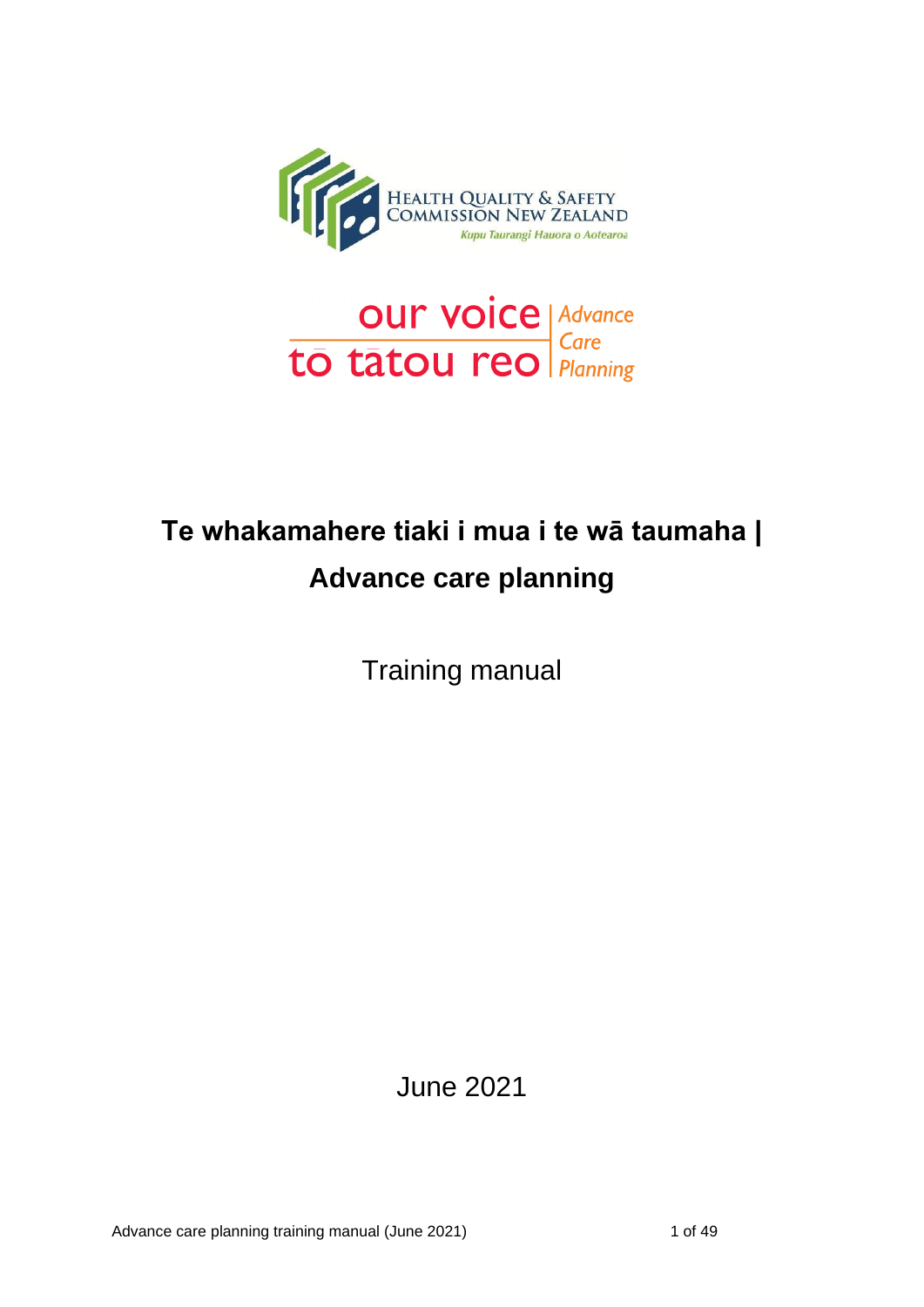



# **Te whakamahere tiaki i mua i te wā taumaha | Advance care planning**

Training manual

June 2021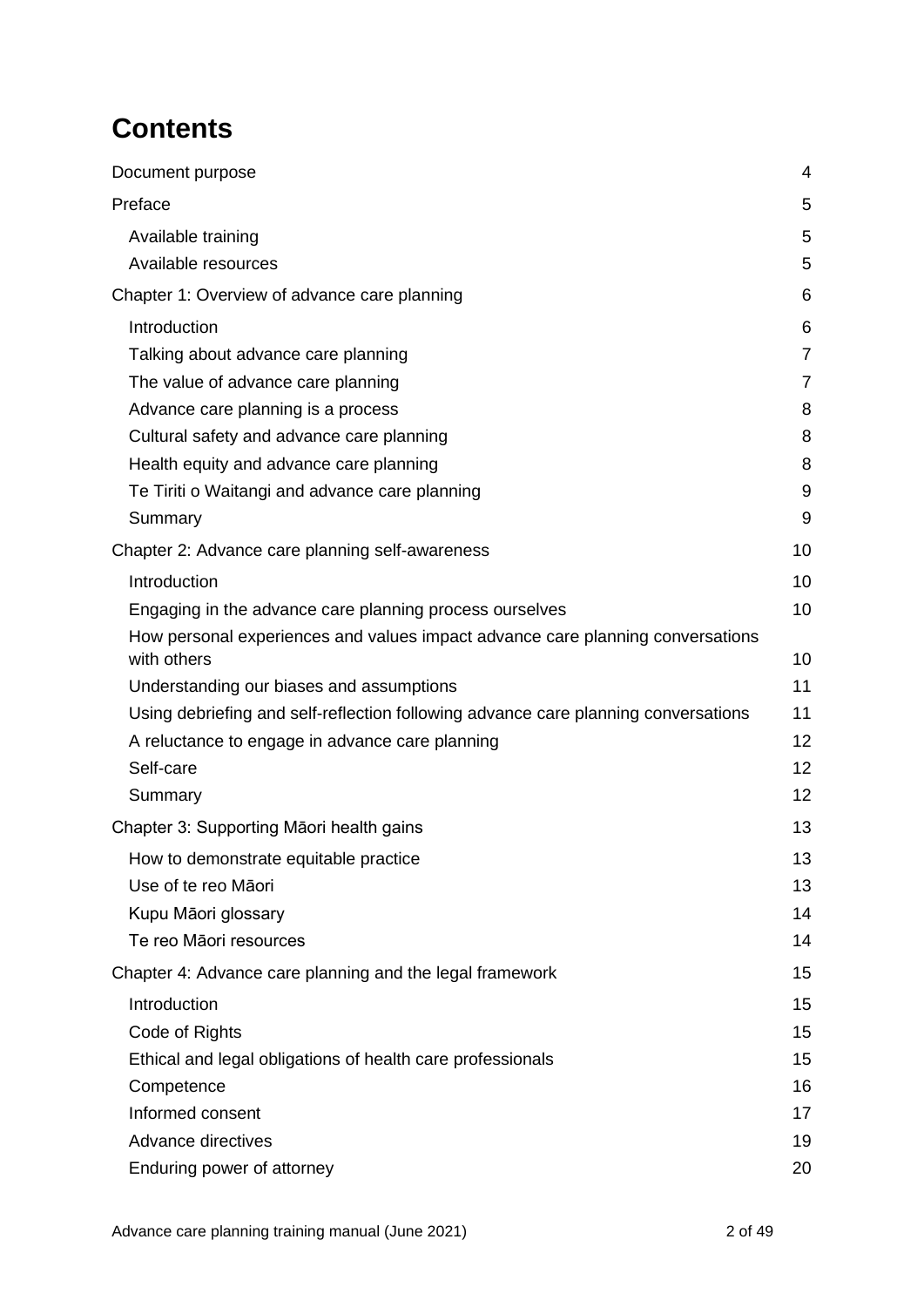## **Contents**

| Document purpose                                                                   | 4              |
|------------------------------------------------------------------------------------|----------------|
| Preface                                                                            | 5              |
| Available training                                                                 | 5              |
| Available resources                                                                | 5              |
| Chapter 1: Overview of advance care planning                                       | 6              |
| Introduction                                                                       | 6              |
| Talking about advance care planning                                                | $\overline{7}$ |
| The value of advance care planning                                                 | $\overline{7}$ |
| Advance care planning is a process                                                 | 8              |
| Cultural safety and advance care planning                                          | 8              |
| Health equity and advance care planning                                            | 8              |
| Te Tiriti o Waitangi and advance care planning                                     | 9              |
| Summary                                                                            | 9              |
| Chapter 2: Advance care planning self-awareness                                    | 10             |
| Introduction                                                                       | 10             |
| Engaging in the advance care planning process ourselves                            | 10             |
| How personal experiences and values impact advance care planning conversations     |                |
| with others                                                                        | 10             |
| Understanding our biases and assumptions                                           | 11             |
| Using debriefing and self-reflection following advance care planning conversations | 11             |
| A reluctance to engage in advance care planning                                    | 12             |
| Self-care                                                                          | 12             |
| Summary                                                                            | 12             |
| Chapter 3: Supporting Māori health gains                                           | 13             |
| How to demonstrate equitable practice                                              | 13             |
| Use of te reo Māori                                                                | 13             |
| Kupu Māori glossary                                                                | 14             |
| Te reo Māori resources                                                             | 14             |
| Chapter 4: Advance care planning and the legal framework                           | 15             |
| Introduction                                                                       | 15             |
| Code of Rights                                                                     | 15             |
| Ethical and legal obligations of health care professionals                         | 15             |
| Competence                                                                         | 16             |
| Informed consent                                                                   | 17             |
| Advance directives                                                                 | 19             |
| Enduring power of attorney                                                         | 20             |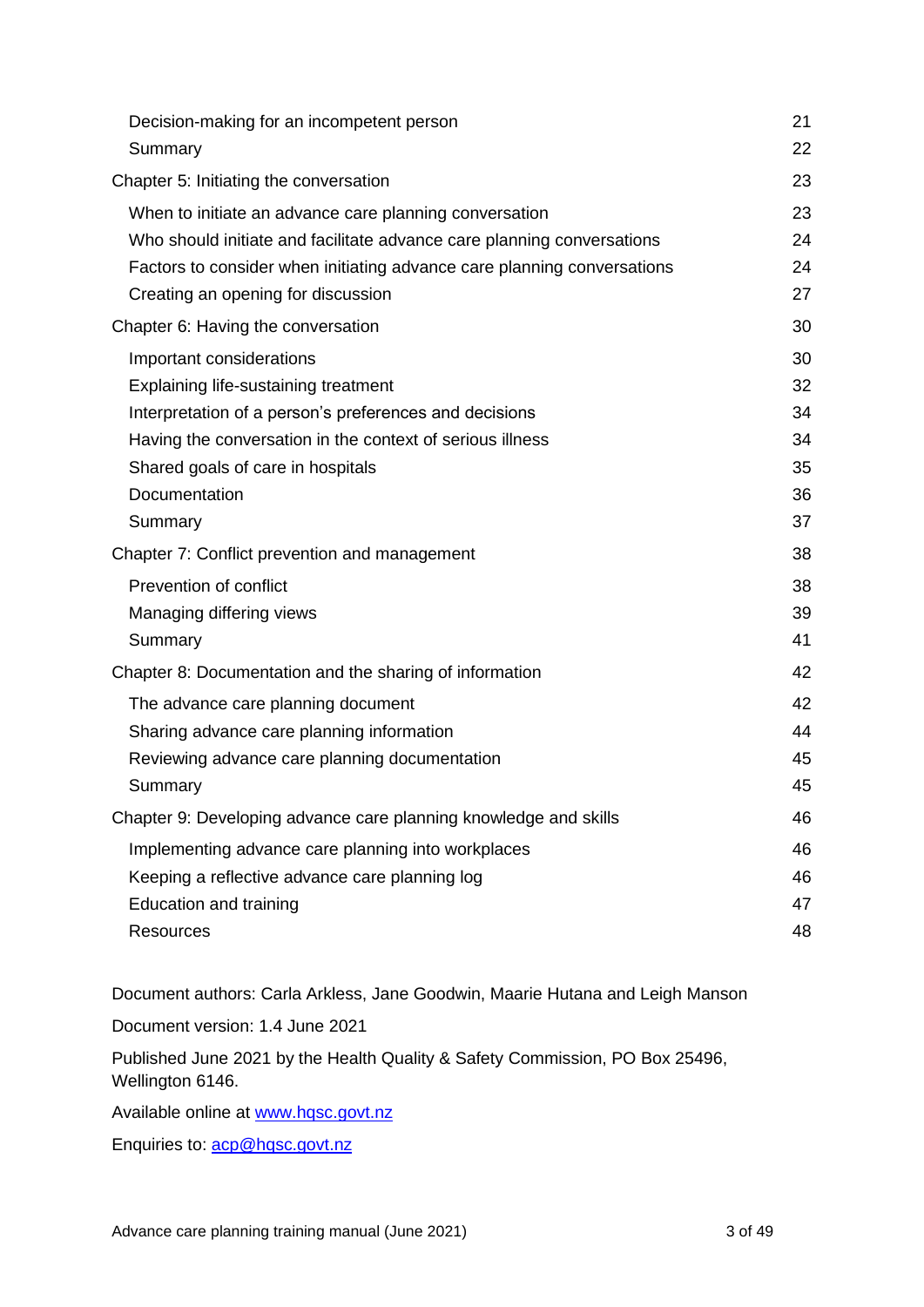| Decision-making for an incompetent person                               | 21 |
|-------------------------------------------------------------------------|----|
| Summary                                                                 | 22 |
| Chapter 5: Initiating the conversation                                  | 23 |
| When to initiate an advance care planning conversation                  | 23 |
| Who should initiate and facilitate advance care planning conversations  | 24 |
| Factors to consider when initiating advance care planning conversations | 24 |
| Creating an opening for discussion                                      | 27 |
| Chapter 6: Having the conversation                                      | 30 |
| Important considerations                                                | 30 |
| Explaining life-sustaining treatment                                    | 32 |
| Interpretation of a person's preferences and decisions                  | 34 |
| Having the conversation in the context of serious illness               | 34 |
| Shared goals of care in hospitals                                       | 35 |
| Documentation                                                           | 36 |
| Summary                                                                 | 37 |
| Chapter 7: Conflict prevention and management                           | 38 |
| Prevention of conflict                                                  | 38 |
| Managing differing views                                                | 39 |
| Summary                                                                 | 41 |
| Chapter 8: Documentation and the sharing of information                 | 42 |
| The advance care planning document                                      | 42 |
| Sharing advance care planning information                               | 44 |
| Reviewing advance care planning documentation                           | 45 |
| Summary                                                                 | 45 |
| Chapter 9: Developing advance care planning knowledge and skills        | 46 |
| Implementing advance care planning into workplaces                      | 46 |
| Keeping a reflective advance care planning log                          | 46 |
| Education and training                                                  | 47 |
| Resources                                                               | 48 |

Document authors: Carla Arkless, Jane Goodwin, Maarie Hutana and Leigh Manson

Document version: 1.4 June 2021

Published June 2021 by the Health Quality & Safety Commission, PO Box 25496, Wellington 6146.

Available online at [www.hqsc.govt.nz](http://www.hqsc.govt.nz/)

Enquiries to: [acp@hqsc.govt.nz](mailto:acp@hqsc.govt.nz)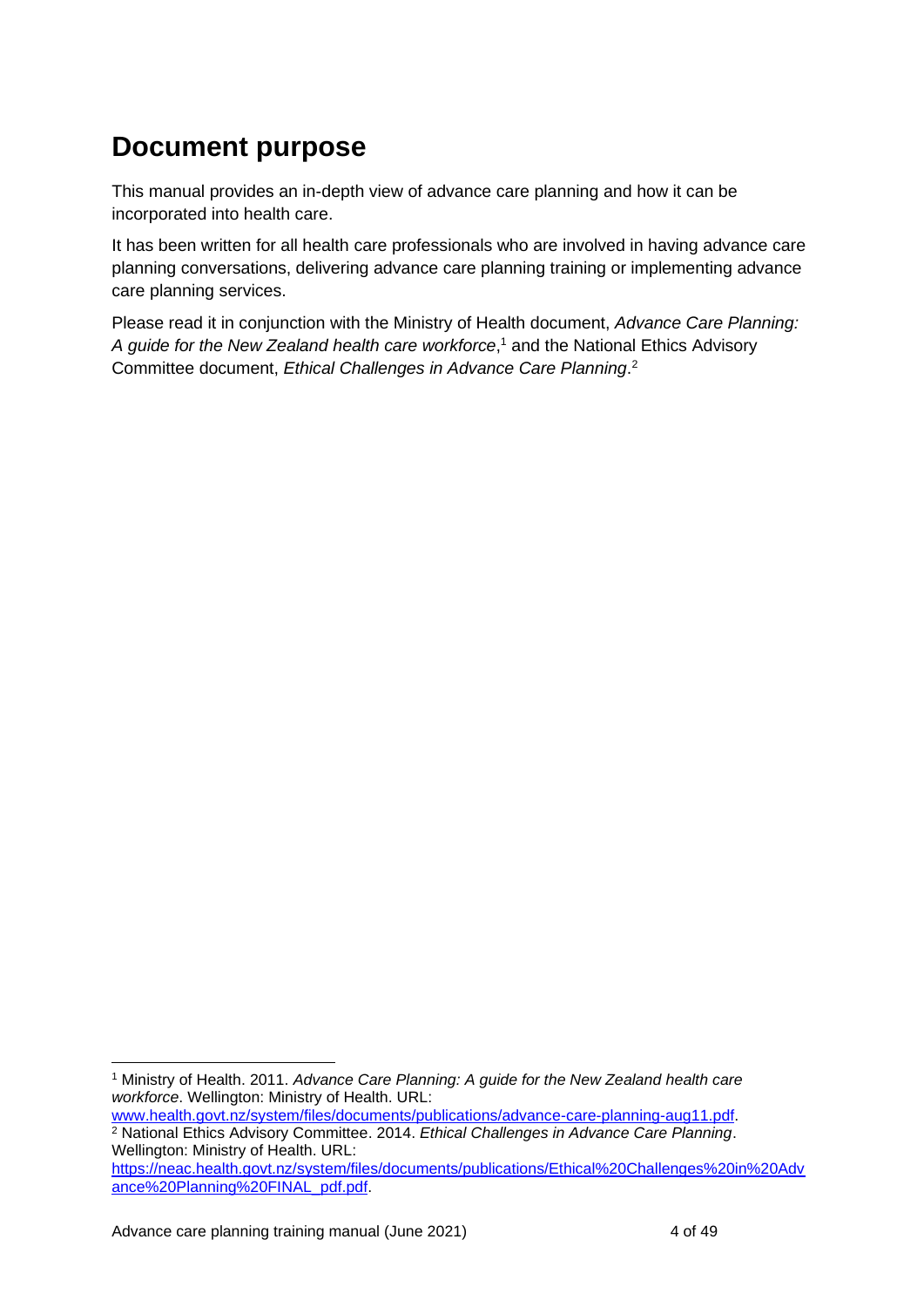## <span id="page-3-0"></span>**Document purpose**

This manual provides an in-depth view of advance care planning and how it can be incorporated into health care.

It has been written for all health care professionals who are involved in having advance care planning conversations, delivering advance care planning training or implementing advance care planning services.

Please read it in conjunction with the Ministry of Health document, *Advance Care Planning: A guide for the New Zealand health care workforce*, <sup>1</sup> and the National Ethics Advisory Committee document, *Ethical Challenges in Advance Care Planning*. 2

<sup>1</sup> Ministry of Health. 2011. *Advance Care Planning: A guide for the New Zealand health care workforce*. Wellington: Ministry of Health. URL:

[www.health.govt.nz/system/files/documents/publications/advance-care-planning-aug11.pdf.](http://www.health.govt.nz/system/files/documents/publications/advance-care-planning-aug11.pdf) <sup>2</sup> National Ethics Advisory Committee. 2014. *Ethical Challenges in Advance Care Planning*. Wellington: Ministry of Health. URL:

[https://neac.health.govt.nz/system/files/documents/publications/Ethical%20Challenges%20in%20Adv](https://neac.health.govt.nz/system/files/documents/publications/Ethical%20Challenges%20in%20Advance%20Planning%20FINAL_pdf.pdf) [ance%20Planning%20FINAL\\_pdf.pdf.](https://neac.health.govt.nz/system/files/documents/publications/Ethical%20Challenges%20in%20Advance%20Planning%20FINAL_pdf.pdf)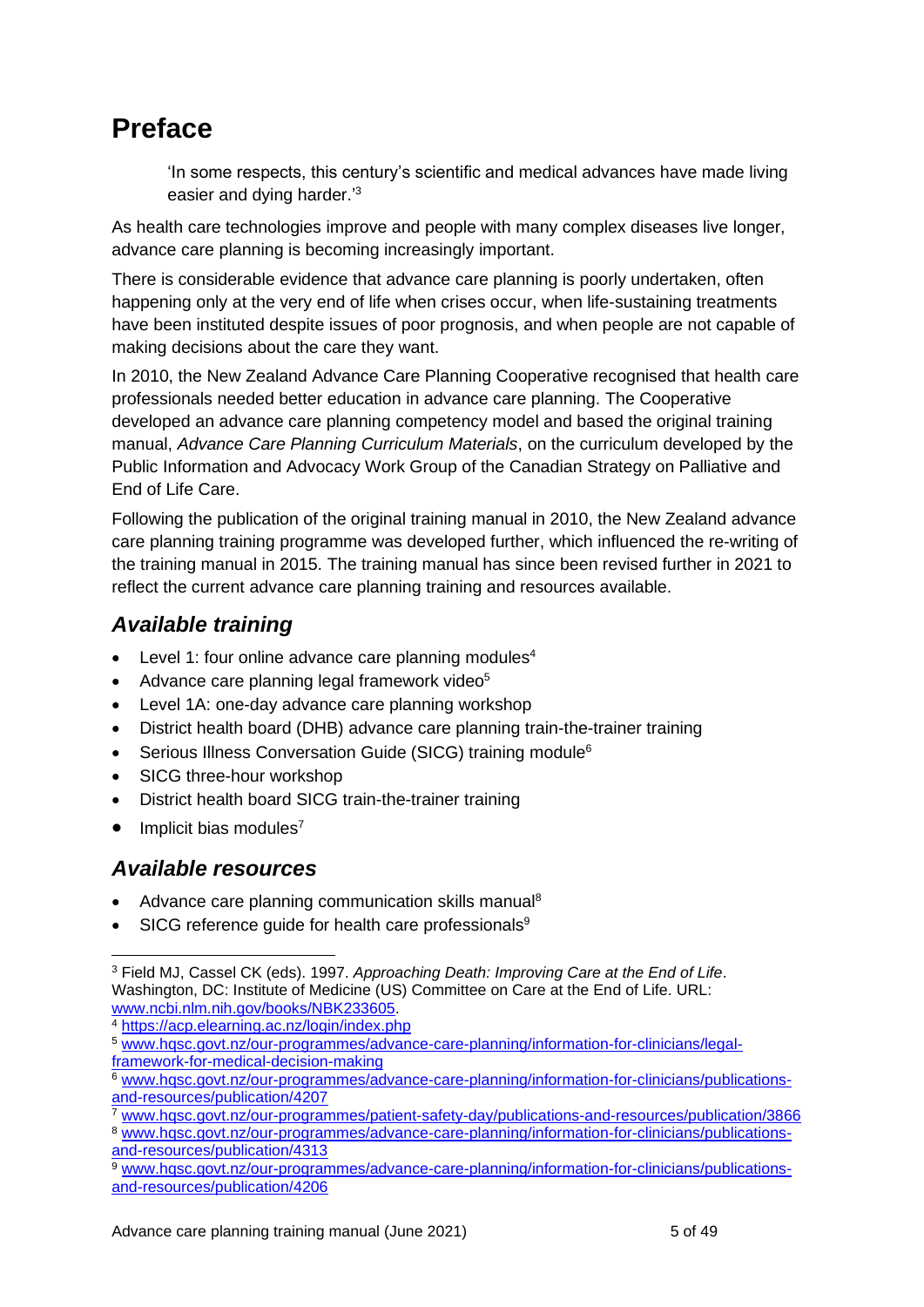## <span id="page-4-0"></span>**Preface**

'In some respects, this century's scientific and medical advances have made living easier and dying harder.<sup>'3</sup>

As health care technologies improve and people with many complex diseases live longer, advance care planning is becoming increasingly important.

There is considerable evidence that advance care planning is poorly undertaken, often happening only at the very end of life when crises occur, when life-sustaining treatments have been instituted despite issues of poor prognosis, and when people are not capable of making decisions about the care they want.

In 2010, the New Zealand Advance Care Planning Cooperative recognised that health care professionals needed better education in advance care planning. The Cooperative developed an advance care planning competency model and based the original training manual, *Advance Care Planning Curriculum Materials*, on the curriculum developed by the Public Information and Advocacy Work Group of the Canadian Strategy on Palliative and End of Life Care.

Following the publication of the original training manual in 2010, the New Zealand advance care planning training programme was developed further, which influenced the re-writing of the training manual in 2015. The training manual has since been revised further in 2021 to reflect the current advance care planning training and resources available.

## <span id="page-4-1"></span>*Available training*

- Level 1: four online advance care planning modules<sup>4</sup>
- Advance care planning legal framework video<sup>5</sup>
- Level 1A: one-day advance care planning workshop
- District health board (DHB) advance care planning train-the-trainer training
- Serious Illness Conversation Guide (SICG) training module<sup>6</sup>
- SICG three-hour workshop
- District health board SICG train-the-trainer training
- $\bullet$  Implicit bias modules<sup>7</sup>

### <span id="page-4-2"></span>*Available resources*

- Advance care planning communication skills manual<sup>8</sup>
- SICG reference guide for health care professionals<sup>9</sup>

<sup>4</sup> <https://acp.elearning.ac.nz/login/index.php>

<sup>7</sup> [www.hqsc.govt.nz/our-programmes/patient-safety-day/publications-and-resources/publication/3866](http://www.hqsc.govt.nz/our-programmes/patient-safety-day/publications-and-resources/publication/3866)

<sup>8</sup> [www.hqsc.govt.nz/our-programmes/advance-care-planning/information-for-clinicians/publications](http://www.hqsc.govt.nz/our-programmes/advance-care-planning/information-for-clinicians/publications-and-resources/publication/4313)[and-resources/publication/4313](http://www.hqsc.govt.nz/our-programmes/advance-care-planning/information-for-clinicians/publications-and-resources/publication/4313)

<sup>9</sup> [www.hqsc.govt.nz/our-programmes/advance-care-planning/information-for-clinicians/publications](http://www.hqsc.govt.nz/our-programmes/advance-care-planning/information-for-clinicians/publications-and-resources/publication/4206)[and-resources/publication/4206](http://www.hqsc.govt.nz/our-programmes/advance-care-planning/information-for-clinicians/publications-and-resources/publication/4206)

<sup>3</sup> Field MJ, Cassel CK (eds). 1997. *Approaching Death: Improving Care at the End of Life*. Washington, DC: Institute of Medicine (US) Committee on Care at the End of Life. URL: [www.ncbi.nlm.nih.gov/books/NBK233605.](http://www.ncbi.nlm.nih.gov/books/NBK233605/)

<sup>5</sup> [www.hqsc.govt.nz/our-programmes/advance-care-planning/information-for-clinicians/legal](http://www.hqsc.govt.nz/our-programmes/advance-care-planning/information-for-clinicians/legal-framework-for-medical-decision-making)[framework-for-medical-decision-making](http://www.hqsc.govt.nz/our-programmes/advance-care-planning/information-for-clinicians/legal-framework-for-medical-decision-making)

<sup>6</sup> [www.hqsc.govt.nz/our-programmes/advance-care-planning/information-for-clinicians/publications](http://www.hqsc.govt.nz/our-programmes/advance-care-planning/information-for-clinicians/publications-and-resources/publication/4207)[and-resources/publication/4207](http://www.hqsc.govt.nz/our-programmes/advance-care-planning/information-for-clinicians/publications-and-resources/publication/4207)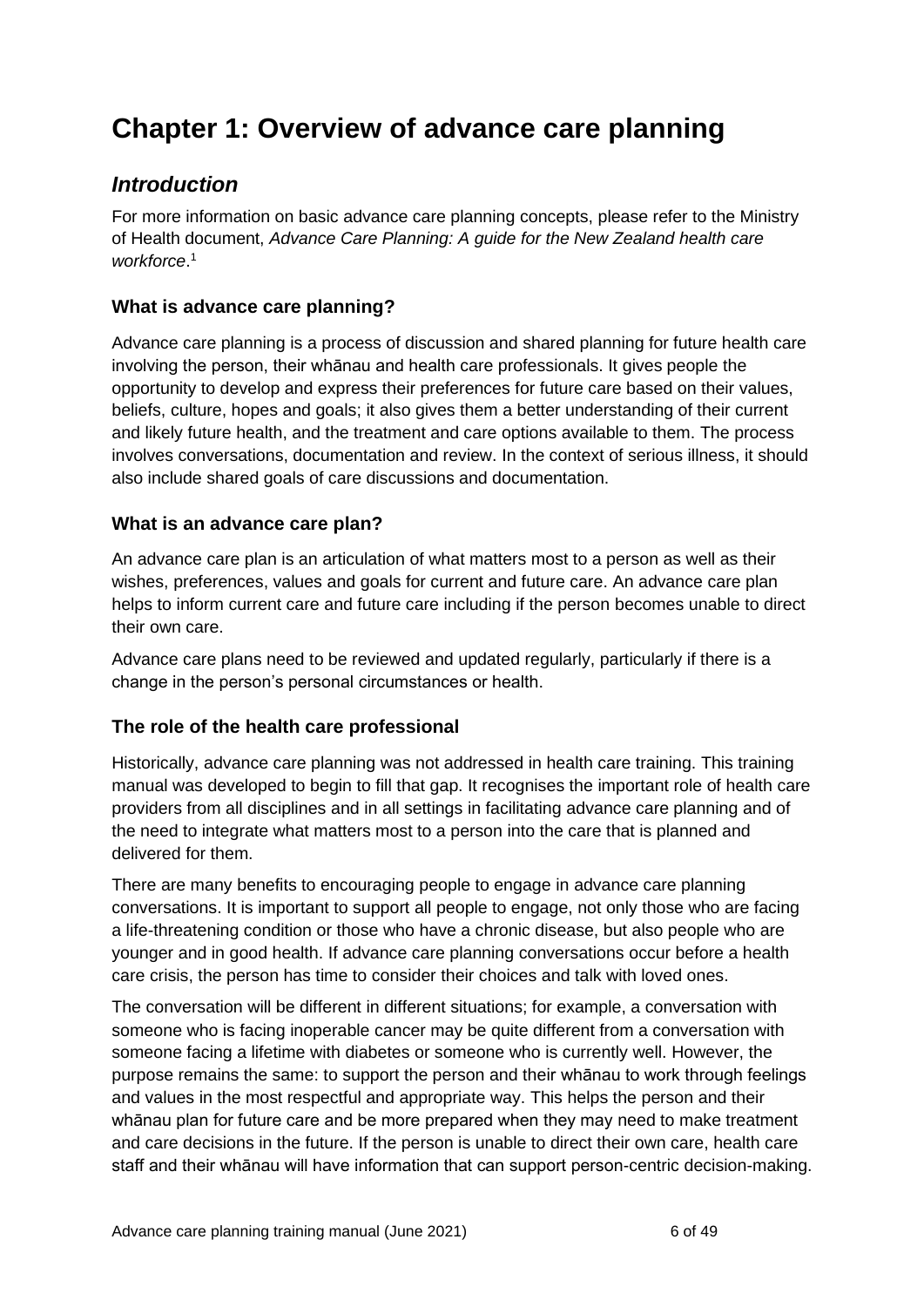## <span id="page-5-0"></span>**Chapter 1: Overview of advance care planning**

### <span id="page-5-1"></span>*Introduction*

For more information on basic advance care planning concepts, please refer to the Ministry of Health document, *Advance Care Planning: A guide for the New Zealand health care workforce*. 1

#### **What is advance care planning?**

Advance care planning is a process of discussion and shared planning for future health care involving the person, their whānau and health care professionals. It gives people the opportunity to develop and express their preferences for future care based on their values, beliefs, culture, hopes and goals; it also gives them a better understanding of their current and likely future health, and the treatment and care options available to them. The process involves conversations, documentation and review. In the context of serious illness, it should also include shared goals of care discussions and documentation.

#### **What is an advance care plan?**

An advance care plan is an articulation of what matters most to a person as well as their wishes, preferences, values and goals for current and future care. An advance care plan helps to inform current care and future care including if the person becomes unable to direct their own care.

Advance care plans need to be reviewed and updated regularly, particularly if there is a change in the person's personal circumstances or health.

#### **The role of the health care professional**

Historically, advance care planning was not addressed in health care training. This training manual was developed to begin to fill that gap. It recognises the important role of health care providers from all disciplines and in all settings in facilitating advance care planning and of the need to integrate what matters most to a person into the care that is planned and delivered for them.

There are many benefits to encouraging people to engage in advance care planning conversations. It is important to support all people to engage, not only those who are facing a life-threatening condition or those who have a chronic disease, but also people who are younger and in good health. If advance care planning conversations occur before a health care crisis, the person has time to consider their choices and talk with loved ones.

The conversation will be different in different situations; for example, a conversation with someone who is facing inoperable cancer may be quite different from a conversation with someone facing a lifetime with diabetes or someone who is currently well. However, the purpose remains the same: to support the person and their whānau to work through feelings and values in the most respectful and appropriate way. This helps the person and their whānau plan for future care and be more prepared when they may need to make treatment and care decisions in the future. If the person is unable to direct their own care, health care staff and their whānau will have information that can support person-centric decision-making.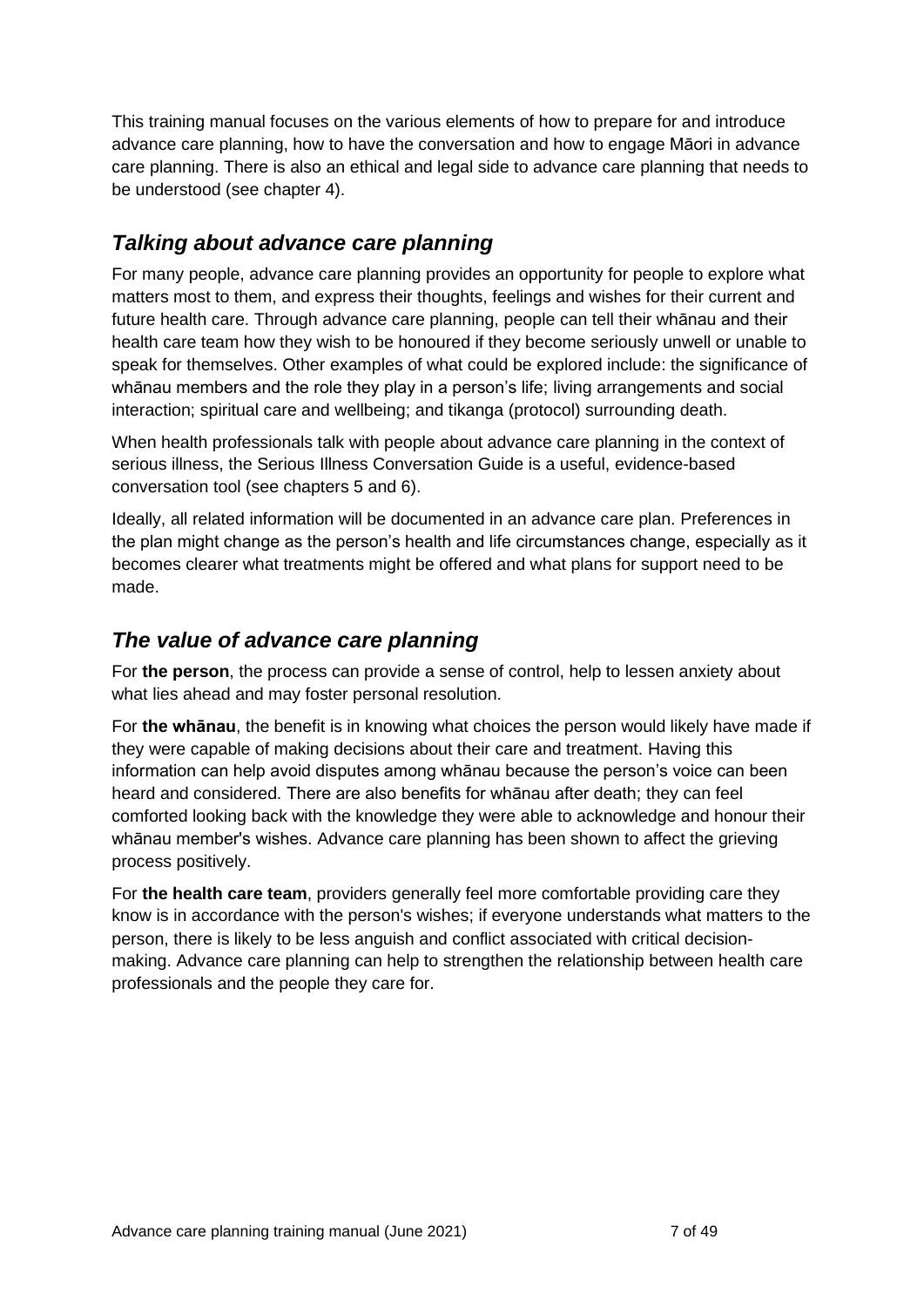This training manual focuses on the various elements of how to prepare for and introduce advance care planning, how to have the conversation and how to engage Māori in advance care planning. There is also an ethical and legal side to advance care planning that needs to be understood (see chapter 4).

## <span id="page-6-0"></span>*Talking about advance care planning*

For many people, advance care planning provides an opportunity for people to explore what matters most to them, and express their thoughts, feelings and wishes for their current and future health care. Through advance care planning, people can tell their whānau and their health care team how they wish to be honoured if they become seriously unwell or unable to speak for themselves. Other examples of what could be explored include: the significance of whānau members and the role they play in a person's life; living arrangements and social interaction; spiritual care and wellbeing; and tikanga (protocol) surrounding death.

When health professionals talk with people about advance care planning in the context of serious illness, the Serious Illness Conversation Guide is a useful, evidence-based conversation tool (see chapters 5 and 6).

Ideally, all related information will be documented in an advance care plan. Preferences in the plan might change as the person's health and life circumstances change, especially as it becomes clearer what treatments might be offered and what plans for support need to be made.

### <span id="page-6-1"></span>*The value of advance care planning*

For **the person**, the process can provide a sense of control, help to lessen anxiety about what lies ahead and may foster personal resolution.

For **the whānau**, the benefit is in knowing what choices the person would likely have made if they were capable of making decisions about their care and treatment. Having this information can help avoid disputes among whānau because the person's voice can been heard and considered. There are also benefits for whānau after death; they can feel comforted looking back with the knowledge they were able to acknowledge and honour their whānau member's wishes. Advance care planning has been shown to affect the grieving process positively.

For **the health care team**, providers generally feel more comfortable providing care they know is in accordance with the person's wishes; if everyone understands what matters to the person, there is likely to be less anguish and conflict associated with critical decisionmaking. Advance care planning can help to strengthen the relationship between health care professionals and the people they care for.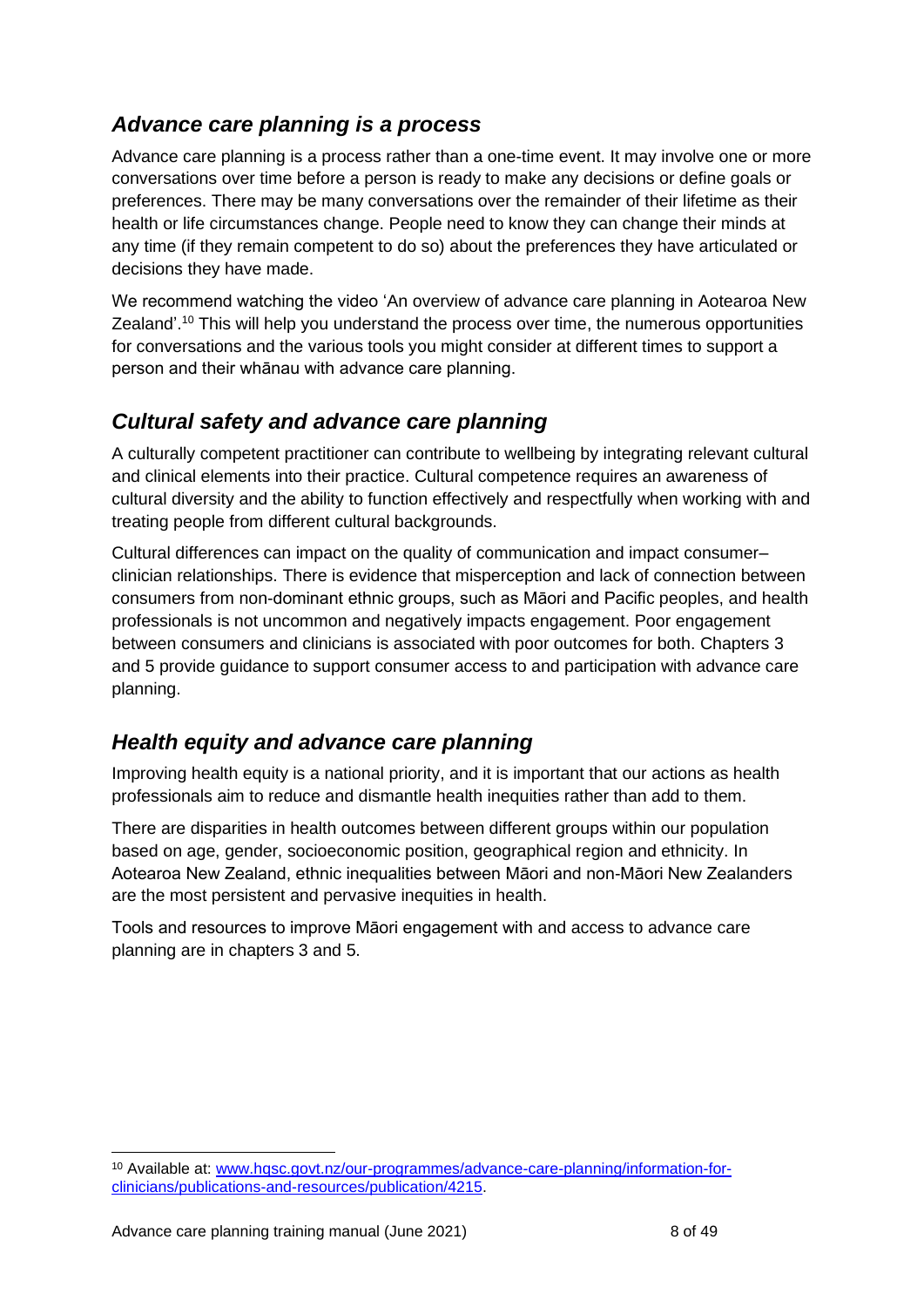## <span id="page-7-0"></span>*Advance care planning is a process*

Advance care planning is a process rather than a one-time event. It may involve one or more conversations over time before a person is ready to make any decisions or define goals or preferences. There may be many conversations over the remainder of their lifetime as their health or life circumstances change. People need to know they can change their minds at any time (if they remain competent to do so) about the preferences they have articulated or decisions they have made.

We recommend watching the video 'An overview of advance care planning in Aotearoa New Zealand'.<sup>10</sup> This will help you understand the process over time, the numerous opportunities for conversations and the various tools you might consider at different times to support a person and their whānau with advance care planning.

## <span id="page-7-1"></span>*Cultural safety and advance care planning*

A culturally competent practitioner can contribute to wellbeing by integrating relevant cultural and clinical elements into their practice. Cultural competence requires an awareness of cultural diversity and the ability to function effectively and respectfully when working with and treating people from different cultural backgrounds.

Cultural differences can impact on the quality of communication and impact consumer– clinician relationships. There is evidence that misperception and lack of connection between consumers from non-dominant ethnic groups, such as Māori and Pacific peoples, and health professionals is not uncommon and negatively impacts engagement. Poor engagement between consumers and clinicians is associated with poor outcomes for both. Chapters 3 and 5 provide guidance to support consumer access to and participation with advance care planning.

## <span id="page-7-2"></span>*Health equity and advance care planning*

Improving health equity is a national priority, and it is important that our actions as health professionals aim to reduce and dismantle health inequities rather than add to them.

There are disparities in health outcomes between different groups within our population based on age, gender, socioeconomic position, geographical region and ethnicity. In Aotearoa New Zealand, ethnic inequalities between Māori and non-Māori New Zealanders are the most persistent and pervasive inequities in health.

Tools and resources to improve Māori engagement with and access to advance care planning are in chapters 3 and 5.

<sup>10</sup> Available at: [www.hqsc.govt.nz/our-programmes/advance-care-planning/information-for](http://www.hqsc.govt.nz/our-programmes/advance-care-planning/information-for-clinicians/publications-and-resources/publication/4215)[clinicians/publications-and-resources/publication/4215.](http://www.hqsc.govt.nz/our-programmes/advance-care-planning/information-for-clinicians/publications-and-resources/publication/4215)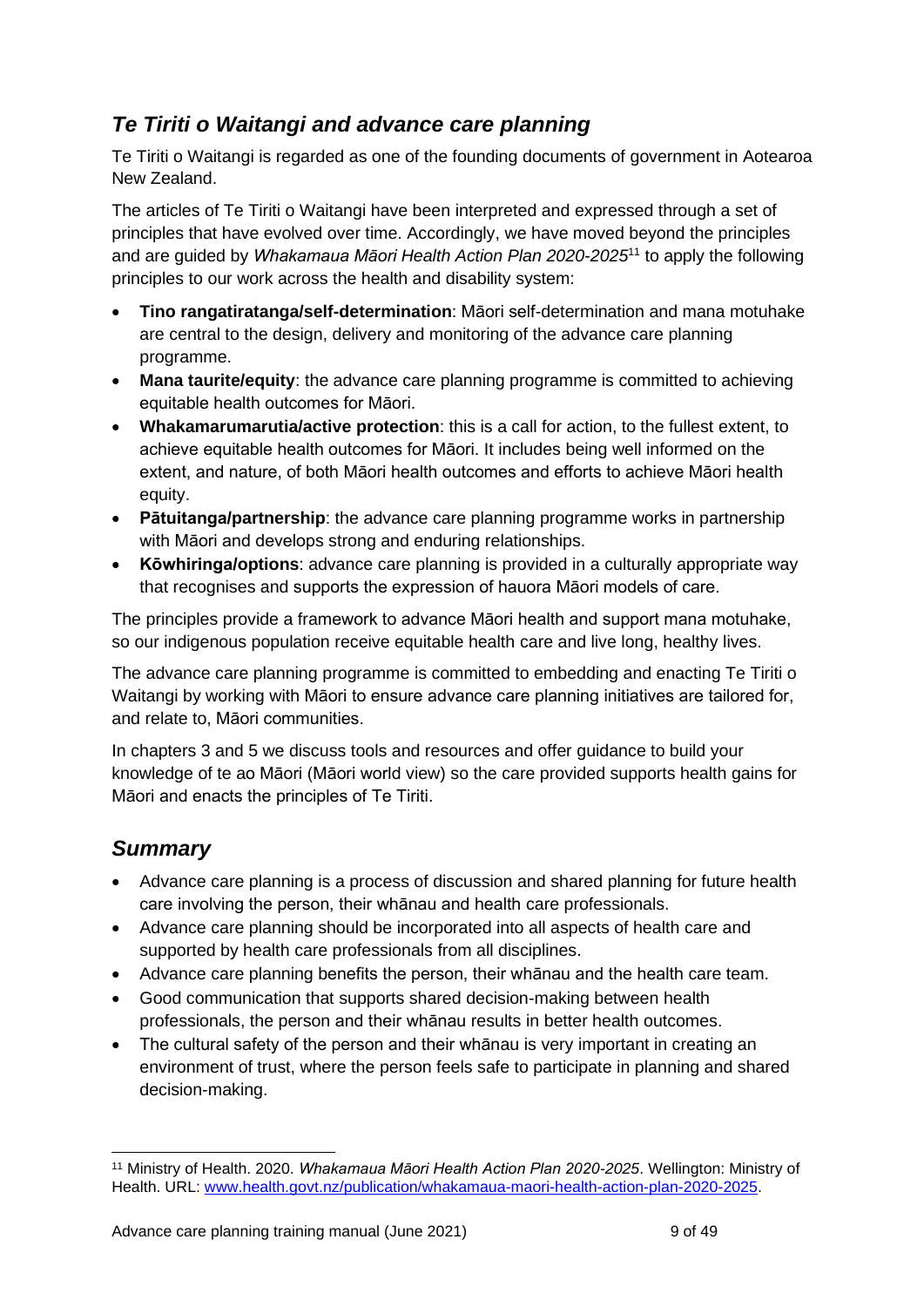## <span id="page-8-0"></span>*Te Tiriti o Waitangi and advance care planning*

Te Tiriti o Waitangi is regarded as one of the founding documents of government in Aotearoa New Zealand.

The articles of Te Tiriti o Waitangi have been interpreted and expressed through a set of principles that have evolved over time. Accordingly, we have moved beyond the principles and are guided by *Whakamaua Māori Health Action Plan 2020-2025*<sup>11</sup> to apply the following principles to our work across the health and disability system:

- **Tino rangatiratanga/self-determination**: Māori self-determination and mana motuhake are central to the design, delivery and monitoring of the advance care planning programme.
- **Mana taurite/equity**: the advance care planning programme is committed to achieving equitable health outcomes for Māori.
- **Whakamarumarutia/active protection**: this is a call for action, to the fullest extent, to achieve equitable health outcomes for Māori. It includes being well informed on the extent, and nature, of both Māori health outcomes and efforts to achieve Māori health equity.
- **Pātuitanga/partnership**: the advance care planning programme works in partnership with Māori and develops strong and enduring relationships.
- **Kōwhiringa/options**: advance care planning is provided in a culturally appropriate way that recognises and supports the expression of hauora Māori models of care.

The principles provide a framework to advance Māori health and support mana motuhake, so our indigenous population receive equitable health care and live long, healthy lives.

The advance care planning programme is committed to embedding and enacting Te Tiriti o Waitangi by working with Māori to ensure advance care planning initiatives are tailored for, and relate to, Māori communities.

In chapters 3 and 5 we discuss tools and resources and offer guidance to build your knowledge of te ao Māori (Māori world view) so the care provided supports health gains for Māori and enacts the principles of Te Tiriti.

## <span id="page-8-1"></span>*Summary*

- Advance care planning is a process of discussion and shared planning for future health care involving the person, their whānau and health care professionals.
- Advance care planning should be incorporated into all aspects of health care and supported by health care professionals from all disciplines.
- Advance care planning benefits the person, their whānau and the health care team.
- Good communication that supports shared decision-making between health professionals, the person and their whānau results in better health outcomes.
- The cultural safety of the person and their whānau is very important in creating an environment of trust, where the person feels safe to participate in planning and shared decision-making.

<sup>11</sup> Ministry of Health. 2020. *Whakamaua Māori Health Action Plan 2020-2025*. Wellington: Ministry of Health. URL: [www.health.govt.nz/publication/whakamaua-maori-health-action-plan-2020-2025.](http://www.health.govt.nz/publication/whakamaua-maori-health-action-plan-2020-2025)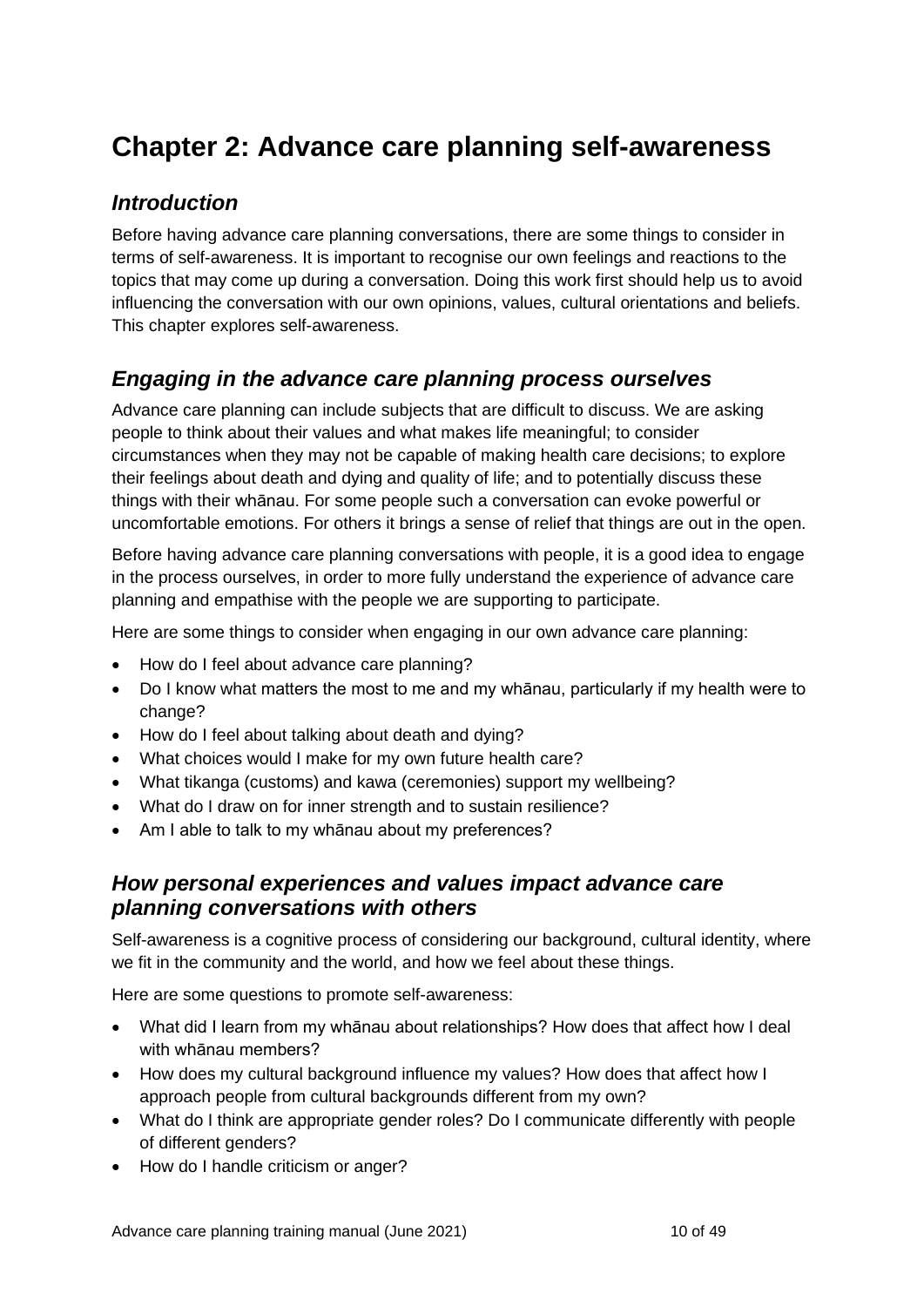## <span id="page-9-0"></span>**Chapter 2: Advance care planning self-awareness**

## <span id="page-9-1"></span>*Introduction*

Before having advance care planning conversations, there are some things to consider in terms of self-awareness. It is important to recognise our own feelings and reactions to the topics that may come up during a conversation. Doing this work first should help us to avoid influencing the conversation with our own opinions, values, cultural orientations and beliefs. This chapter explores self-awareness.

## <span id="page-9-2"></span>*Engaging in the advance care planning process ourselves*

Advance care planning can include subjects that are difficult to discuss. We are asking people to think about their values and what makes life meaningful; to consider circumstances when they may not be capable of making health care decisions; to explore their feelings about death and dying and quality of life; and to potentially discuss these things with their whānau. For some people such a conversation can evoke powerful or uncomfortable emotions. For others it brings a sense of relief that things are out in the open.

Before having advance care planning conversations with people, it is a good idea to engage in the process ourselves, in order to more fully understand the experience of advance care planning and empathise with the people we are supporting to participate.

Here are some things to consider when engaging in our own advance care planning:

- How do I feel about advance care planning?
- Do I know what matters the most to me and my whānau, particularly if my health were to change?
- How do I feel about talking about death and dying?
- What choices would I make for my own future health care?
- What tikanga (customs) and kawa (ceremonies) support my wellbeing?
- What do I draw on for inner strength and to sustain resilience?
- Am I able to talk to my whānau about my preferences?

### <span id="page-9-3"></span>*How personal experiences and values impact advance care planning conversations with others*

Self-awareness is a cognitive process of considering our background, cultural identity, where we fit in the community and the world, and how we feel about these things.

Here are some questions to promote self-awareness:

- What did I learn from my whānau about relationships? How does that affect how I deal with whānau members?
- How does my cultural background influence my values? How does that affect how I approach people from cultural backgrounds different from my own?
- What do I think are appropriate gender roles? Do I communicate differently with people of different genders?
- How do I handle criticism or anger?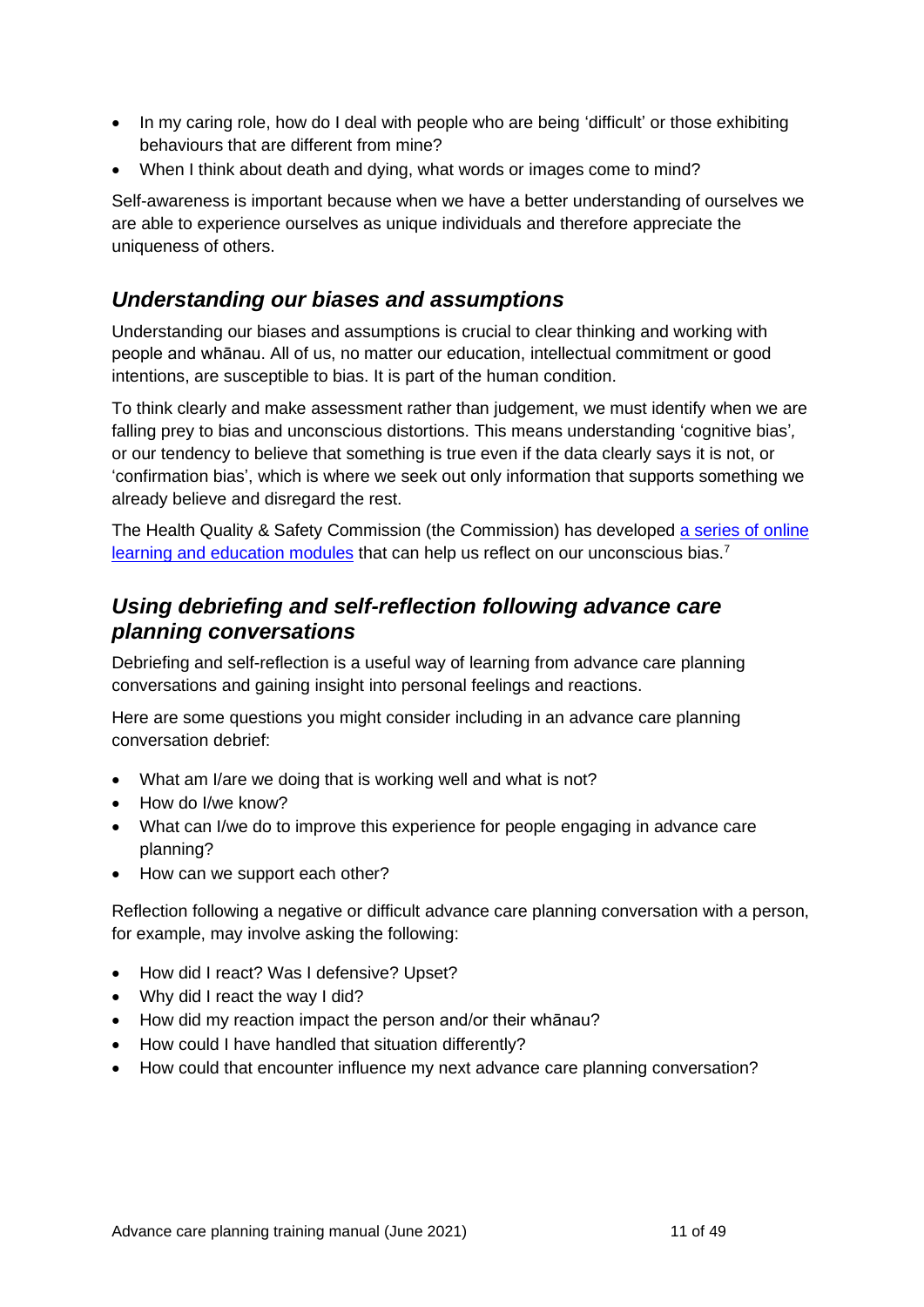- In my caring role, how do I deal with people who are being 'difficult' or those exhibiting behaviours that are different from mine?
- When I think about death and dying, what words or images come to mind?

Self-awareness is important because when we have a better understanding of ourselves we are able to experience ourselves as unique individuals and therefore appreciate the uniqueness of others.

## <span id="page-10-0"></span>*Understanding our biases and assumptions*

Understanding our biases and assumptions is crucial to clear thinking and working with people and whānau. All of us, no matter our education, intellectual commitment or good intentions, are susceptible to bias. It is part of the human condition.

To think clearly and make assessment rather than judgement, we must identify when we are falling prey to bias and unconscious distortions. This means understanding 'cognitive bias'*,* or our tendency to believe that something is true even if the data clearly says it is not, or 'confirmation bias', which is where we seek out only information that supports something we already believe and disregard the rest.

The Health Quality & Safety Commission (the Commission) has developed a series of online [learning and education modules](http://www.hqsc.govt.nz/our-programmes/patient-safety-day/publications-and-resources/publication/3866/) that can help us reflect on our unconscious bias.<sup>7</sup>

## <span id="page-10-1"></span>*Using debriefing and self-reflection following advance care planning conversations*

Debriefing and self-reflection is a useful way of learning from advance care planning conversations and gaining insight into personal feelings and reactions.

Here are some questions you might consider including in an advance care planning conversation debrief:

- What am I/are we doing that is working well and what is not?
- How do I/we know?
- What can I/we do to improve this experience for people engaging in advance care planning?
- How can we support each other?

Reflection following a negative or difficult advance care planning conversation with a person, for example, may involve asking the following:

- How did I react? Was I defensive? Upset?
- Why did I react the way I did?
- How did my reaction impact the person and/or their whānau?
- How could I have handled that situation differently?
- <span id="page-10-2"></span>• How could that encounter influence my next advance care planning conversation?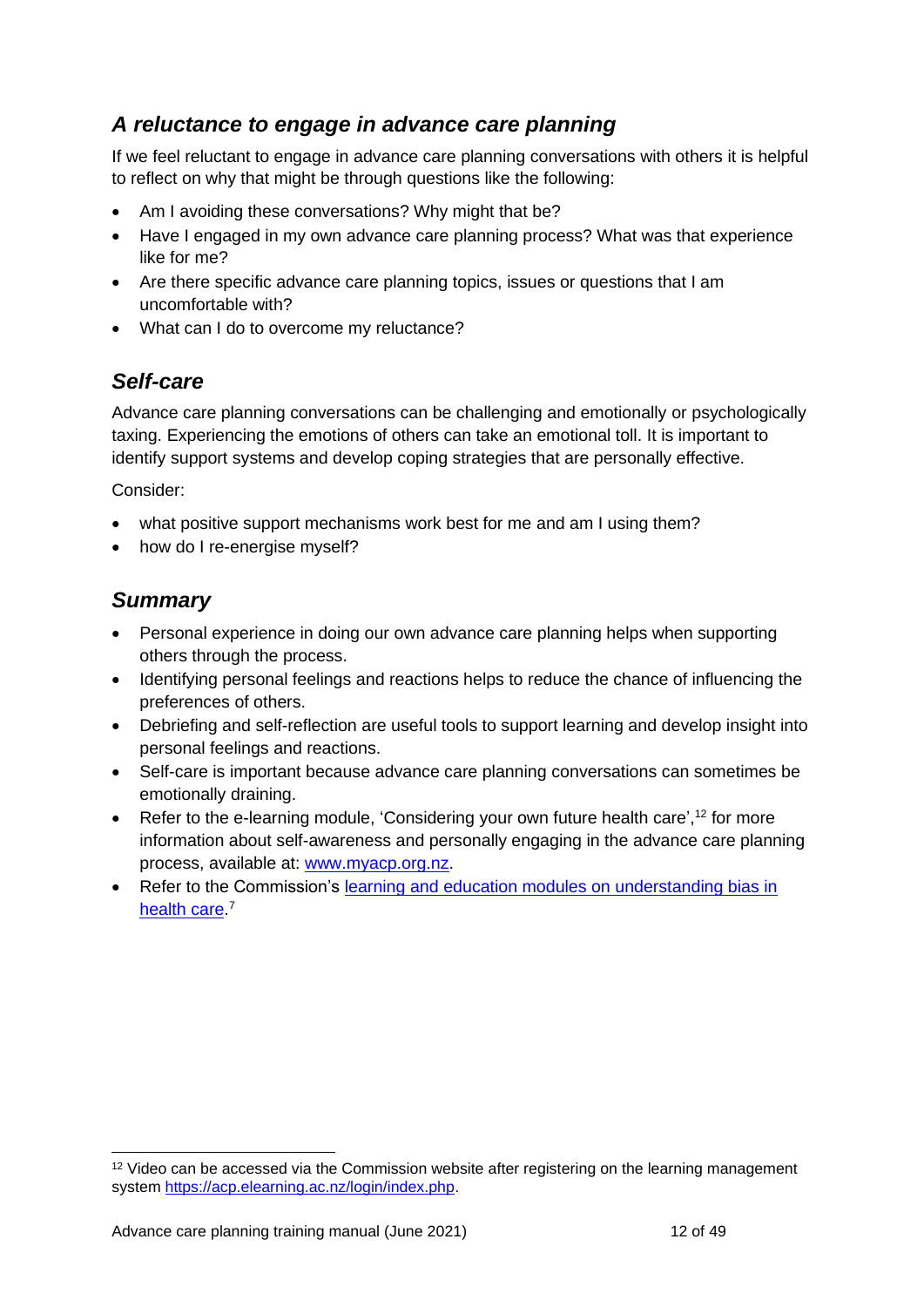## *A reluctance to engage in advance care planning*

If we feel reluctant to engage in advance care planning conversations with others it is helpful to reflect on why that might be through questions like the following:

- Am I avoiding these conversations? Why might that be?
- Have I engaged in my own advance care planning process? What was that experience like for me?
- Are there specific advance care planning topics, issues or questions that I am uncomfortable with?
- What can I do to overcome my reluctance?

## <span id="page-11-0"></span>*Self-care*

Advance care planning conversations can be challenging and emotionally or psychologically taxing. Experiencing the emotions of others can take an emotional toll. It is important to identify support systems and develop coping strategies that are personally effective.

Consider:

- what positive support mechanisms work best for me and am I using them?
- how do I re-energise myself?

## <span id="page-11-1"></span>*Summary*

- Personal experience in doing our own advance care planning helps when supporting others through the process.
- Identifying personal feelings and reactions helps to reduce the chance of influencing the preferences of others.
- Debriefing and self-reflection are useful tools to support learning and develop insight into personal feelings and reactions.
- Self-care is important because advance care planning conversations can sometimes be emotionally draining.
- Refer to the e-learning module, 'Considering your own future health care',<sup>12</sup> for more information about self-awareness and personally engaging in the advance care planning process, available at: [www.myacp.org.nz.](http://www.myacp.org.nz/)
- Refer to the Commission's learning and education modules on understanding bias in [health care.](http://www.hqsc.govt.nz/our-programmes/patient-safety-day/publications-and-resources/publication/3866/)<sup>7</sup>

<sup>&</sup>lt;sup>12</sup> Video can be accessed via the Commission website after registering on the learning management system [https://acp.elearning.ac.nz/login/index.php.](https://acp.elearning.ac.nz/login/index.php)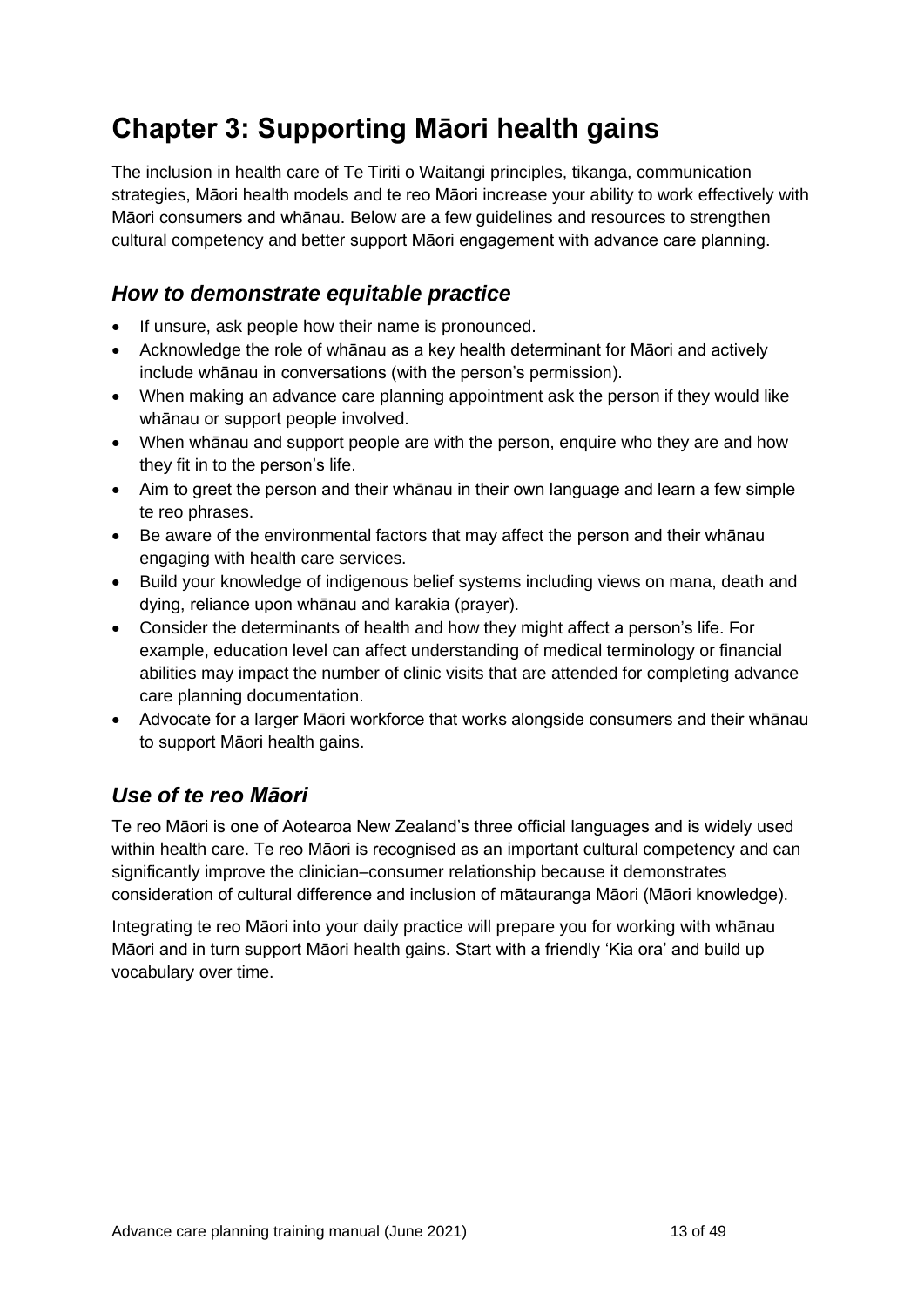## <span id="page-12-0"></span>**Chapter 3: Supporting Māori health gains**

The inclusion in health care of Te Tiriti o Waitangi principles, tikanga, communication strategies, Māori health models and te reo Māori increase your ability to work effectively with Māori consumers and whānau. Below are a few guidelines and resources to strengthen cultural competency and better support Māori engagement with advance care planning.

## <span id="page-12-1"></span>*How to demonstrate equitable practice*

- If unsure, ask people how their name is pronounced.
- Acknowledge the role of whānau as a key health determinant for Māori and actively include whānau in conversations (with the person's permission).
- When making an advance care planning appointment ask the person if they would like whānau or support people involved.
- When whānau and support people are with the person, enquire who they are and how they fit in to the person's life.
- Aim to greet the person and their whānau in their own language and learn a few simple te reo phrases.
- Be aware of the environmental factors that may affect the person and their whānau engaging with health care services.
- Build your knowledge of indigenous belief systems including views on mana, death and dying, reliance upon whānau and karakia (prayer).
- Consider the determinants of health and how they might affect a person's life. For example, education level can affect understanding of medical terminology or financial abilities may impact the number of clinic visits that are attended for completing advance care planning documentation.
- Advocate for a larger Māori workforce that works alongside consumers and their whānau to support Māori health gains.

## <span id="page-12-2"></span>*Use of te reo Māori*

Te reo Māori is one of Aotearoa New Zealand's three official languages and is widely used within health care. Te reo Māori is recognised as an important cultural competency and can significantly improve the clinician–consumer relationship because it demonstrates consideration of cultural difference and inclusion of mātauranga Māori (Māori knowledge).

Integrating te reo Māori into your daily practice will prepare you for working with whānau Māori and in turn support Māori health gains. Start with a friendly 'Kia ora' and build up vocabulary over time.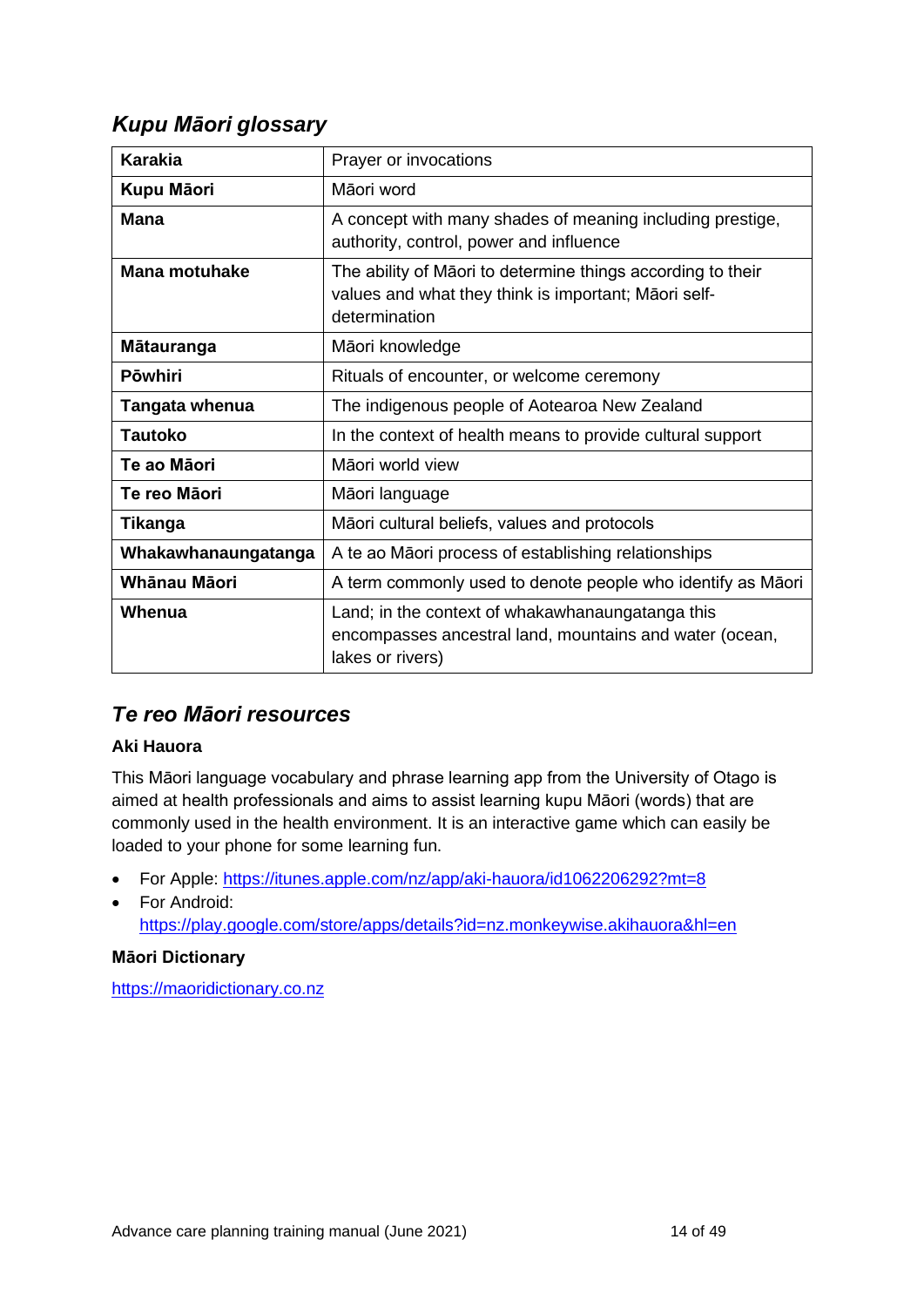## <span id="page-13-0"></span>*Kupu Māori glossary*

| <b>Karakia</b>       | Prayer or invocations                                                                                                                |  |  |
|----------------------|--------------------------------------------------------------------------------------------------------------------------------------|--|--|
| Kupu Māori           | Māori word                                                                                                                           |  |  |
| <b>Mana</b>          | A concept with many shades of meaning including prestige,<br>authority, control, power and influence                                 |  |  |
| <b>Mana motuhake</b> | The ability of Māori to determine things according to their<br>values and what they think is important; Māori self-<br>determination |  |  |
| Mātauranga           | Māori knowledge                                                                                                                      |  |  |
| <b>Pōwhiri</b>       | Rituals of encounter, or welcome ceremony                                                                                            |  |  |
| Tangata whenua       | The indigenous people of Aotearoa New Zealand                                                                                        |  |  |
| <b>Tautoko</b>       | In the context of health means to provide cultural support                                                                           |  |  |
| Te ao Māori          | Māori world view                                                                                                                     |  |  |
| Te reo Māori         | Māori language                                                                                                                       |  |  |
| Tikanga              | Māori cultural beliefs, values and protocols                                                                                         |  |  |
| Whakawhanaungatanga  | A te ao Māori process of establishing relationships                                                                                  |  |  |
| Whānau Māori         | A term commonly used to denote people who identify as Māori                                                                          |  |  |
| Whenua               | Land; in the context of whakawhanaungatanga this<br>encompasses ancestral land, mountains and water (ocean,<br>lakes or rivers)      |  |  |

## <span id="page-13-1"></span>*Te reo Māori resources*

#### **Aki Hauora**

This Māori language vocabulary and phrase learning app from the University of Otago is aimed at health professionals and aims to assist learning kupu Māori (words) that are commonly used in the health environment. It is an interactive game which can easily be loaded to your phone for some learning fun.

- For Apple:<https://itunes.apple.com/nz/app/aki-hauora/id1062206292?mt=8>
- For Android: <https://play.google.com/store/apps/details?id=nz.monkeywise.akihauora&hl=en>

#### **Māori Dictionary**

[https://maoridictionary.co.nz](https://maoridictionary.co.nz/)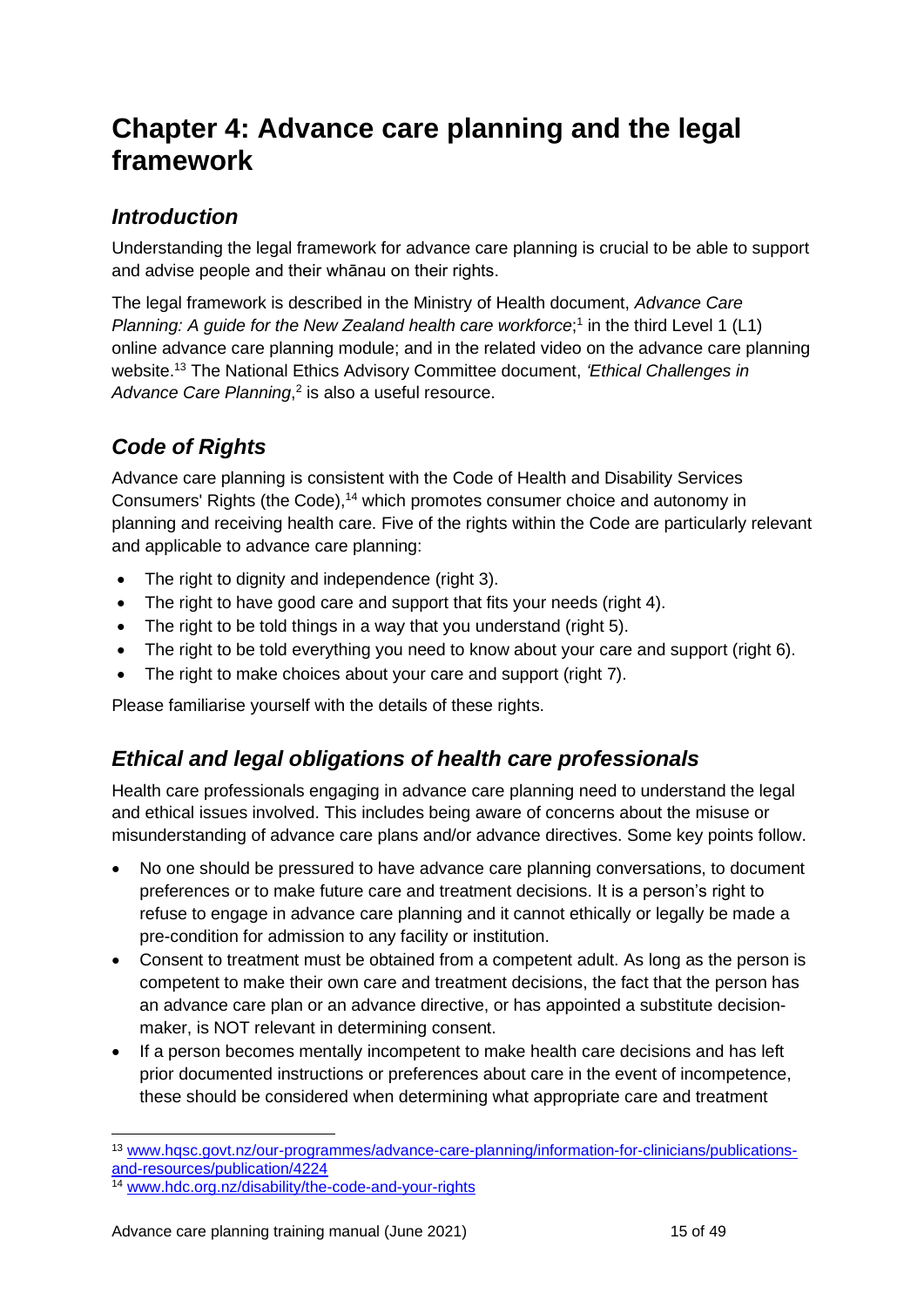## <span id="page-14-0"></span>**Chapter 4: Advance care planning and the legal framework**

## <span id="page-14-1"></span>*Introduction*

Understanding the legal framework for advance care planning is crucial to be able to support and advise people and their whānau on their rights.

The legal framework is described in the Ministry of Health document, *Advance Care*  Planning: A guide for the New Zealand health care workforce;<sup>1</sup> in the third Level 1 (L1) online advance care planning module; and in the related video on the advance care planning website.<sup>13</sup> The National Ethics Advisory Committee document, *'Ethical Challenges in*  Advance Care Planning,<sup>2</sup> is also a useful resource.

## <span id="page-14-2"></span>*Code of Rights*

Advance care planning is consistent with the Code of Health and Disability Services Consumers' Rights (the Code),<sup>14</sup> which promotes consumer choice and autonomy in planning and receiving health care. Five of the rights within the Code are particularly relevant and applicable to advance care planning:

- The right to dignity and independence (right 3).
- The right to have good care and support that fits your needs (right 4).
- The right to be told things in a way that you understand (right 5).
- The right to be told everything you need to know about your care and support (right 6).
- The right to make choices about your care and support (right 7).

Please familiarise yourself with the details of these rights.

## <span id="page-14-3"></span>*Ethical and legal obligations of health care professionals*

Health care professionals engaging in advance care planning need to understand the legal and ethical issues involved. This includes being aware of concerns about the misuse or misunderstanding of advance care plans and/or advance directives. Some key points follow.

- No one should be pressured to have advance care planning conversations, to document preferences or to make future care and treatment decisions. It is a person's right to refuse to engage in advance care planning and it cannot ethically or legally be made a pre-condition for admission to any facility or institution.
- Consent to treatment must be obtained from a competent adult. As long as the person is competent to make their own care and treatment decisions, the fact that the person has an advance care plan or an advance directive, or has appointed a substitute decisionmaker, is NOT relevant in determining consent.
- If a person becomes mentally incompetent to make health care decisions and has left prior documented instructions or preferences about care in the event of incompetence, these should be considered when determining what appropriate care and treatment

<sup>13</sup> [www.hqsc.govt.nz/our-programmes/advance-care-planning/information-for-clinicians/publications](http://www.hqsc.govt.nz/our-programmes/advance-care-planning/information-for-clinicians/publications-and-resources/publication/4224)[and-resources/publication/4224](http://www.hqsc.govt.nz/our-programmes/advance-care-planning/information-for-clinicians/publications-and-resources/publication/4224)

<sup>14</sup> [www.hdc.org.nz/disability/the-code-and-your-rights](http://www.hdc.org.nz/disability/the-code-and-your-rights/)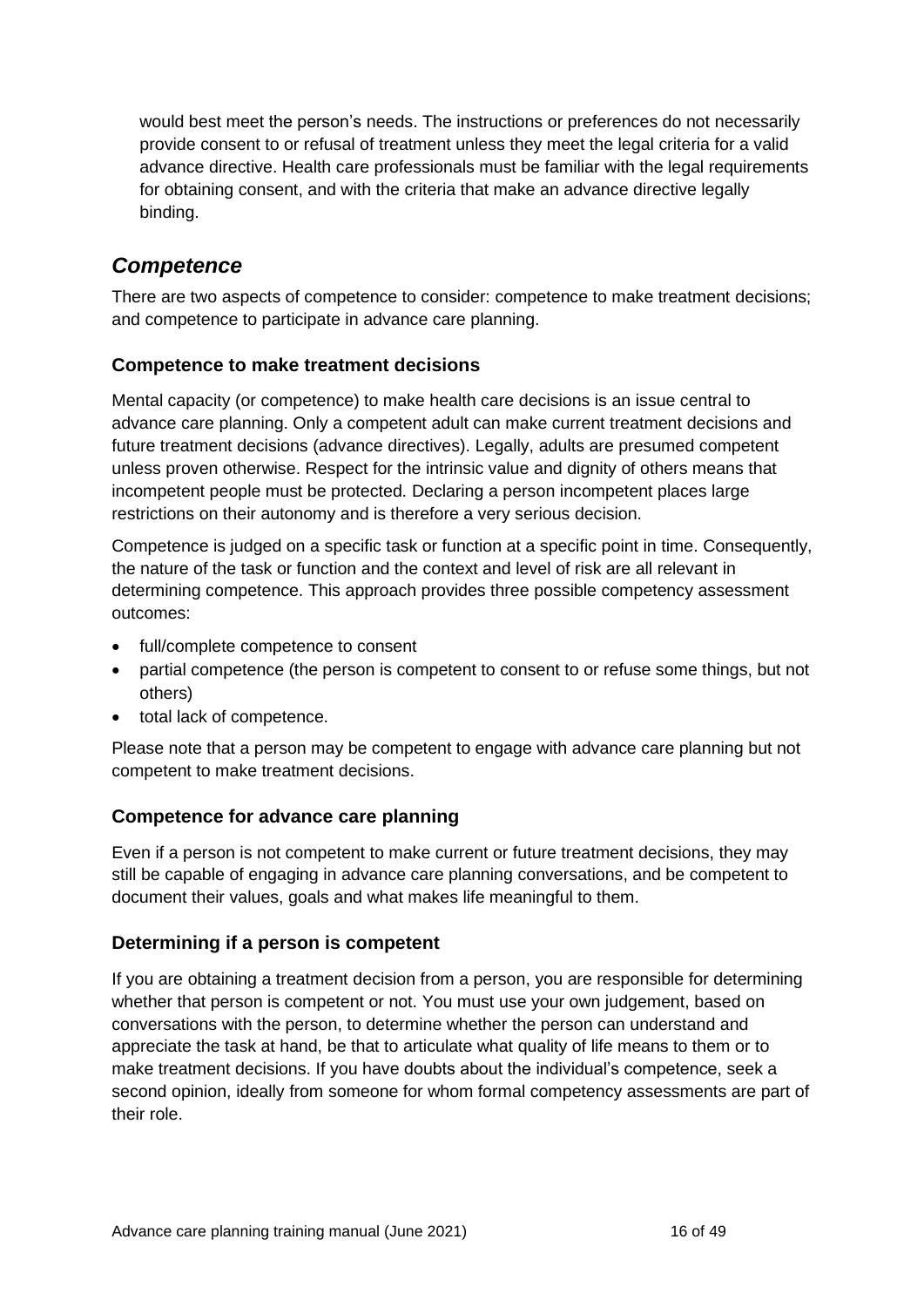would best meet the person's needs. The instructions or preferences do not necessarily provide consent to or refusal of treatment unless they meet the legal criteria for a valid advance directive. Health care professionals must be familiar with the legal requirements for obtaining consent, and with the criteria that make an advance directive legally binding.

## <span id="page-15-0"></span>*Competence*

There are two aspects of competence to consider: competence to make treatment decisions; and competence to participate in advance care planning.

#### **Competence to make treatment decisions**

Mental capacity (or competence) to make health care decisions is an issue central to advance care planning. Only a competent adult can make current treatment decisions and future treatment decisions (advance directives). Legally, adults are presumed competent unless proven otherwise. Respect for the intrinsic value and dignity of others means that incompetent people must be protected. Declaring a person incompetent places large restrictions on their autonomy and is therefore a very serious decision.

Competence is judged on a specific task or function at a specific point in time. Consequently, the nature of the task or function and the context and level of risk are all relevant in determining competence. This approach provides three possible competency assessment outcomes:

- full/complete competence to consent
- partial competence (the person is competent to consent to or refuse some things, but not others)
- total lack of competence.

Please note that a person may be competent to engage with advance care planning but not competent to make treatment decisions.

#### **Competence for advance care planning**

Even if a person is not competent to make current or future treatment decisions, they may still be capable of engaging in advance care planning conversations, and be competent to document their values, goals and what makes life meaningful to them.

#### **Determining if a person is competent**

If you are obtaining a treatment decision from a person, you are responsible for determining whether that person is competent or not. You must use your own judgement, based on conversations with the person, to determine whether the person can understand and appreciate the task at hand, be that to articulate what quality of life means to them or to make treatment decisions. If you have doubts about the individual's competence, seek a second opinion, ideally from someone for whom formal competency assessments are part of their role.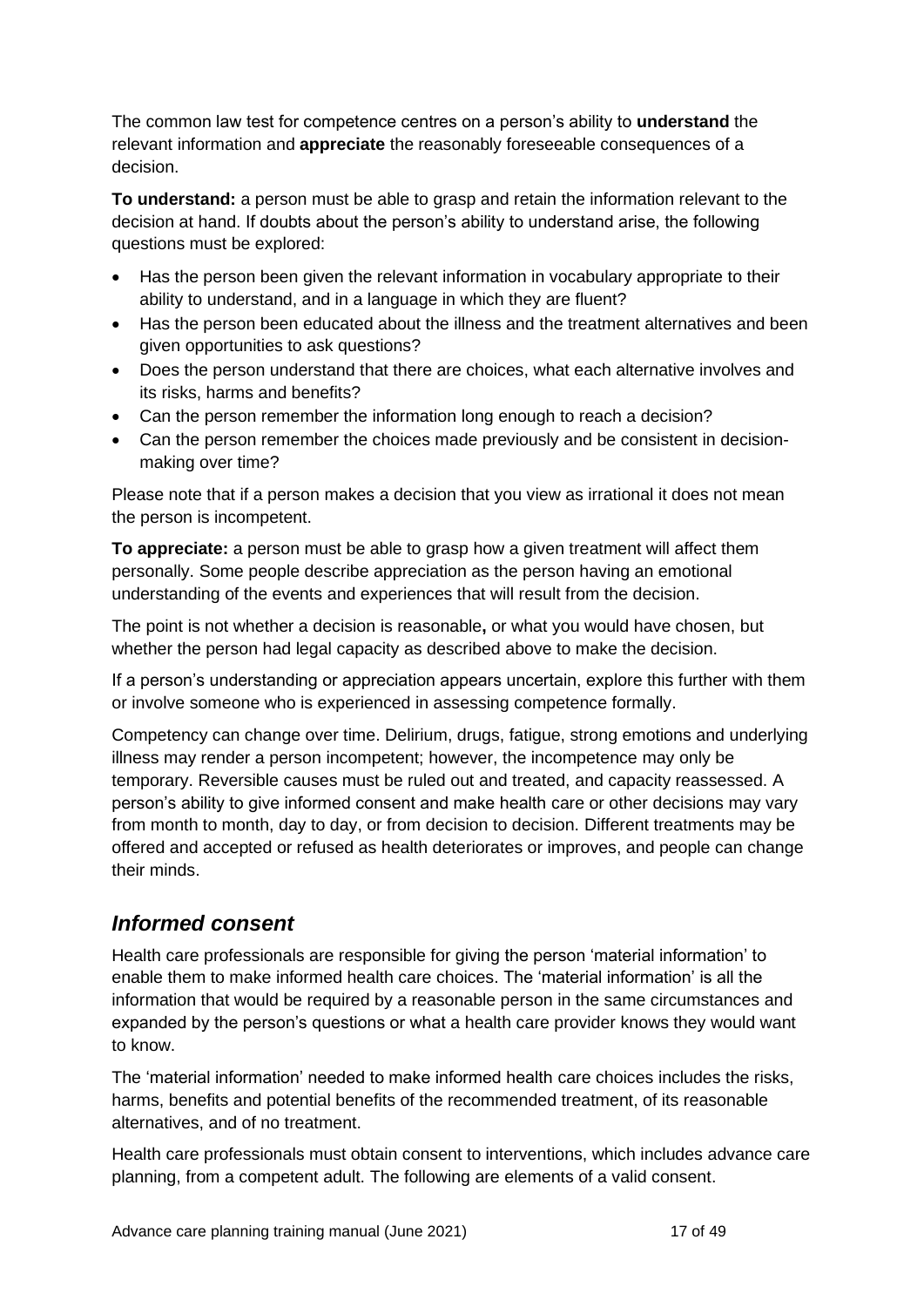The common law test for competence centres on a person's ability to **understand** the relevant information and **appreciate** the reasonably foreseeable consequences of a decision.

**To understand:** a person must be able to grasp and retain the information relevant to the decision at hand. If doubts about the person's ability to understand arise, the following questions must be explored:

- Has the person been given the relevant information in vocabulary appropriate to their ability to understand, and in a language in which they are fluent?
- Has the person been educated about the illness and the treatment alternatives and been given opportunities to ask questions?
- Does the person understand that there are choices, what each alternative involves and its risks, harms and benefits?
- Can the person remember the information long enough to reach a decision?
- Can the person remember the choices made previously and be consistent in decisionmaking over time?

Please note that if a person makes a decision that you view as irrational it does not mean the person is incompetent.

**To appreciate:** a person must be able to grasp how a given treatment will affect them personally. Some people describe appreciation as the person having an emotional understanding of the events and experiences that will result from the decision.

The point is not whether a decision is reasonable**,** or what you would have chosen, but whether the person had legal capacity as described above to make the decision.

If a person's understanding or appreciation appears uncertain, explore this further with them or involve someone who is experienced in assessing competence formally.

Competency can change over time. Delirium, drugs, fatigue, strong emotions and underlying illness may render a person incompetent; however, the incompetence may only be temporary. Reversible causes must be ruled out and treated, and capacity reassessed. A person's ability to give informed consent and make health care or other decisions may vary from month to month, day to day, or from decision to decision. Different treatments may be offered and accepted or refused as health deteriorates or improves, and people can change their minds.

### <span id="page-16-0"></span>*Informed consent*

Health care professionals are responsible for giving the person 'material information' to enable them to make informed health care choices. The 'material information' is all the information that would be required by a reasonable person in the same circumstances and expanded by the person's questions or what a health care provider knows they would want to know.

The 'material information' needed to make informed health care choices includes the risks, harms, benefits and potential benefits of the recommended treatment, of its reasonable alternatives, and of no treatment.

Health care professionals must obtain consent to interventions, which includes advance care planning, from a competent adult. The following are elements of a valid consent.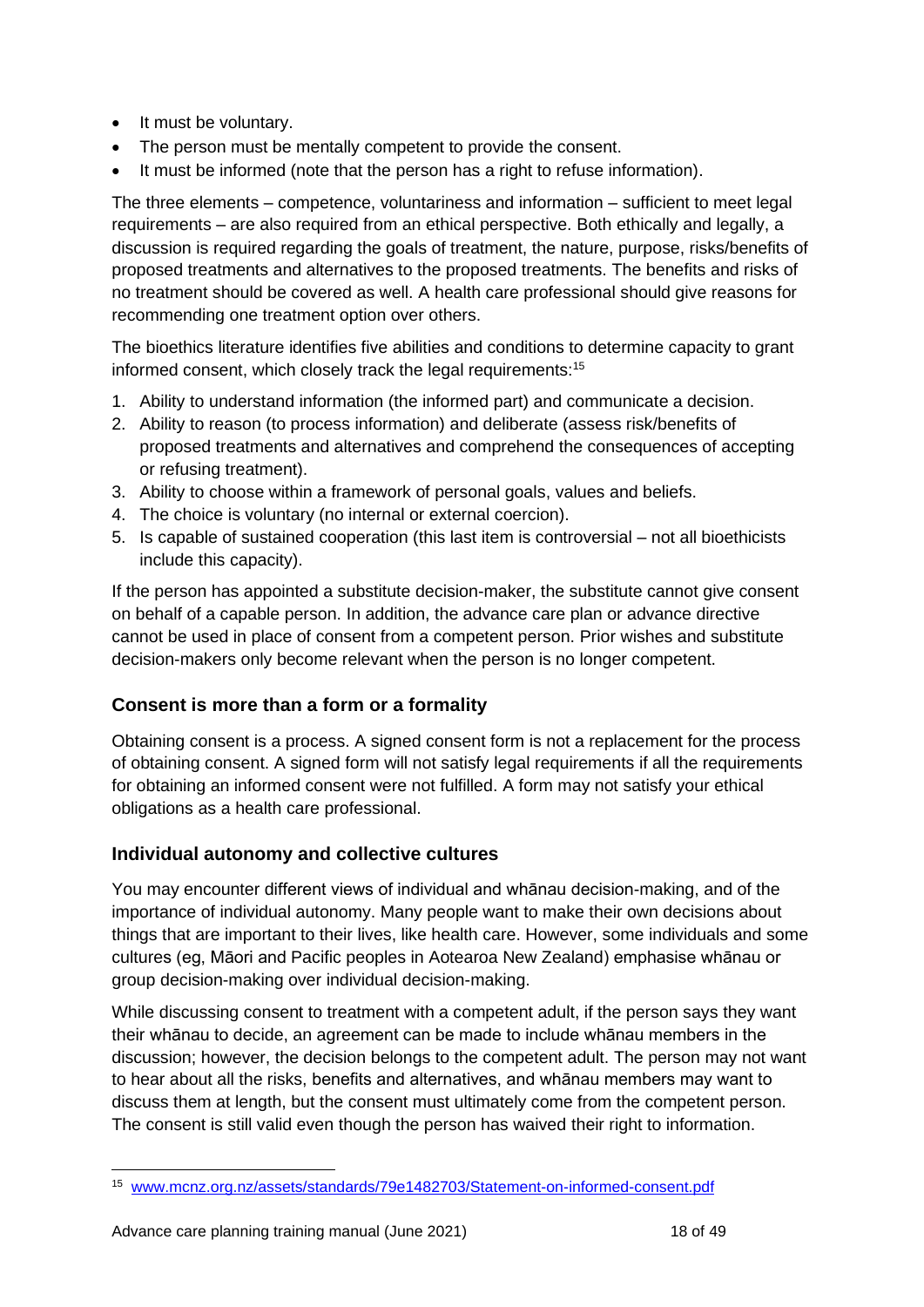- It must be voluntary.
- The person must be mentally competent to provide the consent.
- It must be informed (note that the person has a right to refuse information).

The three elements – competence, voluntariness and information – sufficient to meet legal requirements – are also required from an ethical perspective. Both ethically and legally, a discussion is required regarding the goals of treatment, the nature, purpose, risks/benefits of proposed treatments and alternatives to the proposed treatments. The benefits and risks of no treatment should be covered as well. A health care professional should give reasons for recommending one treatment option over others.

The bioethics literature identifies five abilities and conditions to determine capacity to grant informed consent, which closely track the legal requirements:<sup>15</sup>

- 1. Ability to understand information (the informed part) and communicate a decision.
- 2. Ability to reason (to process information) and deliberate (assess risk/benefits of proposed treatments and alternatives and comprehend the consequences of accepting or refusing treatment).
- 3. Ability to choose within a framework of personal goals, values and beliefs.
- 4. The choice is voluntary (no internal or external coercion).
- 5. Is capable of sustained cooperation (this last item is controversial not all bioethicists include this capacity).

If the person has appointed a substitute decision-maker, the substitute cannot give consent on behalf of a capable person. In addition, the advance care plan or advance directive cannot be used in place of consent from a competent person. Prior wishes and substitute decision-makers only become relevant when the person is no longer competent.

#### **Consent is more than a form or a formality**

Obtaining consent is a process. A signed consent form is not a replacement for the process of obtaining consent. A signed form will not satisfy legal requirements if all the requirements for obtaining an informed consent were not fulfilled. A form may not satisfy your ethical obligations as a health care professional.

#### **Individual autonomy and collective cultures**

You may encounter different views of individual and whānau decision-making, and of the importance of individual autonomy. Many people want to make their own decisions about things that are important to their lives, like health care. However, some individuals and some cultures (eg, Māori and Pacific peoples in Aotearoa New Zealand) emphasise whānau or group decision-making over individual decision-making.

While discussing consent to treatment with a competent adult, if the person says they want their whānau to decide, an agreement can be made to include whānau members in the discussion; however, the decision belongs to the competent adult. The person may not want to hear about all the risks, benefits and alternatives, and whānau members may want to discuss them at length, but the consent must ultimately come from the competent person. The consent is still valid even though the person has waived their right to information.

<sup>15</sup> [www.mcnz.org.nz/assets/standards/79e1482703/Statement-on-informed-consent.pdf](http://www.mcnz.org.nz/assets/standards/79e1482703/Statement-on-informed-consent.pdf)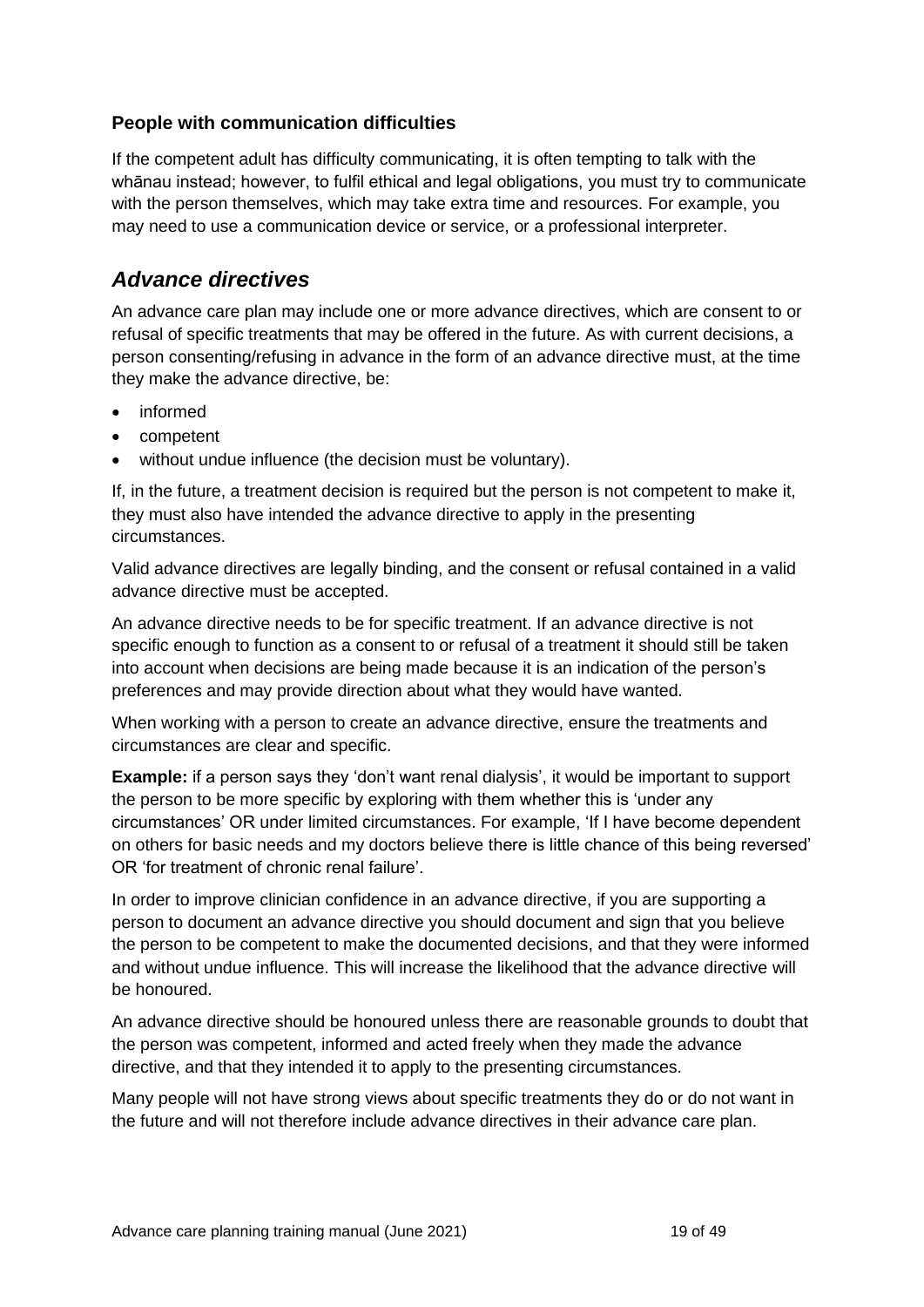#### **People with communication difficulties**

If the competent adult has difficulty communicating, it is often tempting to talk with the whānau instead; however, to fulfil ethical and legal obligations, you must try to communicate with the person themselves, which may take extra time and resources. For example, you may need to use a communication device or service, or a professional interpreter.

### <span id="page-18-0"></span>*Advance directives*

An advance care plan may include one or more advance directives, which are consent to or refusal of specific treatments that may be offered in the future. As with current decisions, a person consenting/refusing in advance in the form of an advance directive must, at the time they make the advance directive, be:

- informed
- competent
- without undue influence (the decision must be voluntary).

If, in the future, a treatment decision is required but the person is not competent to make it, they must also have intended the advance directive to apply in the presenting circumstances.

Valid advance directives are legally binding, and the consent or refusal contained in a valid advance directive must be accepted.

An advance directive needs to be for specific treatment. If an advance directive is not specific enough to function as a consent to or refusal of a treatment it should still be taken into account when decisions are being made because it is an indication of the person's preferences and may provide direction about what they would have wanted.

When working with a person to create an advance directive, ensure the treatments and circumstances are clear and specific.

**Example:** if a person says they 'don't want renal dialysis', it would be important to support the person to be more specific by exploring with them whether this is 'under any circumstances' OR under limited circumstances. For example, 'If I have become dependent on others for basic needs and my doctors believe there is little chance of this being reversed' OR 'for treatment of chronic renal failure'.

In order to improve clinician confidence in an advance directive, if you are supporting a person to document an advance directive you should document and sign that you believe the person to be competent to make the documented decisions, and that they were informed and without undue influence. This will increase the likelihood that the advance directive will be honoured.

An advance directive should be honoured unless there are reasonable grounds to doubt that the person was competent, informed and acted freely when they made the advance directive, and that they intended it to apply to the presenting circumstances.

Many people will not have strong views about specific treatments they do or do not want in the future and will not therefore include advance directives in their advance care plan.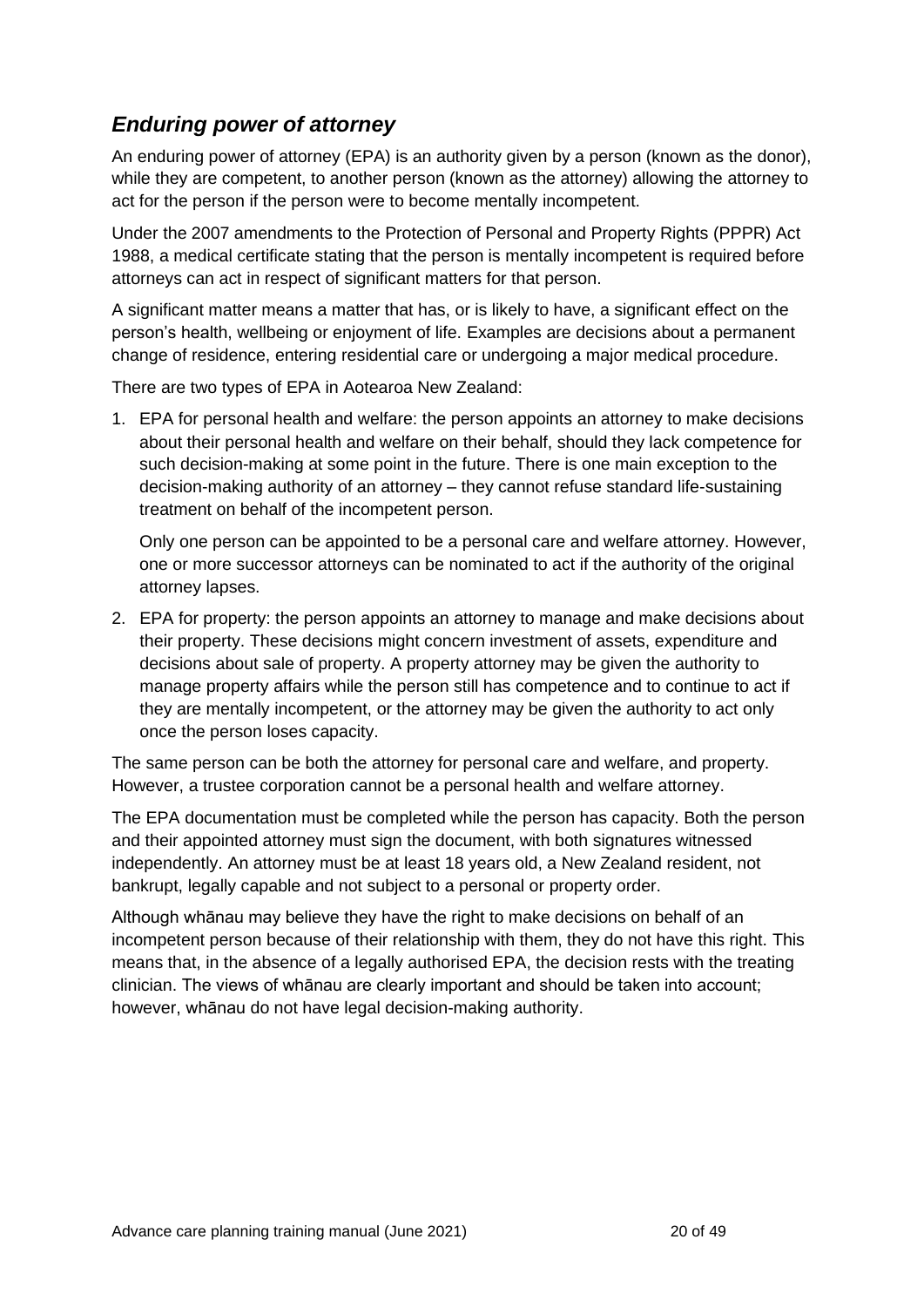## <span id="page-19-0"></span>*Enduring power of attorney*

An enduring power of attorney (EPA) is an authority given by a person (known as the donor), while they are competent, to another person (known as the attorney) allowing the attorney to act for the person if the person were to become mentally incompetent.

Under the 2007 amendments to the Protection of Personal and Property Rights (PPPR) Act 1988, a medical certificate stating that the person is mentally incompetent is required before attorneys can act in respect of significant matters for that person.

A significant matter means a matter that has, or is likely to have, a significant effect on the person's health, wellbeing or enjoyment of life. Examples are decisions about a permanent change of residence, entering residential care or undergoing a major medical procedure.

There are two types of EPA in Aotearoa New Zealand:

1. EPA for personal health and welfare: the person appoints an attorney to make decisions about their personal health and welfare on their behalf, should they lack competence for such decision-making at some point in the future. There is one main exception to the decision-making authority of an attorney – they cannot refuse standard life-sustaining treatment on behalf of the incompetent person.

Only one person can be appointed to be a personal care and welfare attorney. However, one or more successor attorneys can be nominated to act if the authority of the original attorney lapses.

2. EPA for property: the person appoints an attorney to manage and make decisions about their property. These decisions might concern investment of assets, expenditure and decisions about sale of property. A property attorney may be given the authority to manage property affairs while the person still has competence and to continue to act if they are mentally incompetent, or the attorney may be given the authority to act only once the person loses capacity.

The same person can be both the attorney for personal care and welfare, and property. However, a trustee corporation cannot be a personal health and welfare attorney.

The EPA documentation must be completed while the person has capacity. Both the person and their appointed attorney must sign the document, with both signatures witnessed independently. An attorney must be at least 18 years old, a New Zealand resident, not bankrupt, legally capable and not subject to a personal or property order.

Although whānau may believe they have the right to make decisions on behalf of an incompetent person because of their relationship with them, they do not have this right. This means that, in the absence of a legally authorised EPA, the decision rests with the treating clinician. The views of whānau are clearly important and should be taken into account; however, whānau do not have legal decision-making authority.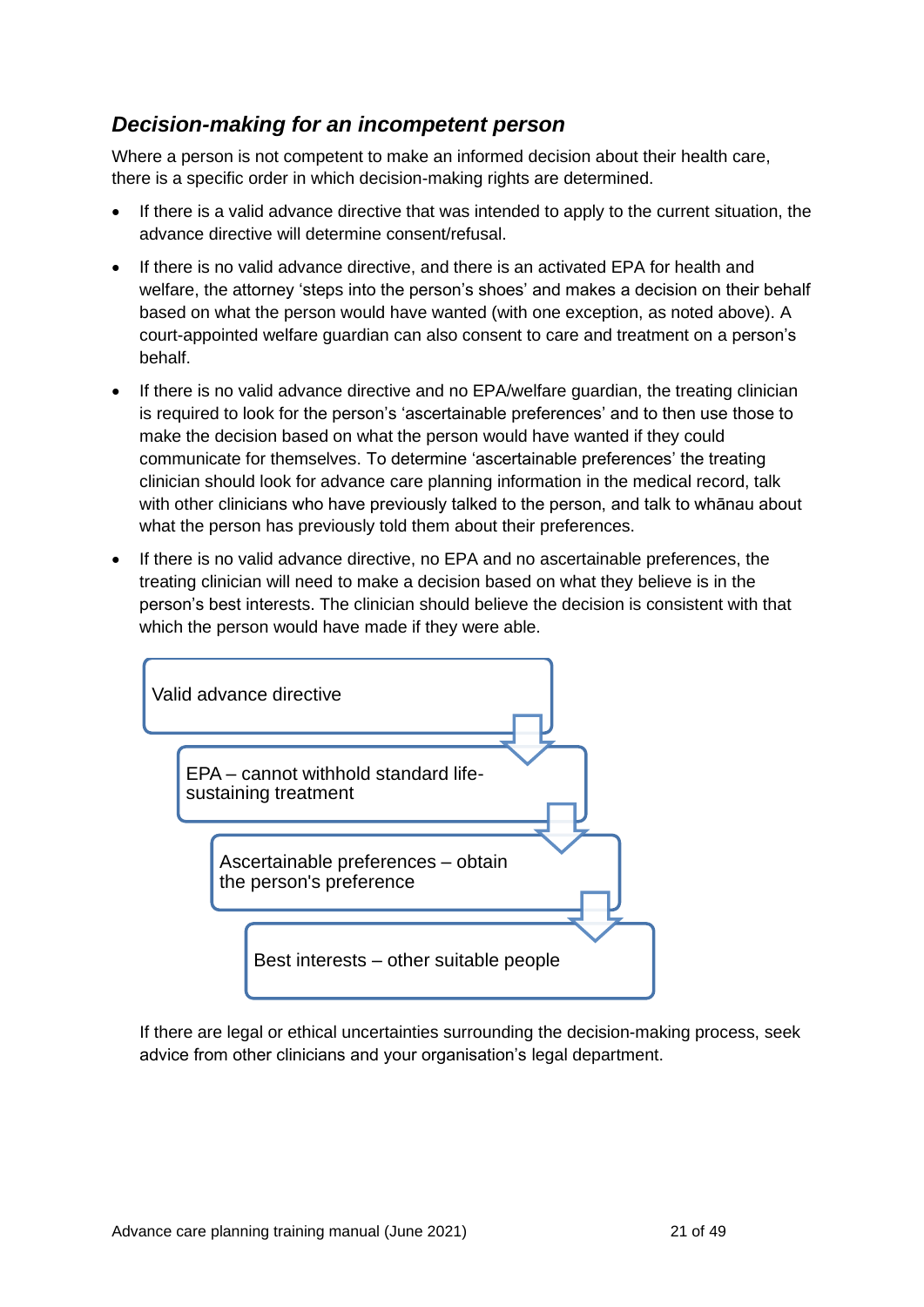## <span id="page-20-0"></span>*Decision-making for an incompetent person*

Where a person is not competent to make an informed decision about their health care, there is a specific order in which decision-making rights are determined.

- If there is a valid advance directive that was intended to apply to the current situation, the advance directive will determine consent/refusal.
- If there is no valid advance directive, and there is an activated EPA for health and welfare, the attorney 'steps into the person's shoes' and makes a decision on their behalf based on what the person would have wanted (with one exception, as noted above). A court-appointed welfare guardian can also consent to care and treatment on a person's behalf.
- If there is no valid advance directive and no EPA/welfare guardian, the treating clinician is required to look for the person's 'ascertainable preferences' and to then use those to make the decision based on what the person would have wanted if they could communicate for themselves. To determine 'ascertainable preferences' the treating clinician should look for advance care planning information in the medical record, talk with other clinicians who have previously talked to the person, and talk to whānau about what the person has previously told them about their preferences.
- If there is no valid advance directive, no EPA and no ascertainable preferences, the treating clinician will need to make a decision based on what they believe is in the person's best interests. The clinician should believe the decision is consistent with that which the person would have made if they were able.



If there are legal or ethical uncertainties surrounding the decision-making process, seek advice from other clinicians and your organisation's legal department.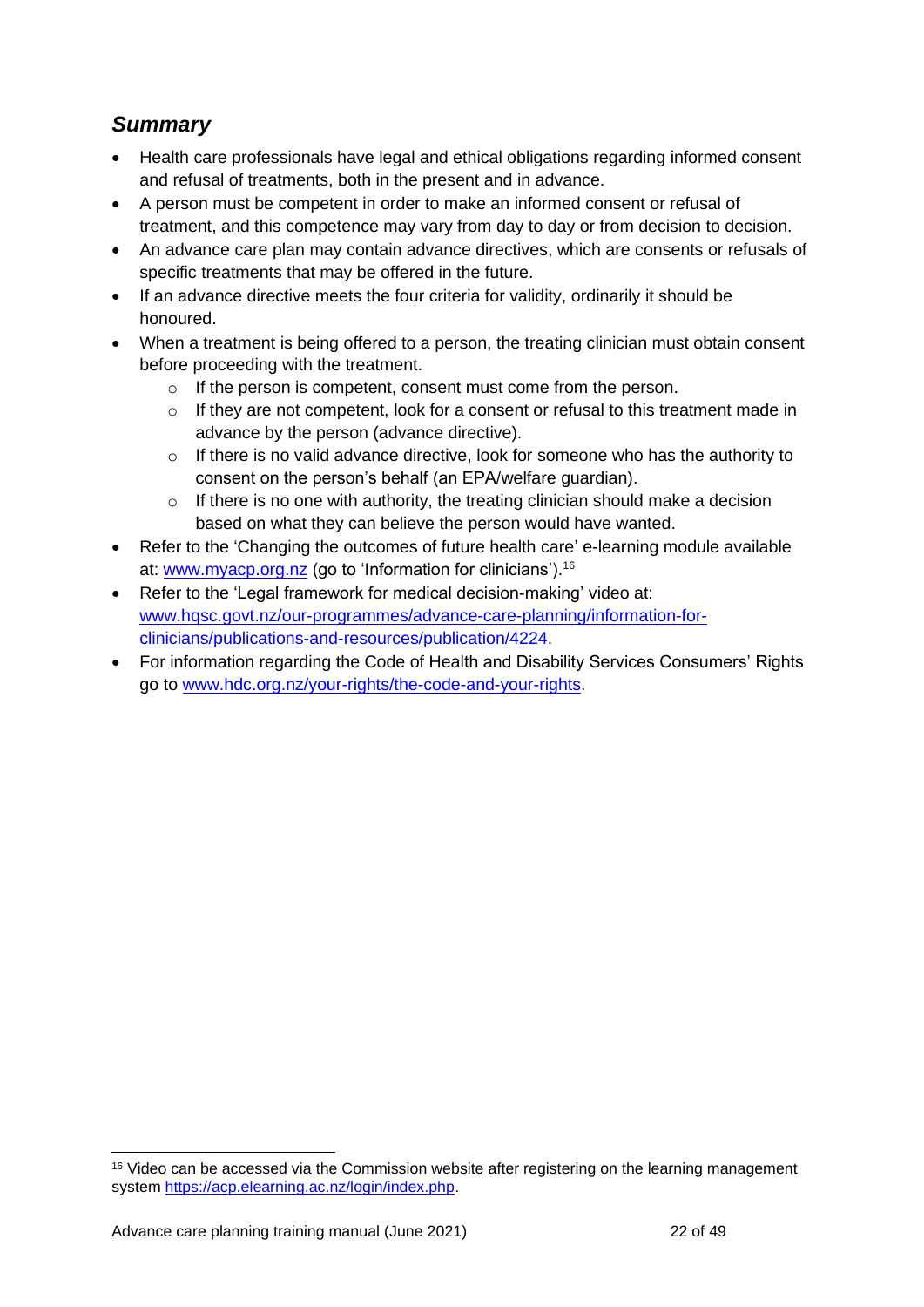## <span id="page-21-0"></span>*Summary*

- Health care professionals have legal and ethical obligations regarding informed consent and refusal of treatments, both in the present and in advance.
- A person must be competent in order to make an informed consent or refusal of treatment, and this competence may vary from day to day or from decision to decision.
- An advance care plan may contain advance directives, which are consents or refusals of specific treatments that may be offered in the future.
- If an advance directive meets the four criteria for validity, ordinarily it should be honoured.
- When a treatment is being offered to a person, the treating clinician must obtain consent before proceeding with the treatment.
	- o If the person is competent, consent must come from the person.
	- $\circ$  If they are not competent, look for a consent or refusal to this treatment made in advance by the person (advance directive).
	- $\circ$  If there is no valid advance directive, look for someone who has the authority to consent on the person's behalf (an EPA/welfare guardian).
	- $\circ$  If there is no one with authority, the treating clinician should make a decision based on what they can believe the person would have wanted.
- Refer to the 'Changing the outcomes of future health care' e-learning module available at: [www.myacp.org.nz](http://www.myacp.org.nz/) (go to 'Information for clinicians').<sup>16</sup>
- Refer to the 'Legal framework for medical decision-making' video at: [www.hqsc.govt.nz/our-programmes/advance-care-planning/information-for](http://www.hqsc.govt.nz/our-programmes/advance-care-planning/information-for-clinicians/publications-and-resources/publication/4224)[clinicians/publications-and-resources/publication/4224.](http://www.hqsc.govt.nz/our-programmes/advance-care-planning/information-for-clinicians/publications-and-resources/publication/4224)
- For information regarding the Code of Health and Disability Services Consumers' Rights go to [www.hdc.org.nz/your-rights/the-code-and-your-rights.](http://www.hdc.org.nz/your-rights/the-code-and-your-rights)

<sup>&</sup>lt;sup>16</sup> Video can be accessed via the Commission website after registering on the learning management system [https://acp.elearning.ac.nz/login/index.php.](https://acp.elearning.ac.nz/login/index.php)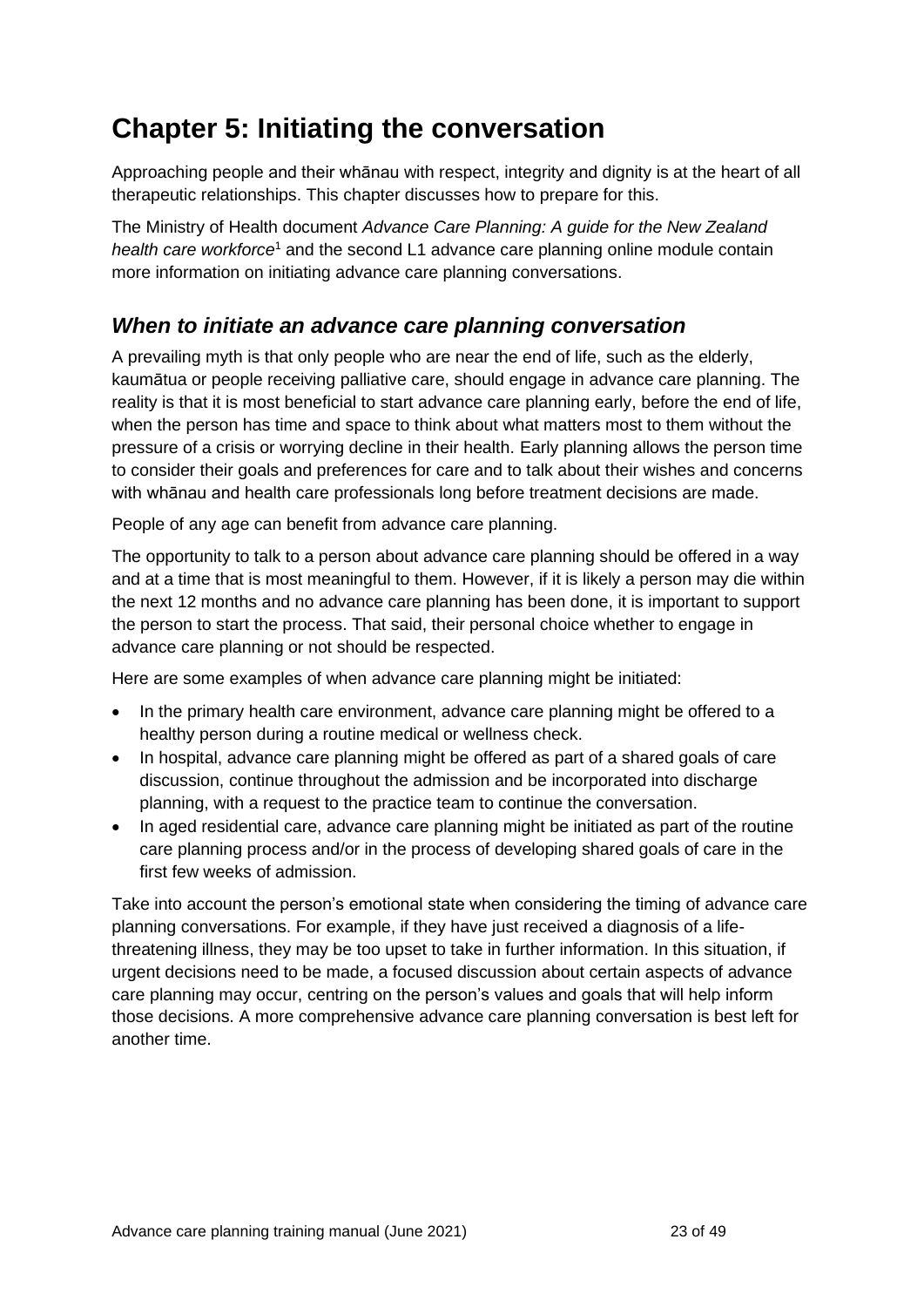## <span id="page-22-0"></span>**Chapter 5: Initiating the conversation**

Approaching people and their whānau with respect, integrity and dignity is at the heart of all therapeutic relationships. This chapter discusses how to prepare for this.

The Ministry of Health document *Advance Care Planning: A guide for the New Zealand*  health care workforce<sup>1</sup> and the second L1 advance care planning online module contain more information on initiating advance care planning conversations.

## <span id="page-22-1"></span>*When to initiate an advance care planning conversation*

A prevailing myth is that only people who are near the end of life, such as the elderly, kaumātua or people receiving palliative care, should engage in advance care planning. The reality is that it is most beneficial to start advance care planning early, before the end of life, when the person has time and space to think about what matters most to them without the pressure of a crisis or worrying decline in their health. Early planning allows the person time to consider their goals and preferences for care and to talk about their wishes and concerns with whānau and health care professionals long before treatment decisions are made.

People of any age can benefit from advance care planning.

The opportunity to talk to a person about advance care planning should be offered in a way and at a time that is most meaningful to them. However, if it is likely a person may die within the next 12 months and no advance care planning has been done, it is important to support the person to start the process. That said, their personal choice whether to engage in advance care planning or not should be respected.

Here are some examples of when advance care planning might be initiated:

- In the primary health care environment, advance care planning might be offered to a healthy person during a routine medical or wellness check.
- In hospital, advance care planning might be offered as part of a shared goals of care discussion, continue throughout the admission and be incorporated into discharge planning, with a request to the practice team to continue the conversation.
- In aged residential care, advance care planning might be initiated as part of the routine care planning process and/or in the process of developing shared goals of care in the first few weeks of admission.

Take into account the person's emotional state when considering the timing of advance care planning conversations. For example, if they have just received a diagnosis of a lifethreatening illness, they may be too upset to take in further information. In this situation, if urgent decisions need to be made, a focused discussion about certain aspects of advance care planning may occur, centring on the person's values and goals that will help inform those decisions. A more comprehensive advance care planning conversation is best left for another time.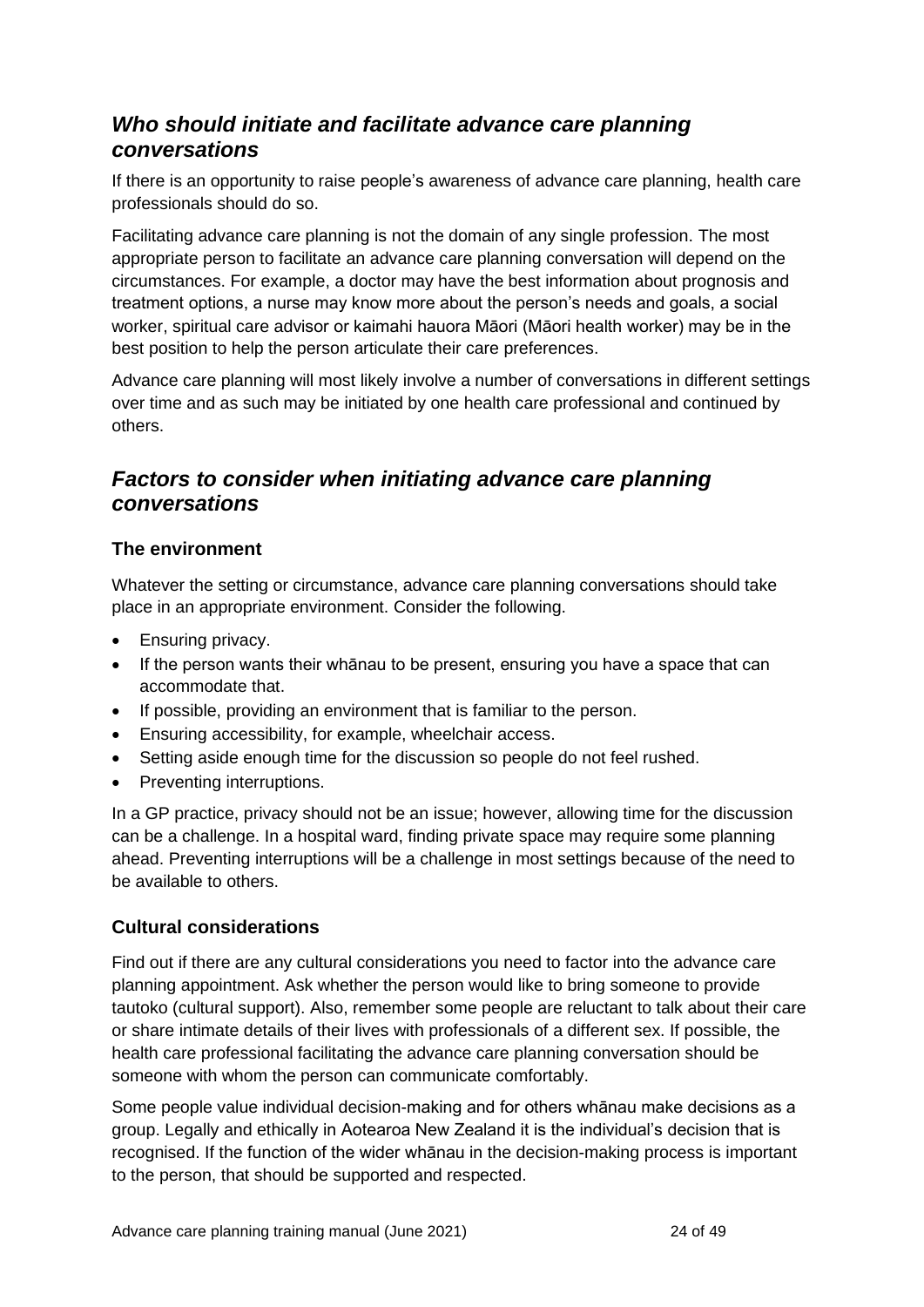## <span id="page-23-0"></span>*Who should initiate and facilitate advance care planning conversations*

If there is an opportunity to raise people's awareness of advance care planning, health care professionals should do so.

Facilitating advance care planning is not the domain of any single profession. The most appropriate person to facilitate an advance care planning conversation will depend on the circumstances. For example, a doctor may have the best information about prognosis and treatment options, a nurse may know more about the person's needs and goals, a social worker, spiritual care advisor or kaimahi hauora Māori (Māori health worker) may be in the best position to help the person articulate their care preferences.

Advance care planning will most likely involve a number of conversations in different settings over time and as such may be initiated by one health care professional and continued by others.

### <span id="page-23-1"></span>*Factors to consider when initiating advance care planning conversations*

#### **The environment**

Whatever the setting or circumstance, advance care planning conversations should take place in an appropriate environment. Consider the following.

- Ensuring privacy.
- If the person wants their whānau to be present, ensuring you have a space that can accommodate that.
- If possible, providing an environment that is familiar to the person.
- Ensuring accessibility, for example, wheelchair access.
- Setting aside enough time for the discussion so people do not feel rushed.
- Preventing interruptions.

In a GP practice, privacy should not be an issue; however, allowing time for the discussion can be a challenge. In a hospital ward, finding private space may require some planning ahead. Preventing interruptions will be a challenge in most settings because of the need to be available to others.

#### **Cultural considerations**

Find out if there are any cultural considerations you need to factor into the advance care planning appointment. Ask whether the person would like to bring someone to provide tautoko (cultural support). Also, remember some people are reluctant to talk about their care or share intimate details of their lives with professionals of a different sex. If possible, the health care professional facilitating the advance care planning conversation should be someone with whom the person can communicate comfortably.

Some people value individual decision-making and for others whānau make decisions as a group. Legally and ethically in Aotearoa New Zealand it is the individual's decision that is recognised. If the function of the wider whānau in the decision-making process is important to the person, that should be supported and respected.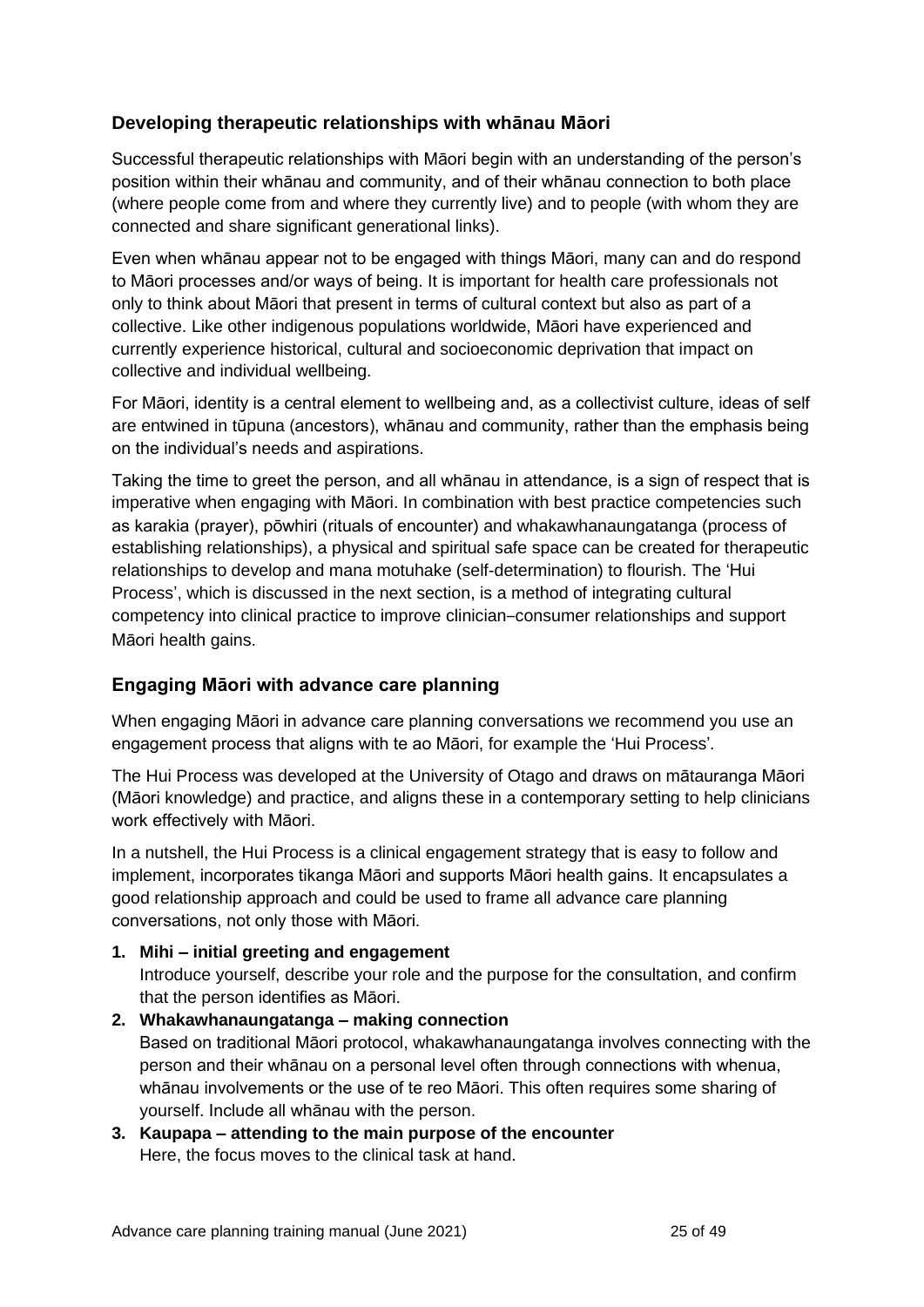#### **Developing therapeutic relationships with whānau Māori**

Successful therapeutic relationships with Māori begin with an understanding of the person's position within their whānau and community, and of their whānau connection to both place (where people come from and where they currently live) and to people (with whom they are connected and share significant generational links).

Even when whānau appear not to be engaged with things Māori, many can and do respond to Māori processes and/or ways of being. It is important for health care professionals not only to think about Māori that present in terms of cultural context but also as part of a collective. Like other indigenous populations worldwide, Māori have experienced and currently experience historical, cultural and socioeconomic deprivation that impact on collective and individual wellbeing.

For Māori, identity is a central element to wellbeing and, as a collectivist culture, ideas of self are entwined in tūpuna (ancestors), whānau and community, rather than the emphasis being on the individual's needs and aspirations.

Taking the time to greet the person, and all whānau in attendance, is a sign of respect that is imperative when engaging with Māori. In combination with best practice competencies such as karakia (prayer), pōwhiri (rituals of encounter) and whakawhanaungatanga (process of establishing relationships), a physical and spiritual safe space can be created for therapeutic relationships to develop and mana motuhake (self-determination) to flourish. The 'Hui Process', which is discussed in the next section, is a method of integrating cultural competency into clinical practice to improve clinician–consumer relationships and support Māori health gains.

#### **Engaging Māori with advance care planning**

When engaging Māori in advance care planning conversations we recommend you use an engagement process that aligns with te ao Māori, for example the 'Hui Process'*.*

The Hui Process was developed at the University of Otago and draws on mātauranga Māori (Māori knowledge) and practice, and aligns these in a contemporary setting to help clinicians work effectively with Māori.

In a nutshell, the Hui Process is a clinical engagement strategy that is easy to follow and implement, incorporates tikanga Māori and supports Māori health gains. It encapsulates a good relationship approach and could be used to frame all advance care planning conversations, not only those with Māori.

#### **1. Mihi – initial greeting and engagement**

Introduce yourself, describe your role and the purpose for the consultation, and confirm that the person identifies as Māori.

- **2. Whakawhanaungatanga – making connection** Based on traditional Māori protocol, whakawhanaungatanga involves connecting with the person and their whānau on a personal level often through connections with whenua, whānau involvements or the use of te reo Māori. This often requires some sharing of yourself. Include all whānau with the person.
- **3. Kaupapa – attending to the main purpose of the encounter**  Here, the focus moves to the clinical task at hand.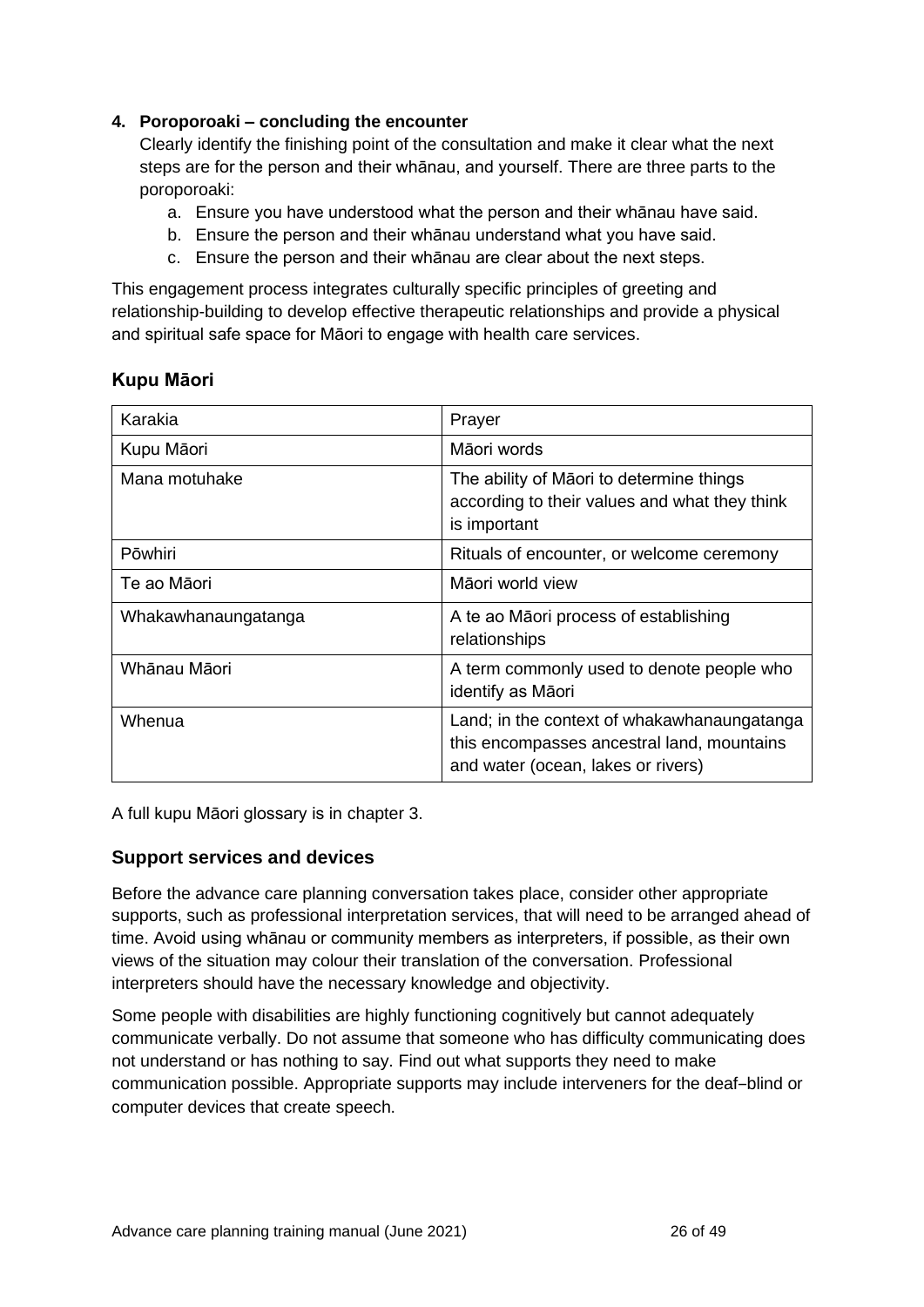#### **4. Poroporoaki – concluding the encounter**

Clearly identify the finishing point of the consultation and make it clear what the next steps are for the person and their whānau, and yourself. There are three parts to the poroporoaki:

- a. Ensure you have understood what the person and their whānau have said.
- b. Ensure the person and their whānau understand what you have said.
- c. Ensure the person and their whānau are clear about the next steps.

This engagement process integrates culturally specific principles of greeting and relationship-building to develop effective therapeutic relationships and provide a physical and spiritual safe space for Māori to engage with health care services.

#### **Kupu Māori**

| Karakia             | Prayer                                                                                                                          |  |
|---------------------|---------------------------------------------------------------------------------------------------------------------------------|--|
| Kupu Māori          | Māori words                                                                                                                     |  |
| Mana motuhake       | The ability of Māori to determine things<br>according to their values and what they think<br>is important                       |  |
| <b>Pōwhiri</b>      | Rituals of encounter, or welcome ceremony                                                                                       |  |
| Te ao Māori         | Māori world view                                                                                                                |  |
| Whakawhanaungatanga | A te ao Māori process of establishing<br>relationships                                                                          |  |
| Whānau Māori        | A term commonly used to denote people who<br>identify as Māori                                                                  |  |
| Whenua              | Land; in the context of whakawhanaungatanga<br>this encompasses ancestral land, mountains<br>and water (ocean, lakes or rivers) |  |

A full kupu Māori glossary is in chapter 3.

#### **Support services and devices**

Before the advance care planning conversation takes place, consider other appropriate supports, such as professional interpretation services, that will need to be arranged ahead of time. Avoid using whānau or community members as interpreters, if possible, as their own views of the situation may colour their translation of the conversation. Professional interpreters should have the necessary knowledge and objectivity.

Some people with disabilities are highly functioning cognitively but cannot adequately communicate verbally. Do not assume that someone who has difficulty communicating does not understand or has nothing to say. Find out what supports they need to make communication possible. Appropriate supports may include interveners for the deaf-blind or computer devices that create speech.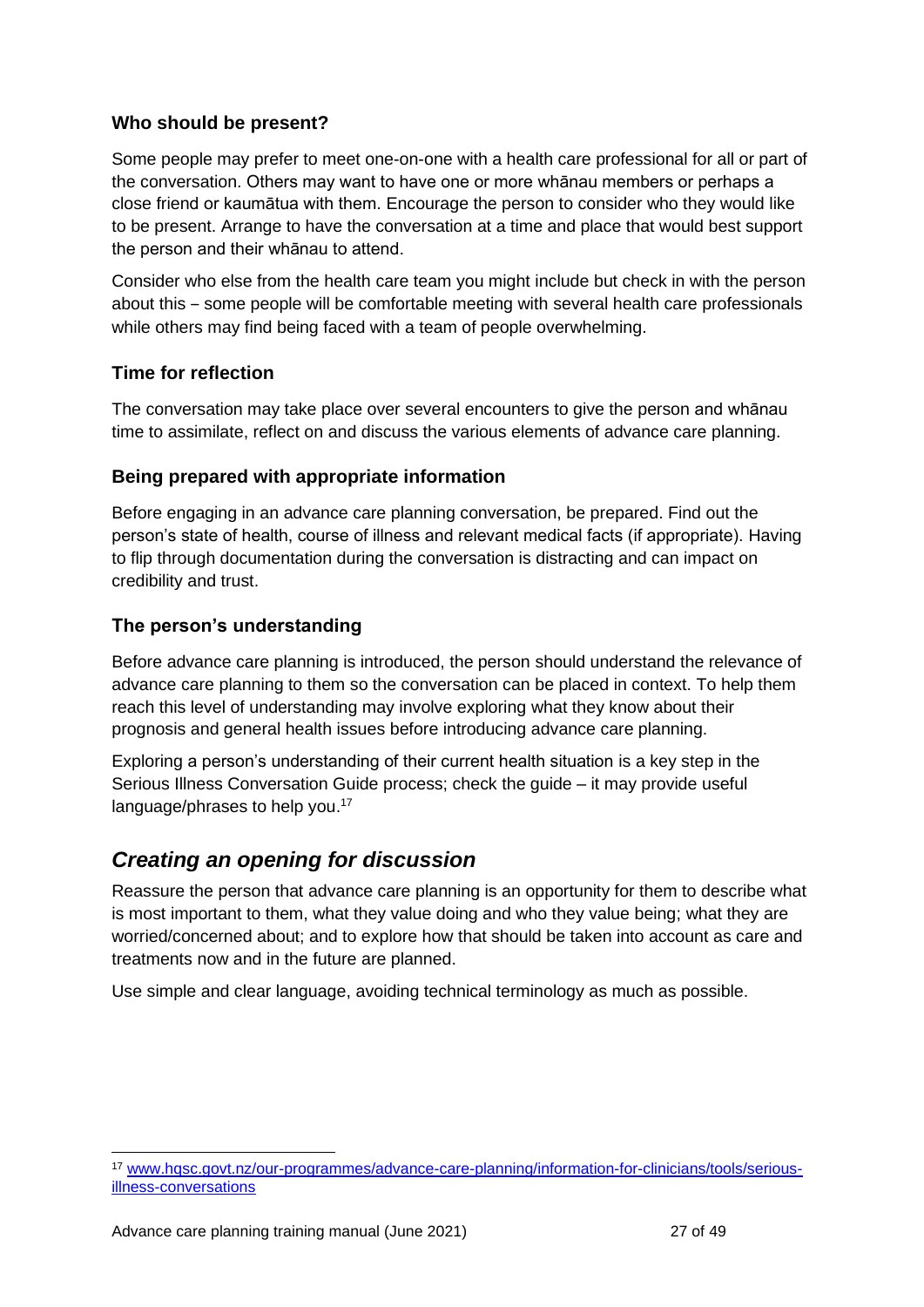#### **Who should be present?**

Some people may prefer to meet one-on-one with a health care professional for all or part of the conversation. Others may want to have one or more whānau members or perhaps a close friend or kaumātua with them. Encourage the person to consider who they would like to be present. Arrange to have the conversation at a time and place that would best support the person and their whānau to attend.

Consider who else from the health care team you might include but check in with the person about this ‒ some people will be comfortable meeting with several health care professionals while others may find being faced with a team of people overwhelming.

#### **Time for reflection**

The conversation may take place over several encounters to give the person and whānau time to assimilate, reflect on and discuss the various elements of advance care planning.

#### **Being prepared with appropriate information**

Before engaging in an advance care planning conversation, be prepared. Find out the person's state of health, course of illness and relevant medical facts (if appropriate). Having to flip through documentation during the conversation is distracting and can impact on credibility and trust.

#### **The person's understanding**

Before advance care planning is introduced, the person should understand the relevance of advance care planning to them so the conversation can be placed in context. To help them reach this level of understanding may involve exploring what they know about their prognosis and general health issues before introducing advance care planning.

Exploring a person's understanding of their current health situation is a key step in the Serious Illness Conversation Guide process; check the guide – it may provide useful language/phrases to help you.<sup>17</sup>

### <span id="page-26-0"></span>*Creating an opening for discussion*

Reassure the person that advance care planning is an opportunity for them to describe what is most important to them, what they value doing and who they value being; what they are worried/concerned about; and to explore how that should be taken into account as care and treatments now and in the future are planned.

Use simple and clear language, avoiding technical terminology as much as possible.

<sup>17</sup> [www.hqsc.govt.nz/our-programmes/advance-care-planning/information-for-clinicians/tools/serious](http://www.hqsc.govt.nz/our-programmes/advance-care-planning/information-for-clinicians/tools/serious-illness-conversations)[illness-conversations](http://www.hqsc.govt.nz/our-programmes/advance-care-planning/information-for-clinicians/tools/serious-illness-conversations)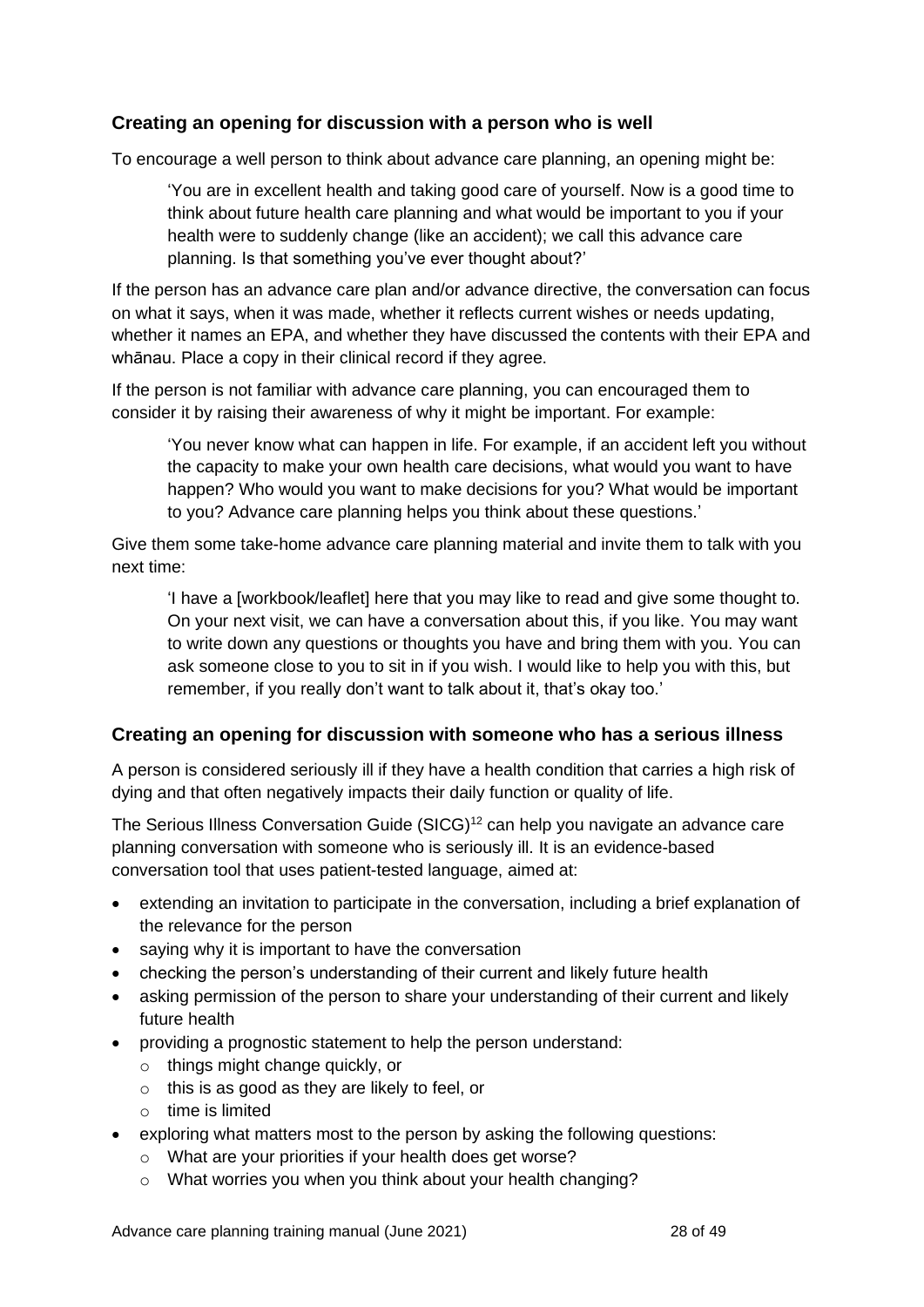#### **Creating an opening for discussion with a person who is well**

To encourage a well person to think about advance care planning, an opening might be:

'You are in excellent health and taking good care of yourself. Now is a good time to think about future health care planning and what would be important to you if your health were to suddenly change (like an accident); we call this advance care planning. Is that something you've ever thought about?'

If the person has an advance care plan and/or advance directive, the conversation can focus on what it says, when it was made, whether it reflects current wishes or needs updating, whether it names an EPA, and whether they have discussed the contents with their EPA and whānau. Place a copy in their clinical record if they agree.

If the person is not familiar with advance care planning, you can encouraged them to consider it by raising their awareness of why it might be important. For example:

'You never know what can happen in life. For example, if an accident left you without the capacity to make your own health care decisions, what would you want to have happen? Who would you want to make decisions for you? What would be important to you? Advance care planning helps you think about these questions.'

Give them some take-home advance care planning material and invite them to talk with you next time:

'I have a [workbook/leaflet] here that you may like to read and give some thought to. On your next visit, we can have a conversation about this, if you like. You may want to write down any questions or thoughts you have and bring them with you. You can ask someone close to you to sit in if you wish. I would like to help you with this, but remember, if you really don't want to talk about it, that's okay too.'

#### **Creating an opening for discussion with someone who has a serious illness**

A person is considered seriously ill if they have a health condition that carries a high risk of dying and that often negatively impacts their daily function or quality of life.

The Serious Illness Conversation Guide (SICG)<sup>12</sup> can help you navigate an advance care planning conversation with someone who is seriously ill. It is an evidence-based conversation tool that uses patient-tested language, aimed at:

- extending an invitation to participate in the conversation, including a brief explanation of the relevance for the person
- saying why it is important to have the conversation
- checking the person's understanding of their current and likely future health
- asking permission of the person to share your understanding of their current and likely future health
- providing a prognostic statement to help the person understand:
	- o things might change quickly, or
	- o this is as good as they are likely to feel, or
	- o time is limited
- exploring what matters most to the person by asking the following questions:
	- o What are your priorities if your health does get worse?
	- o What worries you when you think about your health changing?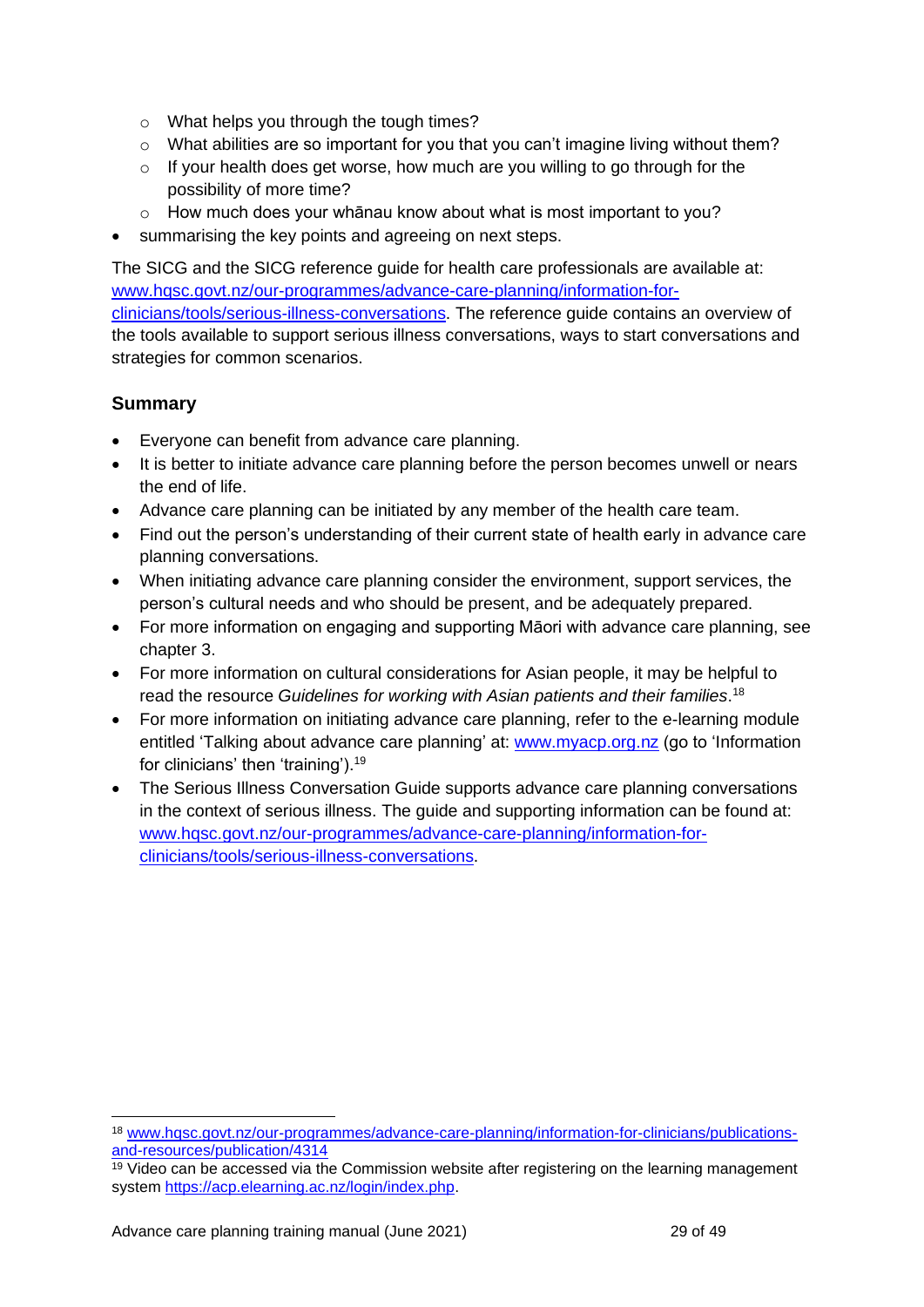- o What helps you through the tough times?
- o What abilities are so important for you that you can't imagine living without them?
- o If your health does get worse, how much are you willing to go through for the possibility of more time?
- o How much does your whānau know about what is most important to you?
- summarising the key points and agreeing on next steps.

The SICG and the SICG reference guide for health care professionals are available at: [www.hqsc.govt.nz/our-programmes/advance-care-planning/information-for](http://www.hqsc.govt.nz/our-programmes/advance-care-planning/information-for-clinicians/tools/serious-illness-conversations)[clinicians/tools/serious-illness-conversations.](http://www.hqsc.govt.nz/our-programmes/advance-care-planning/information-for-clinicians/tools/serious-illness-conversations) The reference guide contains an overview of the tools available to support serious illness conversations, ways to start conversations and strategies for common scenarios.

#### **Summary**

- Everyone can benefit from advance care planning.
- It is better to initiate advance care planning before the person becomes unwell or nears the end of life.
- Advance care planning can be initiated by any member of the health care team.
- Find out the person's understanding of their current state of health early in advance care planning conversations.
- When initiating advance care planning consider the environment, support services, the person's cultural needs and who should be present, and be adequately prepared.
- For more information on engaging and supporting Māori with advance care planning, see chapter 3.
- For more information on cultural considerations for Asian people, it may be helpful to read the resource *Guidelines for working with Asian patients and their families*. 18
- For more information on initiating advance care planning, refer to the e-learning module entitled 'Talking about advance care planning' at: [www.myacp.org.nz](http://www.myacp.org.nz/) (go to 'Information for clinicians' then 'training').<sup>19</sup>
- The Serious Illness Conversation Guide supports advance care planning conversations in the context of serious illness. The guide and supporting information can be found at: [www.hqsc.govt.nz/our-programmes/advance-care-planning/information-for](http://www.hqsc.govt.nz/our-programmes/advance-care-planning/information-for-clinicians/tools/serious-illness-conversations)[clinicians/tools/serious-illness-conversations.](http://www.hqsc.govt.nz/our-programmes/advance-care-planning/information-for-clinicians/tools/serious-illness-conversations)

<sup>18</sup> [www.hqsc.govt.nz/our-programmes/advance-care-planning/information-for-clinicians/publications](http://www.hqsc.govt.nz/our-programmes/advance-care-planning/information-for-clinicians/publications-and-resources/publication/4314)[and-resources/publication/4314](http://www.hqsc.govt.nz/our-programmes/advance-care-planning/information-for-clinicians/publications-and-resources/publication/4314)

 $19$  Video can be accessed via the Commission website after registering on the learning management system [https://acp.elearning.ac.nz/login/index.php.](https://acp.elearning.ac.nz/login/index.php)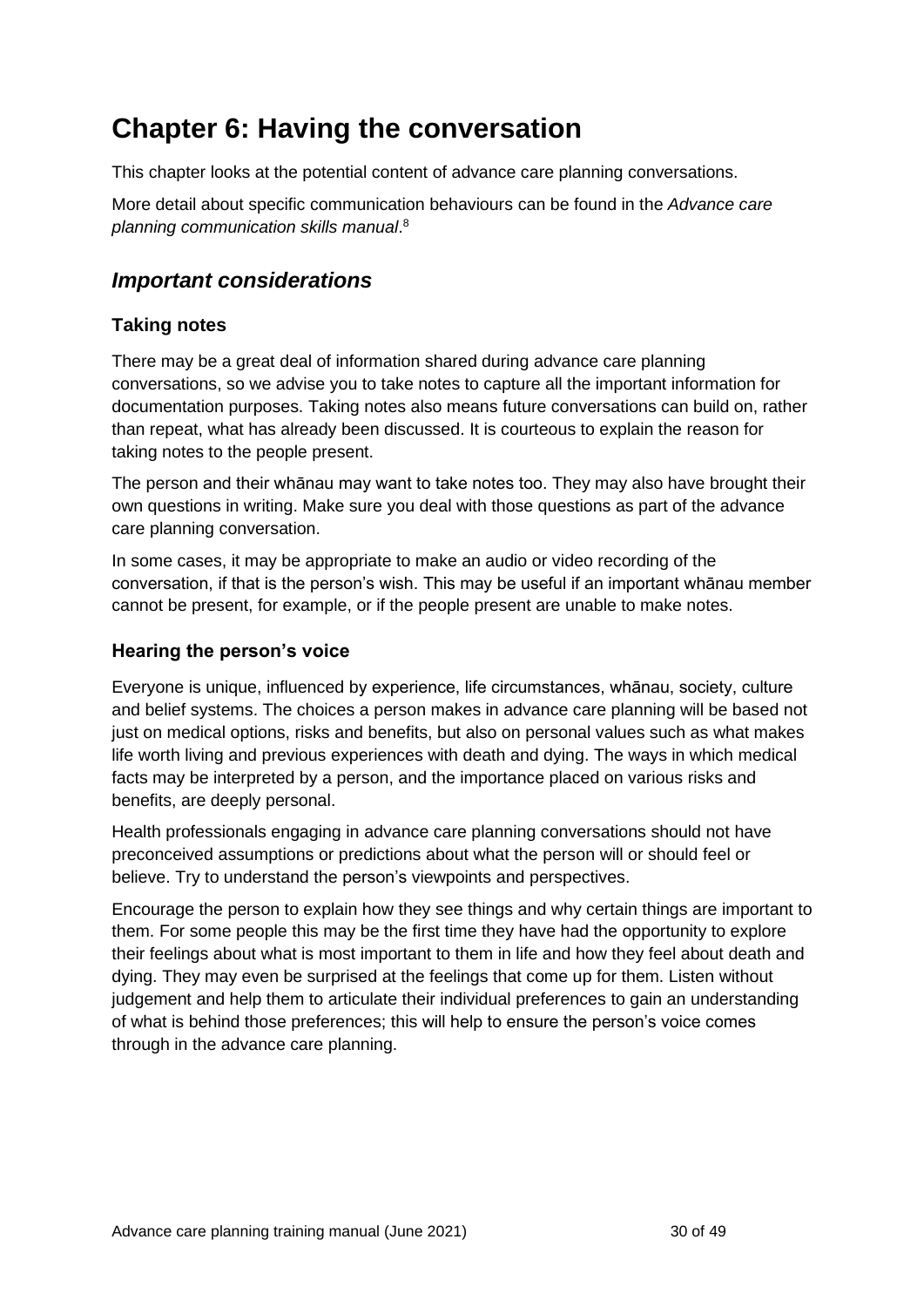## <span id="page-29-0"></span>**Chapter 6: Having the conversation**

This chapter looks at the potential content of advance care planning conversations.

More detail about specific communication behaviours can be found in the *Advance care planning communication skills manual*. 8

## <span id="page-29-1"></span>*Important considerations*

#### **Taking notes**

There may be a great deal of information shared during advance care planning conversations, so we advise you to take notes to capture all the important information for documentation purposes. Taking notes also means future conversations can build on, rather than repeat, what has already been discussed. It is courteous to explain the reason for taking notes to the people present.

The person and their whānau may want to take notes too. They may also have brought their own questions in writing. Make sure you deal with those questions as part of the advance care planning conversation.

In some cases, it may be appropriate to make an audio or video recording of the conversation, if that is the person's wish. This may be useful if an important whānau member cannot be present, for example, or if the people present are unable to make notes.

#### **Hearing the person's voice**

Everyone is unique, influenced by experience, life circumstances, whānau, society, culture and belief systems. The choices a person makes in advance care planning will be based not just on medical options, risks and benefits, but also on personal values such as what makes life worth living and previous experiences with death and dying. The ways in which medical facts may be interpreted by a person, and the importance placed on various risks and benefits, are deeply personal.

Health professionals engaging in advance care planning conversations should not have preconceived assumptions or predictions about what the person will or should feel or believe. Try to understand the person's viewpoints and perspectives.

Encourage the person to explain how they see things and why certain things are important to them. For some people this may be the first time they have had the opportunity to explore their feelings about what is most important to them in life and how they feel about death and dying. They may even be surprised at the feelings that come up for them. Listen without judgement and help them to articulate their individual preferences to gain an understanding of what is behind those preferences; this will help to ensure the person's voice comes through in the advance care planning.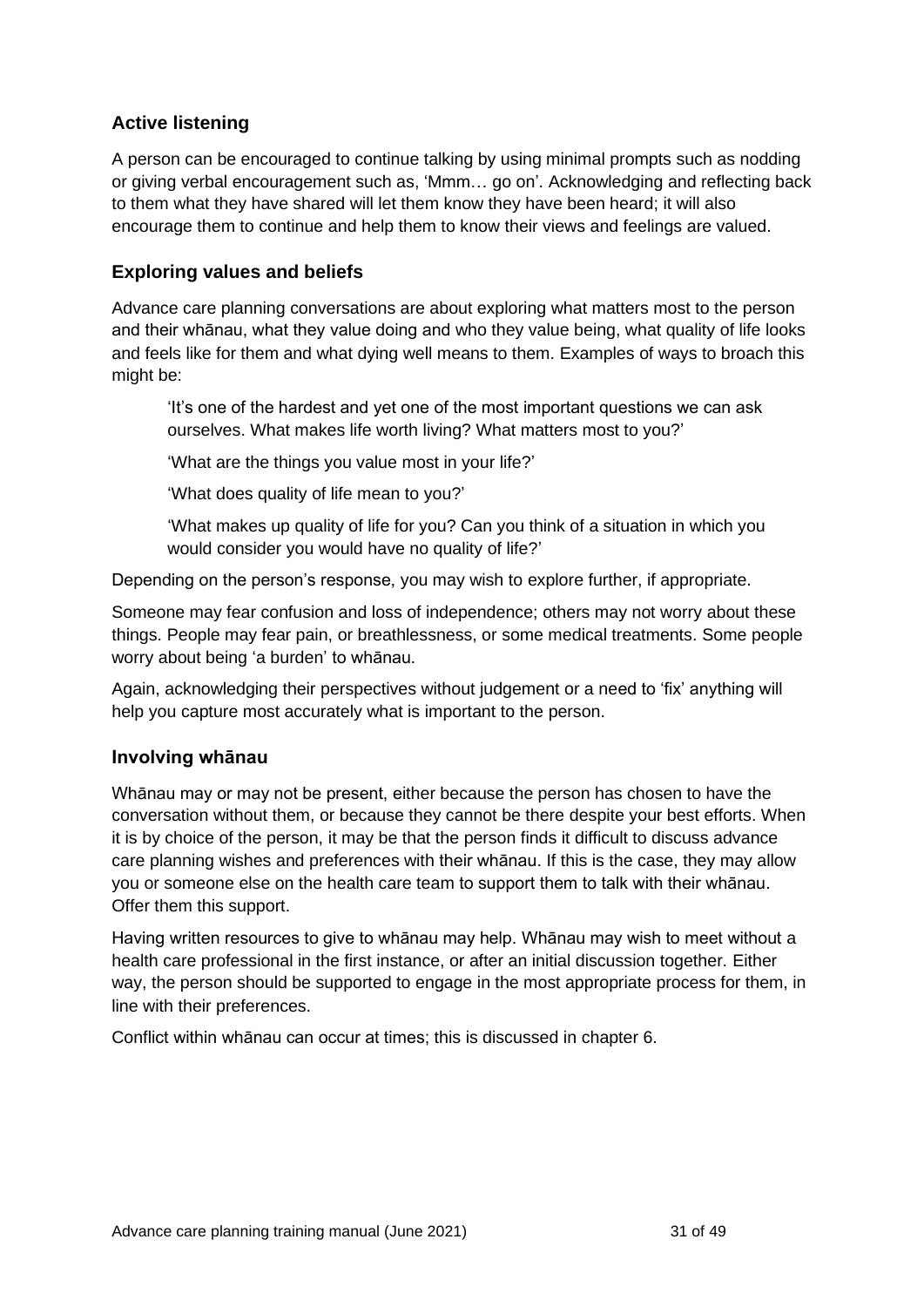#### **Active listening**

A person can be encouraged to continue talking by using minimal prompts such as nodding or giving verbal encouragement such as, 'Mmm… go on'. Acknowledging and reflecting back to them what they have shared will let them know they have been heard; it will also encourage them to continue and help them to know their views and feelings are valued.

#### **Exploring values and beliefs**

Advance care planning conversations are about exploring what matters most to the person and their whānau, what they value doing and who they value being, what quality of life looks and feels like for them and what dying well means to them. Examples of ways to broach this might be:

'It's one of the hardest and yet one of the most important questions we can ask ourselves. What makes life worth living? What matters most to you?'

'What are the things you value most in your life?'

'What does quality of life mean to you?'

'What makes up quality of life for you? Can you think of a situation in which you would consider you would have no quality of life?'

Depending on the person's response, you may wish to explore further, if appropriate.

Someone may fear confusion and loss of independence; others may not worry about these things. People may fear pain, or breathlessness, or some medical treatments. Some people worry about being 'a burden' to whānau.

Again, acknowledging their perspectives without judgement or a need to 'fix' anything will help you capture most accurately what is important to the person.

#### **Involving whānau**

Whānau may or may not be present, either because the person has chosen to have the conversation without them, or because they cannot be there despite your best efforts. When it is by choice of the person, it may be that the person finds it difficult to discuss advance care planning wishes and preferences with their whānau. If this is the case, they may allow you or someone else on the health care team to support them to talk with their whānau. Offer them this support.

Having written resources to give to whānau may help. Whānau may wish to meet without a health care professional in the first instance, or after an initial discussion together. Either way, the person should be supported to engage in the most appropriate process for them, in line with their preferences.

Conflict within whānau can occur at times; this is discussed in chapter 6.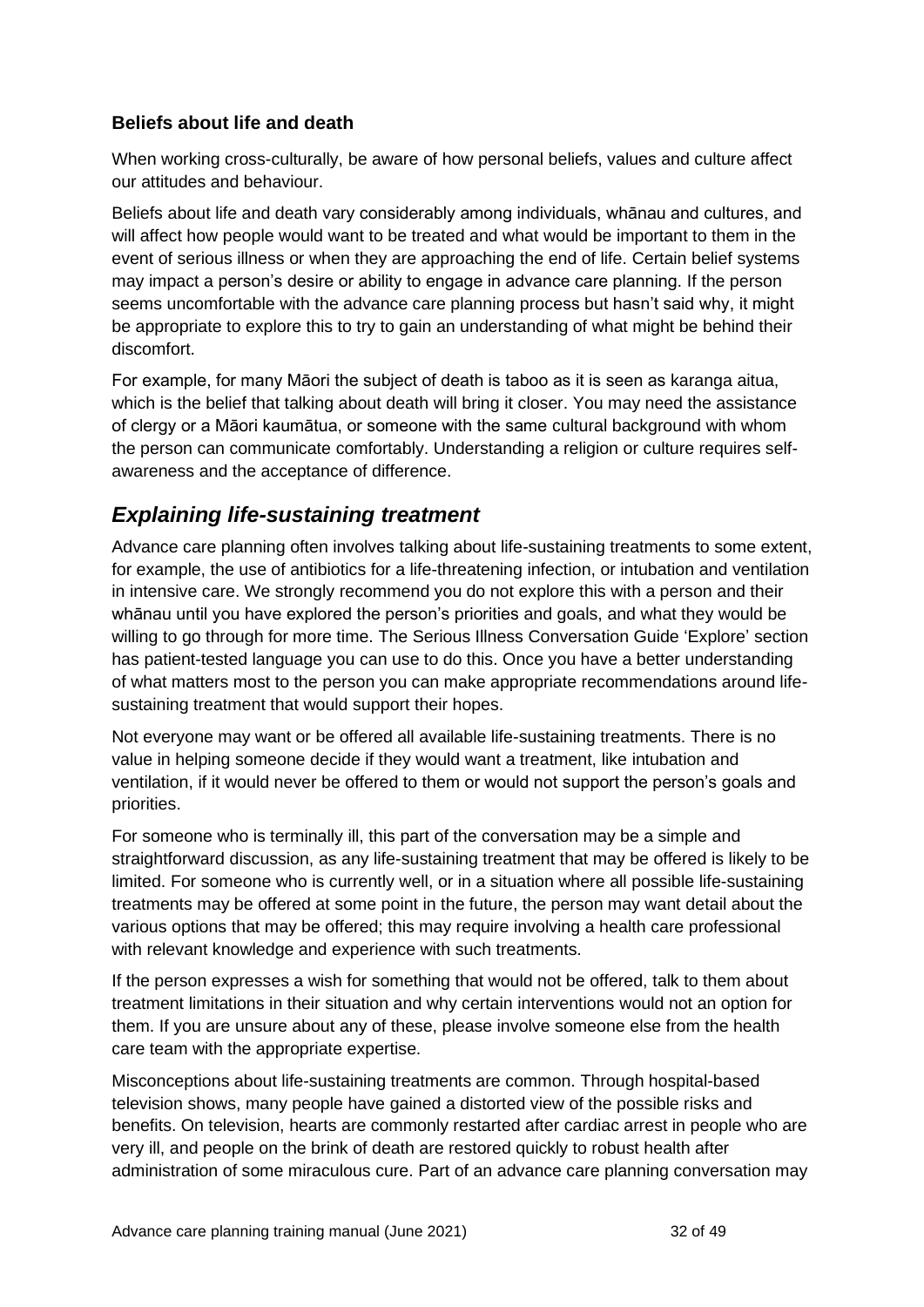#### **Beliefs about life and death**

When working cross-culturally, be aware of how personal beliefs, values and culture affect our attitudes and behaviour.

Beliefs about life and death vary considerably among individuals, whānau and cultures, and will affect how people would want to be treated and what would be important to them in the event of serious illness or when they are approaching the end of life. Certain belief systems may impact a person's desire or ability to engage in advance care planning. If the person seems uncomfortable with the advance care planning process but hasn't said why, it might be appropriate to explore this to try to gain an understanding of what might be behind their discomfort.

For example, for many Māori the subject of death is taboo as it is seen as karanga aitua, which is the belief that talking about death will bring it closer. You may need the assistance of clergy or a Māori kaumātua, or someone with the same cultural background with whom the person can communicate comfortably. Understanding a religion or culture requires selfawareness and the acceptance of difference.

### <span id="page-31-0"></span>*Explaining life-sustaining treatment*

Advance care planning often involves talking about life-sustaining treatments to some extent, for example, the use of antibiotics for a life-threatening infection, or intubation and ventilation in intensive care. We strongly recommend you do not explore this with a person and their whānau until you have explored the person's priorities and goals, and what they would be willing to go through for more time. The Serious Illness Conversation Guide 'Explore' section has patient-tested language you can use to do this. Once you have a better understanding of what matters most to the person you can make appropriate recommendations around lifesustaining treatment that would support their hopes.

Not everyone may want or be offered all available life-sustaining treatments. There is no value in helping someone decide if they would want a treatment, like intubation and ventilation, if it would never be offered to them or would not support the person's goals and priorities.

For someone who is terminally ill, this part of the conversation may be a simple and straightforward discussion, as any life-sustaining treatment that may be offered is likely to be limited. For someone who is currently well, or in a situation where all possible life-sustaining treatments may be offered at some point in the future, the person may want detail about the various options that may be offered; this may require involving a health care professional with relevant knowledge and experience with such treatments.

If the person expresses a wish for something that would not be offered, talk to them about treatment limitations in their situation and why certain interventions would not an option for them. If you are unsure about any of these, please involve someone else from the health care team with the appropriate expertise.

Misconceptions about life-sustaining treatments are common. Through hospital-based television shows, many people have gained a distorted view of the possible risks and benefits. On television, hearts are commonly restarted after cardiac arrest in people who are very ill, and people on the brink of death are restored quickly to robust health after administration of some miraculous cure. Part of an advance care planning conversation may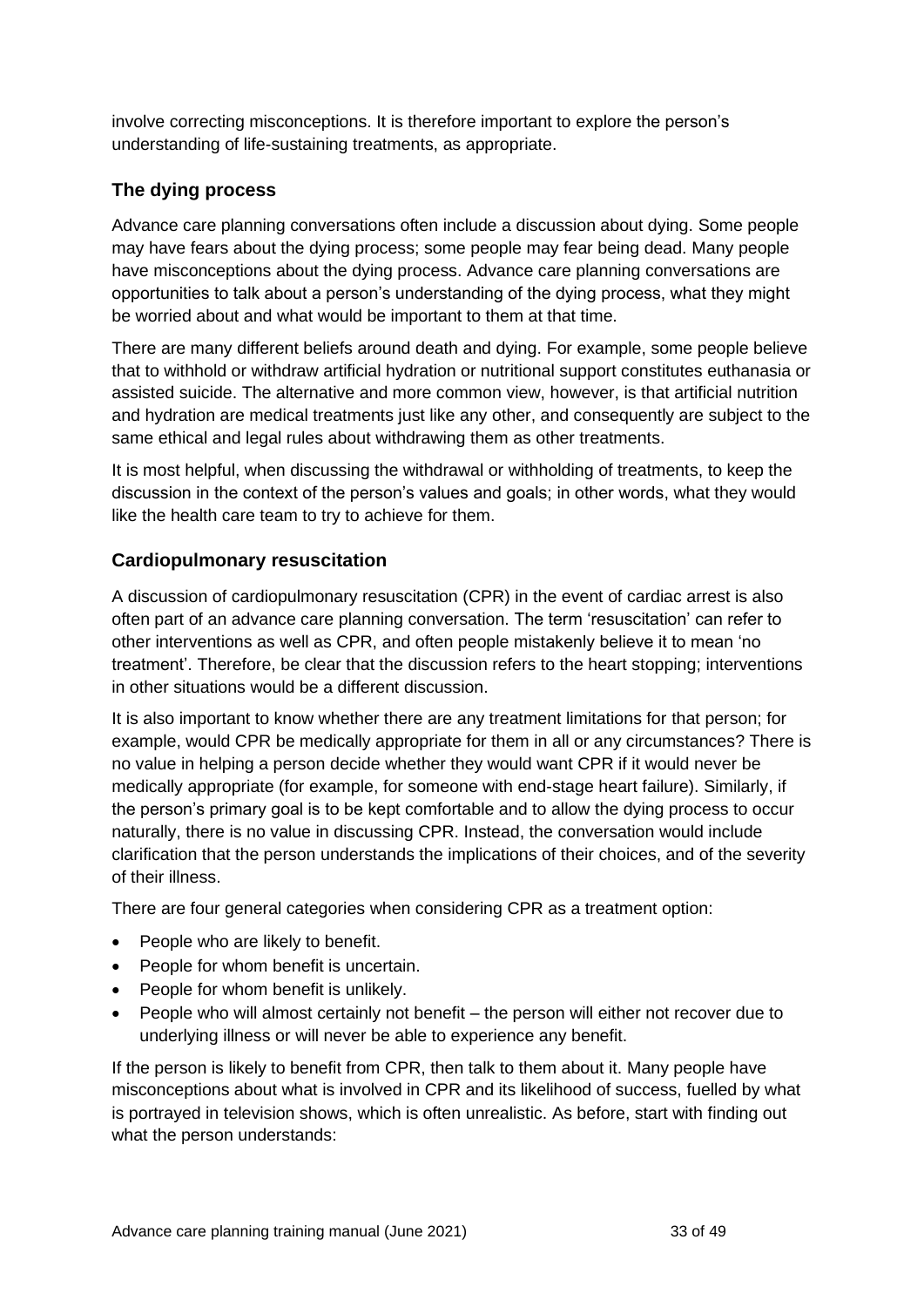involve correcting misconceptions. It is therefore important to explore the person's understanding of life-sustaining treatments, as appropriate.

#### **The dying process**

Advance care planning conversations often include a discussion about dying. Some people may have fears about the dying process; some people may fear being dead. Many people have misconceptions about the dying process. Advance care planning conversations are opportunities to talk about a person's understanding of the dying process, what they might be worried about and what would be important to them at that time.

There are many different beliefs around death and dying. For example, some people believe that to withhold or withdraw artificial hydration or nutritional support constitutes euthanasia or assisted suicide. The alternative and more common view, however, is that artificial nutrition and hydration are medical treatments just like any other, and consequently are subject to the same ethical and legal rules about withdrawing them as other treatments.

It is most helpful, when discussing the withdrawal or withholding of treatments, to keep the discussion in the context of the person's values and goals; in other words, what they would like the health care team to try to achieve for them.

#### **Cardiopulmonary resuscitation**

A discussion of cardiopulmonary resuscitation (CPR) in the event of cardiac arrest is also often part of an advance care planning conversation. The term 'resuscitation' can refer to other interventions as well as CPR, and often people mistakenly believe it to mean 'no treatment'. Therefore, be clear that the discussion refers to the heart stopping; interventions in other situations would be a different discussion.

It is also important to know whether there are any treatment limitations for that person; for example, would CPR be medically appropriate for them in all or any circumstances? There is no value in helping a person decide whether they would want CPR if it would never be medically appropriate (for example, for someone with end-stage heart failure). Similarly, if the person's primary goal is to be kept comfortable and to allow the dying process to occur naturally, there is no value in discussing CPR. Instead, the conversation would include clarification that the person understands the implications of their choices, and of the severity of their illness.

There are four general categories when considering CPR as a treatment option:

- People who are likely to benefit.
- People for whom benefit is uncertain.
- People for whom benefit is unlikely.
- People who will almost certainly not benefit the person will either not recover due to underlying illness or will never be able to experience any benefit.

If the person is likely to benefit from CPR, then talk to them about it. Many people have misconceptions about what is involved in CPR and its likelihood of success, fuelled by what is portrayed in television shows, which is often unrealistic. As before, start with finding out what the person understands: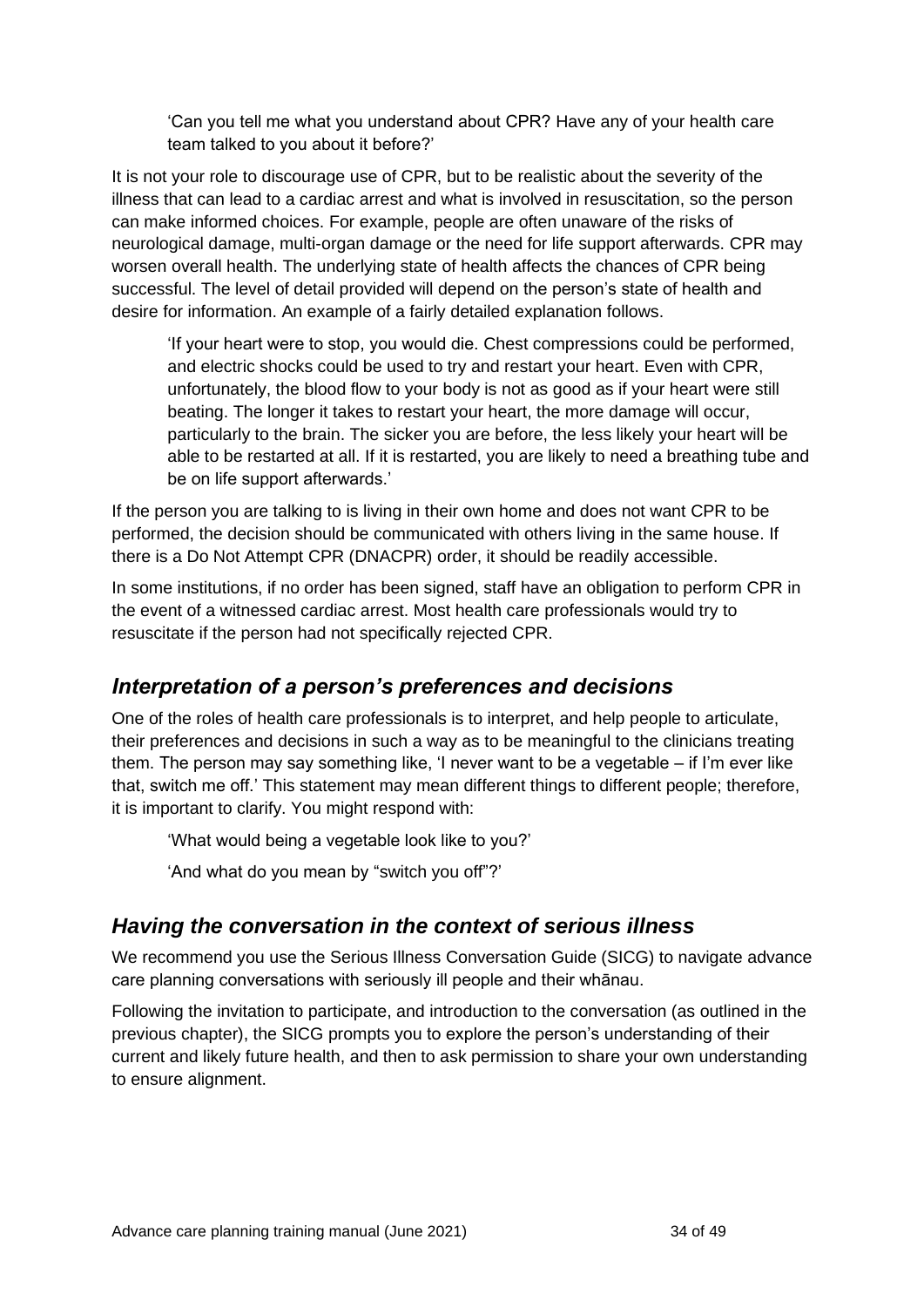'Can you tell me what you understand about CPR? Have any of your health care team talked to you about it before?'

It is not your role to discourage use of CPR, but to be realistic about the severity of the illness that can lead to a cardiac arrest and what is involved in resuscitation, so the person can make informed choices. For example, people are often unaware of the risks of neurological damage, multi-organ damage or the need for life support afterwards. CPR may worsen overall health. The underlying state of health affects the chances of CPR being successful. The level of detail provided will depend on the person's state of health and desire for information. An example of a fairly detailed explanation follows.

'If your heart were to stop, you would die. Chest compressions could be performed, and electric shocks could be used to try and restart your heart. Even with CPR, unfortunately, the blood flow to your body is not as good as if your heart were still beating. The longer it takes to restart your heart, the more damage will occur, particularly to the brain. The sicker you are before, the less likely your heart will be able to be restarted at all. If it is restarted, you are likely to need a breathing tube and be on life support afterwards.'

If the person you are talking to is living in their own home and does not want CPR to be performed, the decision should be communicated with others living in the same house. If there is a Do Not Attempt CPR (DNACPR) order, it should be readily accessible.

In some institutions, if no order has been signed, staff have an obligation to perform CPR in the event of a witnessed cardiac arrest. Most health care professionals would try to resuscitate if the person had not specifically rejected CPR.

## <span id="page-33-0"></span>*Interpretation of a person's preferences and decisions*

One of the roles of health care professionals is to interpret, and help people to articulate, their preferences and decisions in such a way as to be meaningful to the clinicians treating them. The person may say something like, 'I never want to be a vegetable – if I'm ever like that, switch me off.' This statement may mean different things to different people; therefore, it is important to clarify. You might respond with:

'What would being a vegetable look like to you?'

'And what do you mean by "switch you off"?'

## <span id="page-33-1"></span>*Having the conversation in the context of serious illness*

We recommend you use the Serious Illness Conversation Guide (SICG) to navigate advance care planning conversations with seriously ill people and their whānau.

Following the invitation to participate, and introduction to the conversation (as outlined in the previous chapter), the SICG prompts you to explore the person's understanding of their current and likely future health, and then to ask permission to share your own understanding to ensure alignment.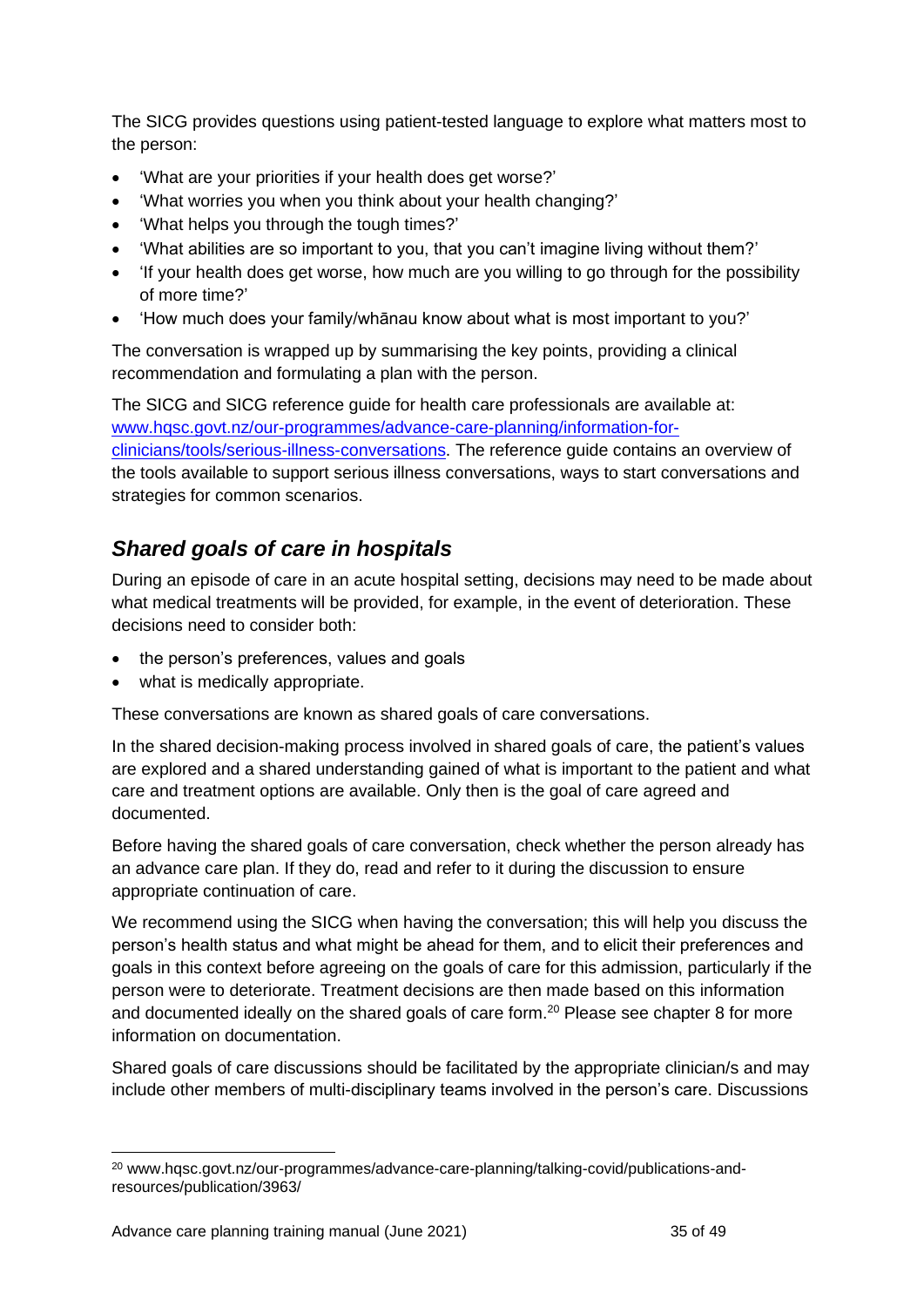The SICG provides questions using patient-tested language to explore what matters most to the person:

- 'What are your priorities if your health does get worse?'
- 'What worries you when you think about your health changing?'
- 'What helps you through the tough times?'
- 'What abilities are so important to you, that you can't imagine living without them?'
- 'If your health does get worse, how much are you willing to go through for the possibility of more time?'
- 'How much does your family/whānau know about what is most important to you?'

The conversation is wrapped up by summarising the key points, providing a clinical recommendation and formulating a plan with the person.

The SICG and SICG reference guide for health care professionals are available at: [www.hqsc.govt.nz/our-programmes/advance-care-planning/information-for](http://www.hqsc.govt.nz/our-programmes/advance-care-planning/information-for-clinicians/tools/serious-illness-conversations)[clinicians/tools/serious-illness-conversations.](http://www.hqsc.govt.nz/our-programmes/advance-care-planning/information-for-clinicians/tools/serious-illness-conversations) The reference guide contains an overview of the tools available to support serious illness conversations, ways to start conversations and strategies for common scenarios.

## <span id="page-34-0"></span>*Shared goals of care in hospitals*

During an episode of care in an acute hospital setting, decisions may need to be made about what medical treatments will be provided, for example, in the event of deterioration. These decisions need to consider both:

- the person's preferences, values and goals
- what is medically appropriate.

These conversations are known as shared goals of care conversations.

In the shared decision-making process involved in shared goals of care, the patient's values are explored and a shared understanding gained of what is important to the patient and what care and treatment options are available. Only then is the goal of care agreed and documented.

Before having the shared goals of care conversation, check whether the person already has an advance care plan. If they do, read and refer to it during the discussion to ensure appropriate continuation of care.

We recommend using the SICG when having the conversation; this will help you discuss the person's health status and what might be ahead for them, and to elicit their preferences and goals in this context before agreeing on the goals of care for this admission, particularly if the person were to deteriorate. Treatment decisions are then made based on this information and documented ideally on the shared goals of care form.<sup>20</sup> Please see chapter 8 for more information on documentation.

Shared goals of care discussions should be facilitated by the appropriate clinician/s and may include other members of multi-disciplinary teams involved in the person's care. Discussions

<sup>20</sup> www.hqsc.govt.nz/our-programmes/advance-care-planning/talking-covid/publications-andresources/publication/3963/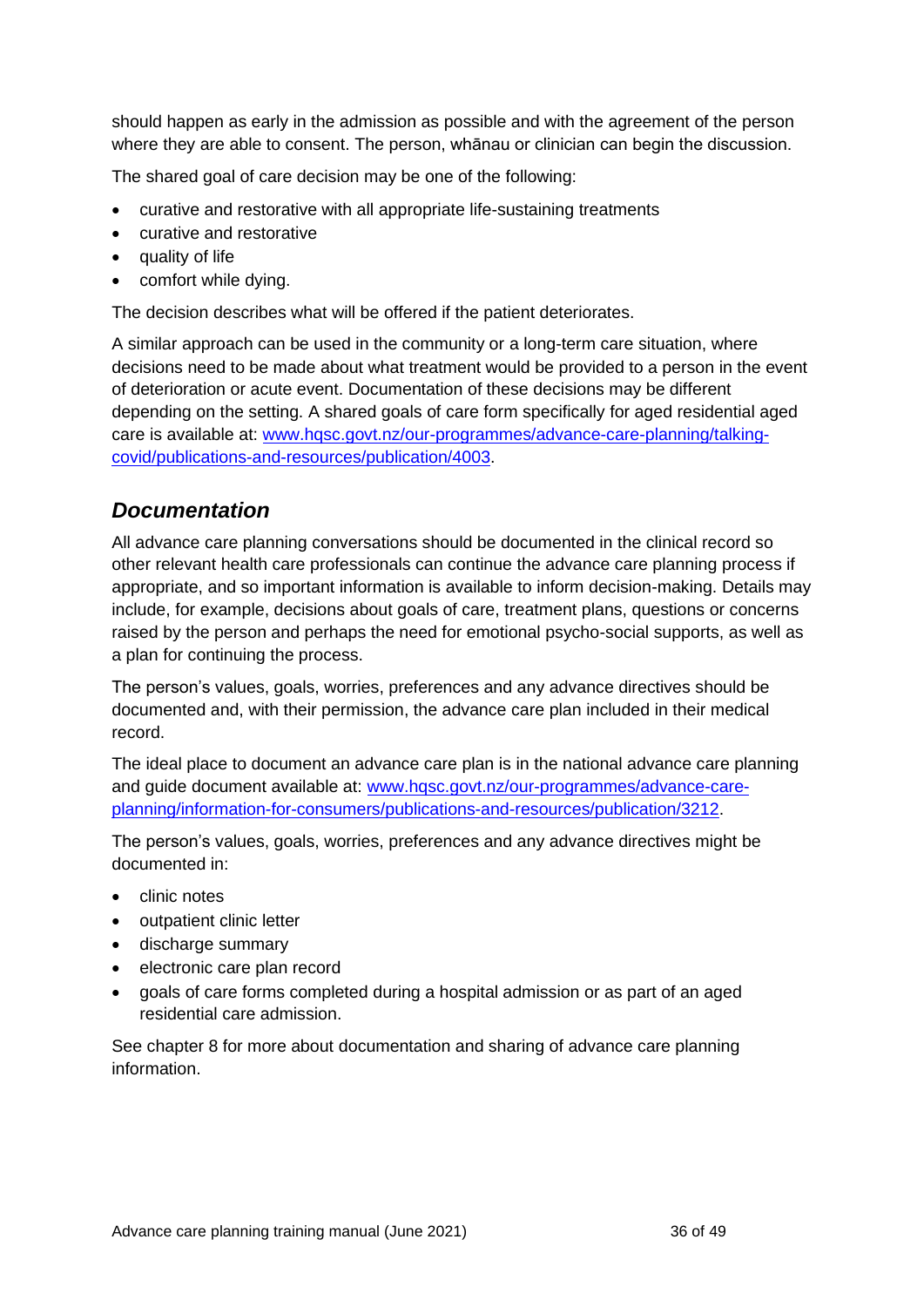should happen as early in the admission as possible and with the agreement of the person where they are able to consent. The person, whānau or clinician can begin the discussion.

The shared goal of care decision may be one of the following:

- curative and restorative with all appropriate life-sustaining treatments
- curative and restorative
- quality of life
- comfort while dying.

The decision describes what will be offered if the patient deteriorates.

A similar approach can be used in the community or a long-term care situation, where decisions need to be made about what treatment would be provided to a person in the event of deterioration or acute event. Documentation of these decisions may be different depending on the setting. A shared goals of care form specifically for aged residential aged care is available at: [www.hqsc.govt.nz/our-programmes/advance-care-planning/talking](http://www.hqsc.govt.nz/our-programmes/advance-care-planning/talking-covid/publications-and-resources/publication/4003)[covid/publications-and-resources/publication/4003.](http://www.hqsc.govt.nz/our-programmes/advance-care-planning/talking-covid/publications-and-resources/publication/4003)

### <span id="page-35-0"></span>*Documentation*

All advance care planning conversations should be documented in the clinical record so other relevant health care professionals can continue the advance care planning process if appropriate, and so important information is available to inform decision-making. Details may include, for example, decisions about goals of care, treatment plans, questions or concerns raised by the person and perhaps the need for emotional psycho-social supports, as well as a plan for continuing the process.

The person's values, goals, worries, preferences and any advance directives should be documented and, with their permission, the advance care plan included in their medical record.

The ideal place to document an advance care plan is in the national advance care planning and guide document available at: [www.hqsc.govt.nz/our-programmes/advance-care](http://www.hqsc.govt.nz/our-programmes/advance-care-planning/information-for-consumers/publications-and-resources/publication/3212)[planning/information-for-consumers/publications-and-resources/publication/3212.](http://www.hqsc.govt.nz/our-programmes/advance-care-planning/information-for-consumers/publications-and-resources/publication/3212)

The person's values, goals, worries, preferences and any advance directives might be documented in:

- clinic notes
- outpatient clinic letter
- discharge summary
- electronic care plan record
- goals of care forms completed during a hospital admission or as part of an aged residential care admission.

See chapter 8 for more about documentation and sharing of advance care planning information.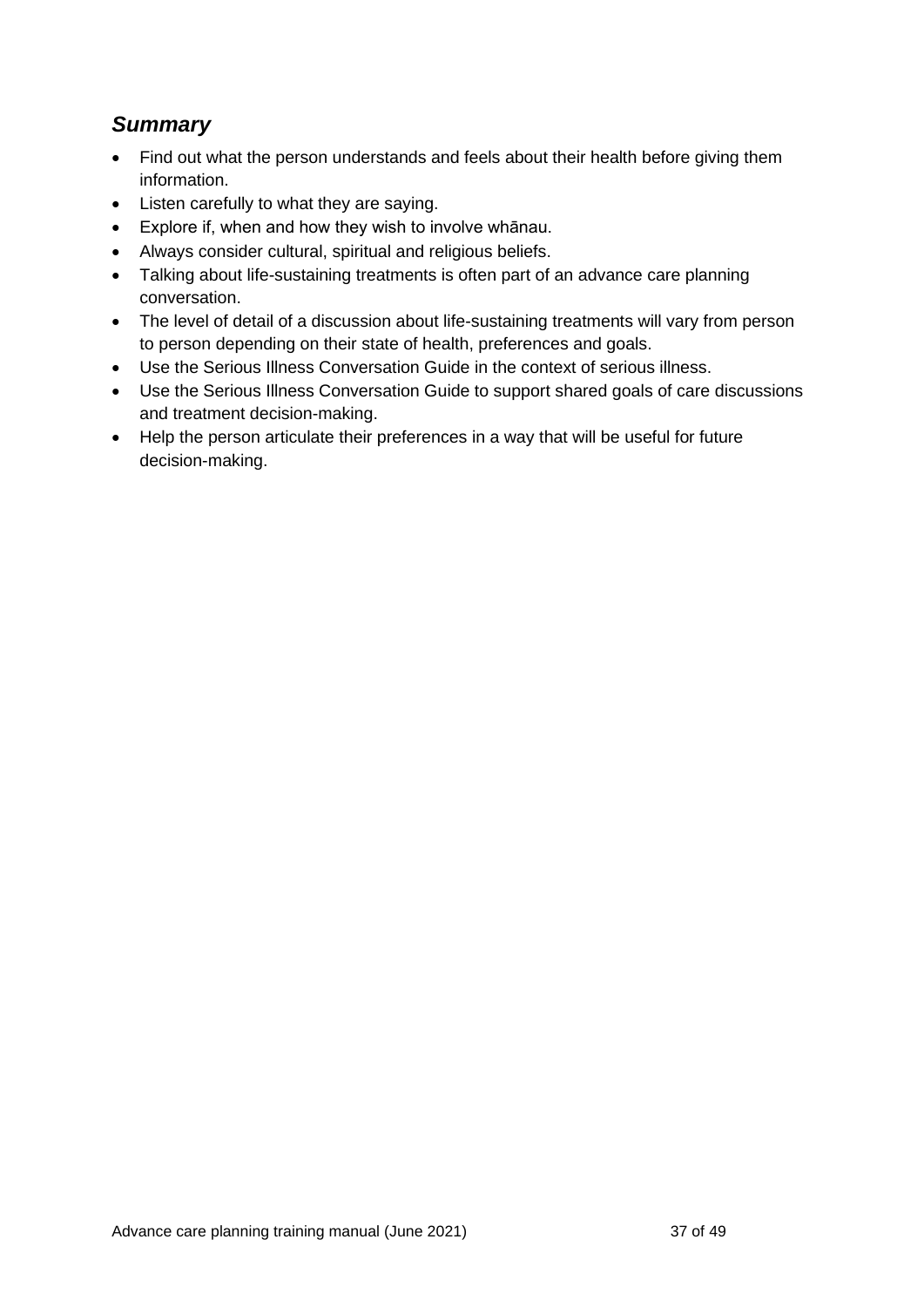## <span id="page-36-0"></span>*Summary*

- Find out what the person understands and feels about their health before giving them information.
- Listen carefully to what they are saying.
- Explore if, when and how they wish to involve whānau.
- Always consider cultural, spiritual and religious beliefs.
- Talking about life-sustaining treatments is often part of an advance care planning conversation.
- The level of detail of a discussion about life-sustaining treatments will vary from person to person depending on their state of health, preferences and goals.
- Use the Serious Illness Conversation Guide in the context of serious illness.
- Use the Serious Illness Conversation Guide to support shared goals of care discussions and treatment decision-making.
- Help the person articulate their preferences in a way that will be useful for future decision-making.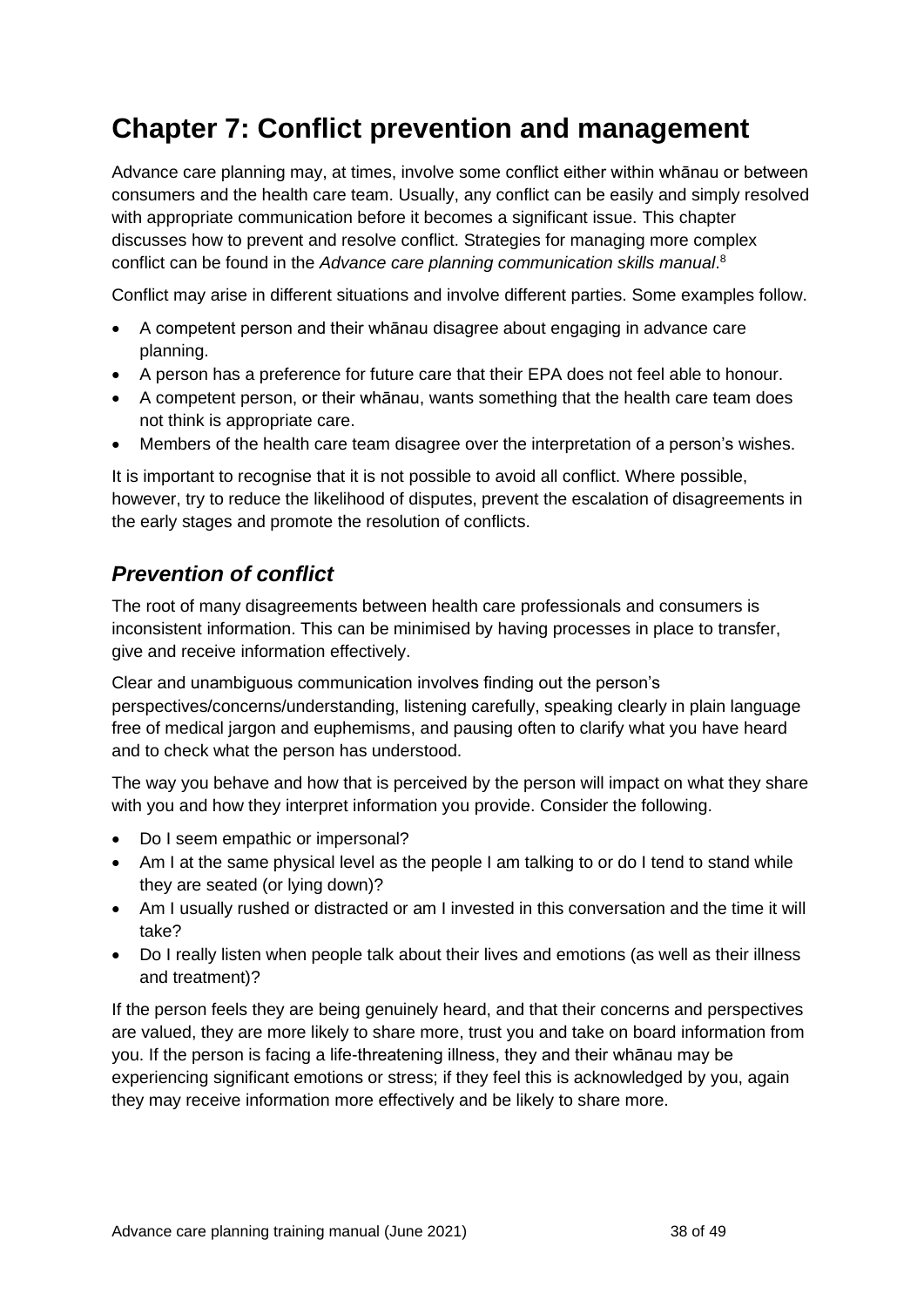## <span id="page-37-0"></span>**Chapter 7: Conflict prevention and management**

Advance care planning may, at times, involve some conflict either within whānau or between consumers and the health care team. Usually, any conflict can be easily and simply resolved with appropriate communication before it becomes a significant issue. This chapter discusses how to prevent and resolve conflict. Strategies for managing more complex conflict can be found in the *Advance care planning communication skills manual*. 8

Conflict may arise in different situations and involve different parties. Some examples follow.

- A competent person and their whānau disagree about engaging in advance care planning.
- A person has a preference for future care that their EPA does not feel able to honour.
- A competent person, or their whānau, wants something that the health care team does not think is appropriate care.
- Members of the health care team disagree over the interpretation of a person's wishes.

It is important to recognise that it is not possible to avoid all conflict. Where possible, however, try to reduce the likelihood of disputes, prevent the escalation of disagreements in the early stages and promote the resolution of conflicts.

## <span id="page-37-1"></span>*Prevention of conflict*

The root of many disagreements between health care professionals and consumers is inconsistent information. This can be minimised by having processes in place to transfer, give and receive information effectively.

Clear and unambiguous communication involves finding out the person's perspectives/concerns/understanding, listening carefully, speaking clearly in plain language free of medical jargon and euphemisms, and pausing often to clarify what you have heard and to check what the person has understood.

The way you behave and how that is perceived by the person will impact on what they share with you and how they interpret information you provide. Consider the following.

- Do I seem empathic or impersonal?
- Am I at the same physical level as the people I am talking to or do I tend to stand while they are seated (or lying down)?
- Am I usually rushed or distracted or am I invested in this conversation and the time it will take?
- Do I really listen when people talk about their lives and emotions (as well as their illness and treatment)?

If the person feels they are being genuinely heard, and that their concerns and perspectives are valued, they are more likely to share more, trust you and take on board information from you. If the person is facing a life-threatening illness, they and their whānau may be experiencing significant emotions or stress; if they feel this is acknowledged by you, again they may receive information more effectively and be likely to share more.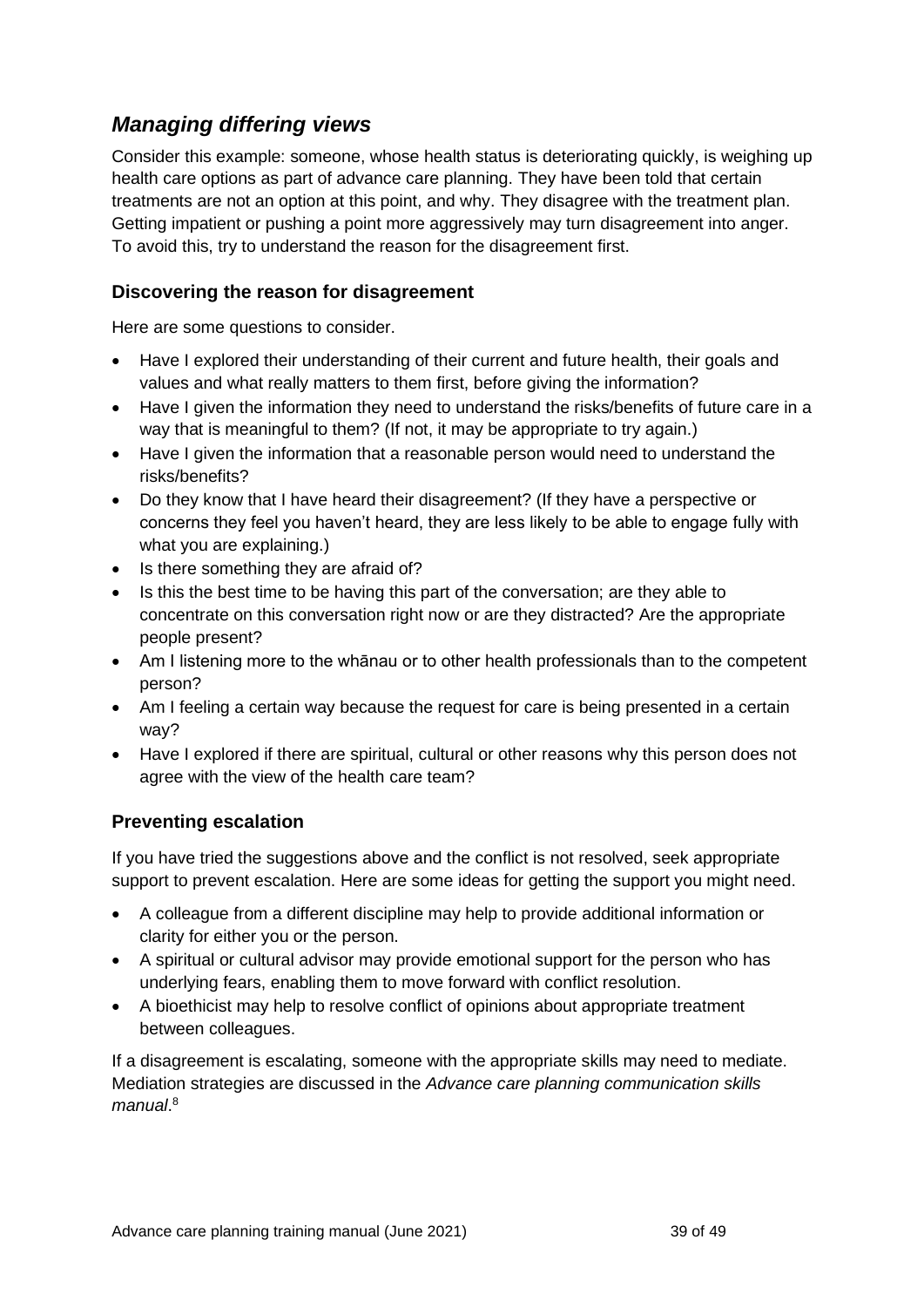## <span id="page-38-0"></span>*Managing differing views*

Consider this example: someone, whose health status is deteriorating quickly, is weighing up health care options as part of advance care planning. They have been told that certain treatments are not an option at this point, and why. They disagree with the treatment plan. Getting impatient or pushing a point more aggressively may turn disagreement into anger. To avoid this, try to understand the reason for the disagreement first.

#### **Discovering the reason for disagreement**

Here are some questions to consider.

- Have I explored their understanding of their current and future health, their goals and values and what really matters to them first, before giving the information?
- Have I given the information they need to understand the risks/benefits of future care in a way that is meaningful to them? (If not, it may be appropriate to try again.)
- Have I given the information that a reasonable person would need to understand the risks/benefits?
- Do they know that I have heard their disagreement? (If they have a perspective or concerns they feel you haven't heard, they are less likely to be able to engage fully with what you are explaining.)
- Is there something they are afraid of?
- Is this the best time to be having this part of the conversation; are they able to concentrate on this conversation right now or are they distracted? Are the appropriate people present?
- Am I listening more to the whānau or to other health professionals than to the competent person?
- Am I feeling a certain way because the request for care is being presented in a certain way?
- Have I explored if there are spiritual, cultural or other reasons why this person does not agree with the view of the health care team?

#### **Preventing escalation**

If you have tried the suggestions above and the conflict is not resolved, seek appropriate support to prevent escalation. Here are some ideas for getting the support you might need.

- A colleague from a different discipline may help to provide additional information or clarity for either you or the person.
- A spiritual or cultural advisor may provide emotional support for the person who has underlying fears, enabling them to move forward with conflict resolution.
- A bioethicist may help to resolve conflict of opinions about appropriate treatment between colleagues.

If a disagreement is escalating, someone with the appropriate skills may need to mediate. Mediation strategies are discussed in the *Advance care planning communication skills manual*. 8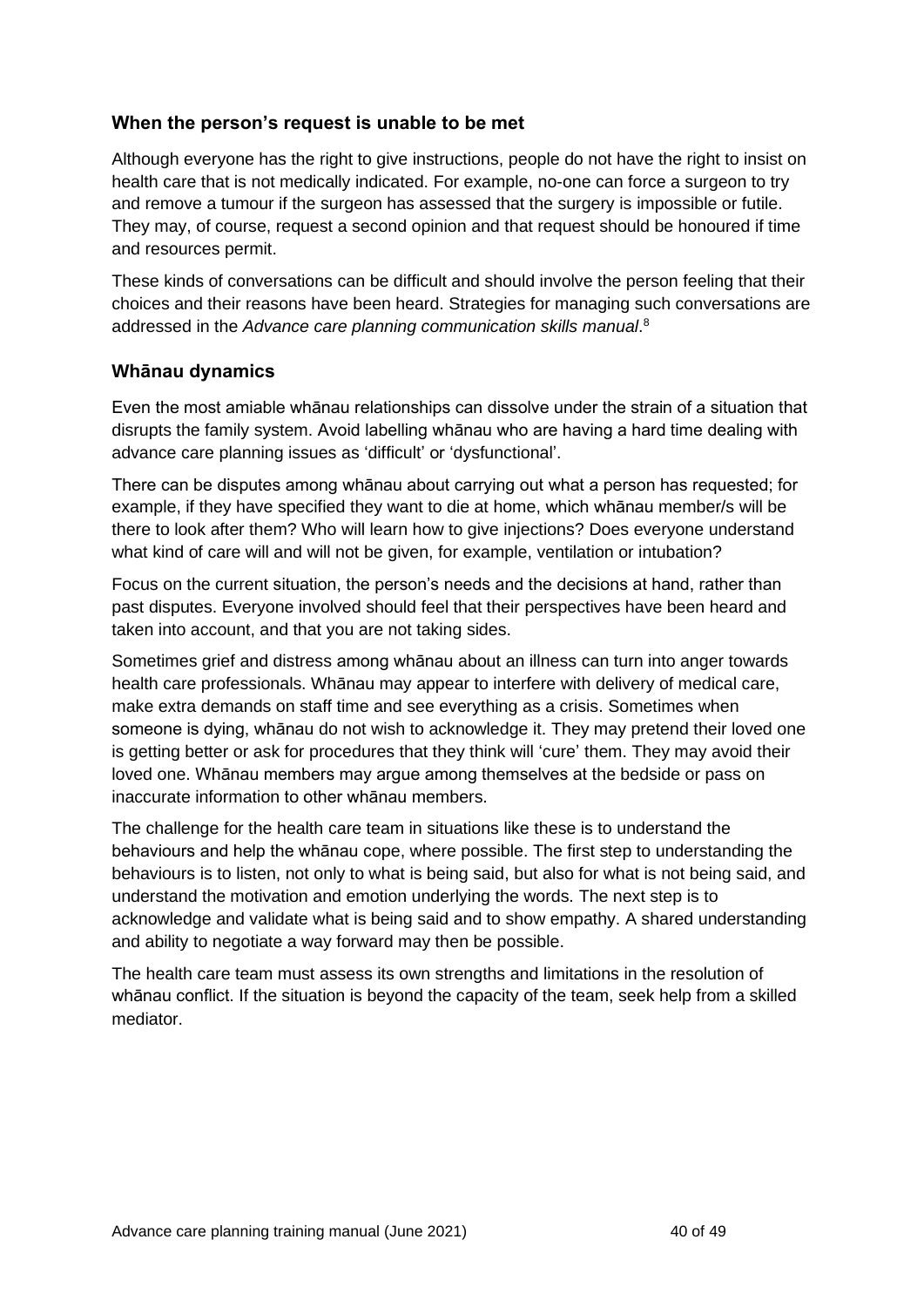#### **When the person's request is unable to be met**

Although everyone has the right to give instructions, people do not have the right to insist on health care that is not medically indicated. For example, no-one can force a surgeon to try and remove a tumour if the surgeon has assessed that the surgery is impossible or futile. They may, of course, request a second opinion and that request should be honoured if time and resources permit.

These kinds of conversations can be difficult and should involve the person feeling that their choices and their reasons have been heard. Strategies for managing such conversations are addressed in the *Advance care planning communication skills manual*. 8

#### **Whānau dynamics**

Even the most amiable whānau relationships can dissolve under the strain of a situation that disrupts the family system. Avoid labelling whānau who are having a hard time dealing with advance care planning issues as 'difficult' or 'dysfunctional'.

There can be disputes among whānau about carrying out what a person has requested; for example, if they have specified they want to die at home, which whānau member/s will be there to look after them? Who will learn how to give injections? Does everyone understand what kind of care will and will not be given, for example, ventilation or intubation?

Focus on the current situation, the person's needs and the decisions at hand, rather than past disputes. Everyone involved should feel that their perspectives have been heard and taken into account, and that you are not taking sides.

Sometimes grief and distress among whānau about an illness can turn into anger towards health care professionals. Whānau may appear to interfere with delivery of medical care, make extra demands on staff time and see everything as a crisis. Sometimes when someone is dying, whānau do not wish to acknowledge it. They may pretend their loved one is getting better or ask for procedures that they think will 'cure' them. They may avoid their loved one. Whānau members may argue among themselves at the bedside or pass on inaccurate information to other whānau members.

The challenge for the health care team in situations like these is to understand the behaviours and help the whānau cope, where possible. The first step to understanding the behaviours is to listen, not only to what is being said, but also for what is not being said, and understand the motivation and emotion underlying the words. The next step is to acknowledge and validate what is being said and to show empathy. A shared understanding and ability to negotiate a way forward may then be possible.

The health care team must assess its own strengths and limitations in the resolution of whānau conflict. If the situation is beyond the capacity of the team, seek help from a skilled mediator.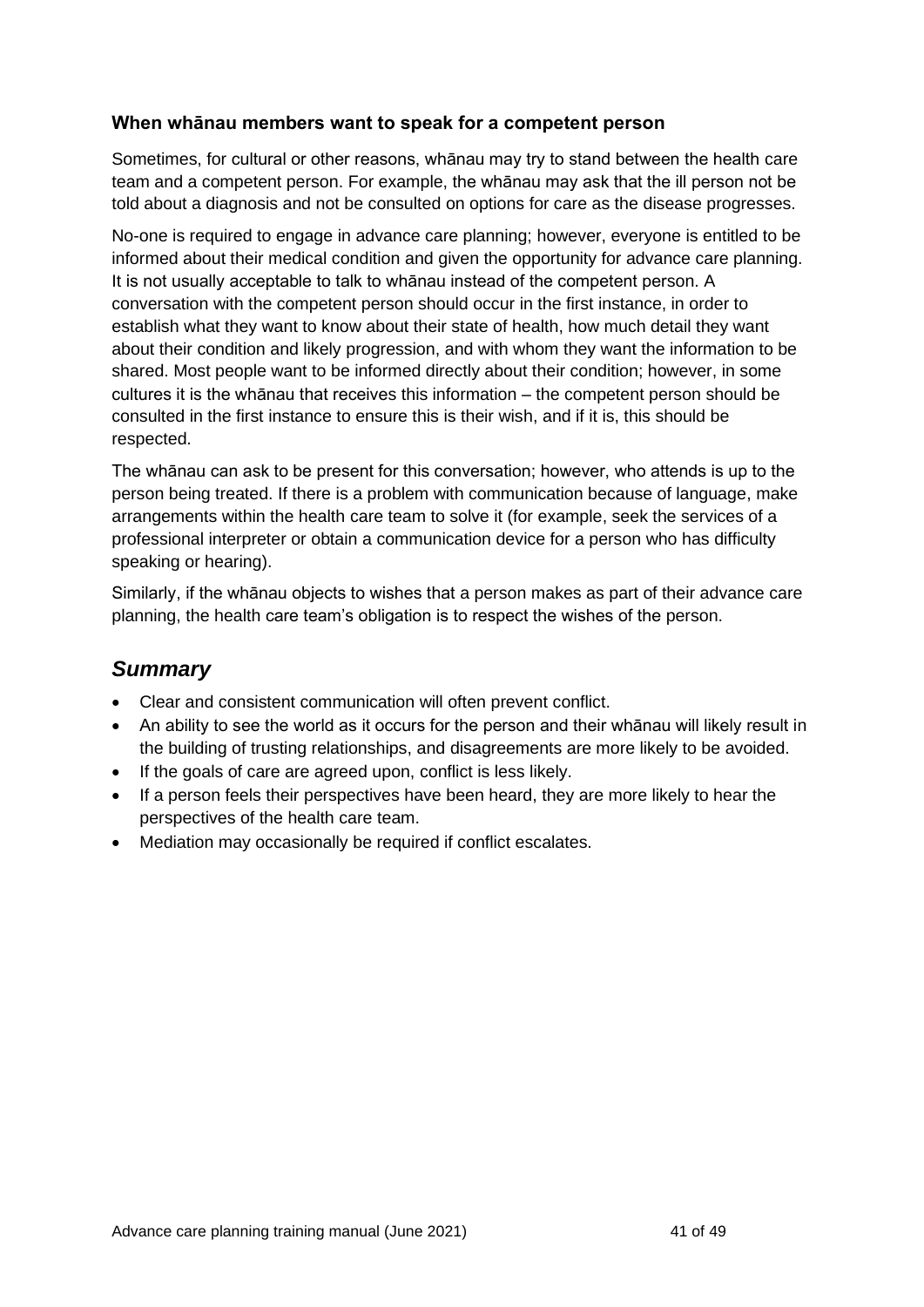#### **When whānau members want to speak for a competent person**

Sometimes, for cultural or other reasons, whānau may try to stand between the health care team and a competent person. For example, the whānau may ask that the ill person not be told about a diagnosis and not be consulted on options for care as the disease progresses.

No-one is required to engage in advance care planning; however, everyone is entitled to be informed about their medical condition and given the opportunity for advance care planning. It is not usually acceptable to talk to whānau instead of the competent person. A conversation with the competent person should occur in the first instance, in order to establish what they want to know about their state of health, how much detail they want about their condition and likely progression, and with whom they want the information to be shared. Most people want to be informed directly about their condition; however, in some cultures it is the whānau that receives this information – the competent person should be consulted in the first instance to ensure this is their wish, and if it is, this should be respected.

The whānau can ask to be present for this conversation; however, who attends is up to the person being treated. If there is a problem with communication because of language, make arrangements within the health care team to solve it (for example, seek the services of a professional interpreter or obtain a communication device for a person who has difficulty speaking or hearing).

Similarly, if the whānau objects to wishes that a person makes as part of their advance care planning, the health care team's obligation is to respect the wishes of the person.

## <span id="page-40-0"></span>*Summary*

- Clear and consistent communication will often prevent conflict.
- An ability to see the world as it occurs for the person and their whānau will likely result in the building of trusting relationships, and disagreements are more likely to be avoided.
- If the goals of care are agreed upon, conflict is less likely.
- If a person feels their perspectives have been heard, they are more likely to hear the perspectives of the health care team.
- Mediation may occasionally be required if conflict escalates.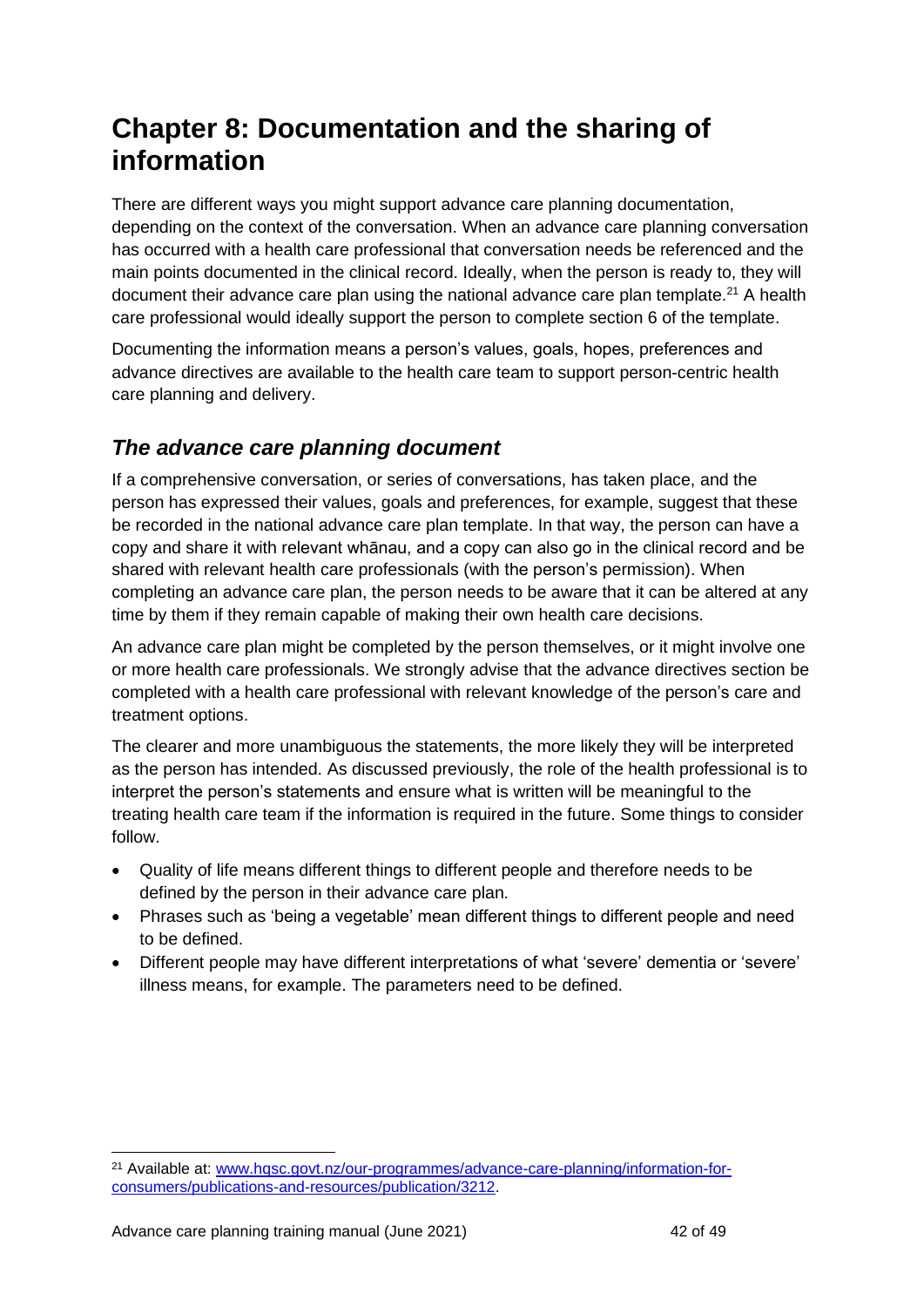## <span id="page-41-0"></span>**Chapter 8: Documentation and the sharing of information**

There are different ways you might support advance care planning documentation, depending on the context of the conversation. When an advance care planning conversation has occurred with a health care professional that conversation needs be referenced and the main points documented in the clinical record. Ideally, when the person is ready to, they will document their advance care plan using the national advance care plan template.<sup>21</sup> A health care professional would ideally support the person to complete section 6 of the template.

Documenting the information means a person's values, goals, hopes, preferences and advance directives are available to the health care team to support person-centric health care planning and delivery.

### <span id="page-41-1"></span>*The advance care planning document*

If a comprehensive conversation, or series of conversations, has taken place, and the person has expressed their values, goals and preferences, for example, suggest that these be recorded in the national advance care plan template. In that way, the person can have a copy and share it with relevant whānau, and a copy can also go in the clinical record and be shared with relevant health care professionals (with the person's permission). When completing an advance care plan, the person needs to be aware that it can be altered at any time by them if they remain capable of making their own health care decisions.

An advance care plan might be completed by the person themselves, or it might involve one or more health care professionals. We strongly advise that the advance directives section be completed with a health care professional with relevant knowledge of the person's care and treatment options.

The clearer and more unambiguous the statements, the more likely they will be interpreted as the person has intended. As discussed previously, the role of the health professional is to interpret the person's statements and ensure what is written will be meaningful to the treating health care team if the information is required in the future. Some things to consider follow.

- Quality of life means different things to different people and therefore needs to be defined by the person in their advance care plan.
- Phrases such as 'being a vegetable' mean different things to different people and need to be defined.
- Different people may have different interpretations of what 'severe' dementia or 'severe' illness means, for example. The parameters need to be defined.

<sup>21</sup> Available at: [www.hqsc.govt.nz/our-programmes/advance-care-planning/information-for](http://www.hqsc.govt.nz/our-programmes/advance-care-planning/information-for-consumers/publications-and-resources/publication/3212)[consumers/publications-and-resources/publication/3212.](http://www.hqsc.govt.nz/our-programmes/advance-care-planning/information-for-consumers/publications-and-resources/publication/3212)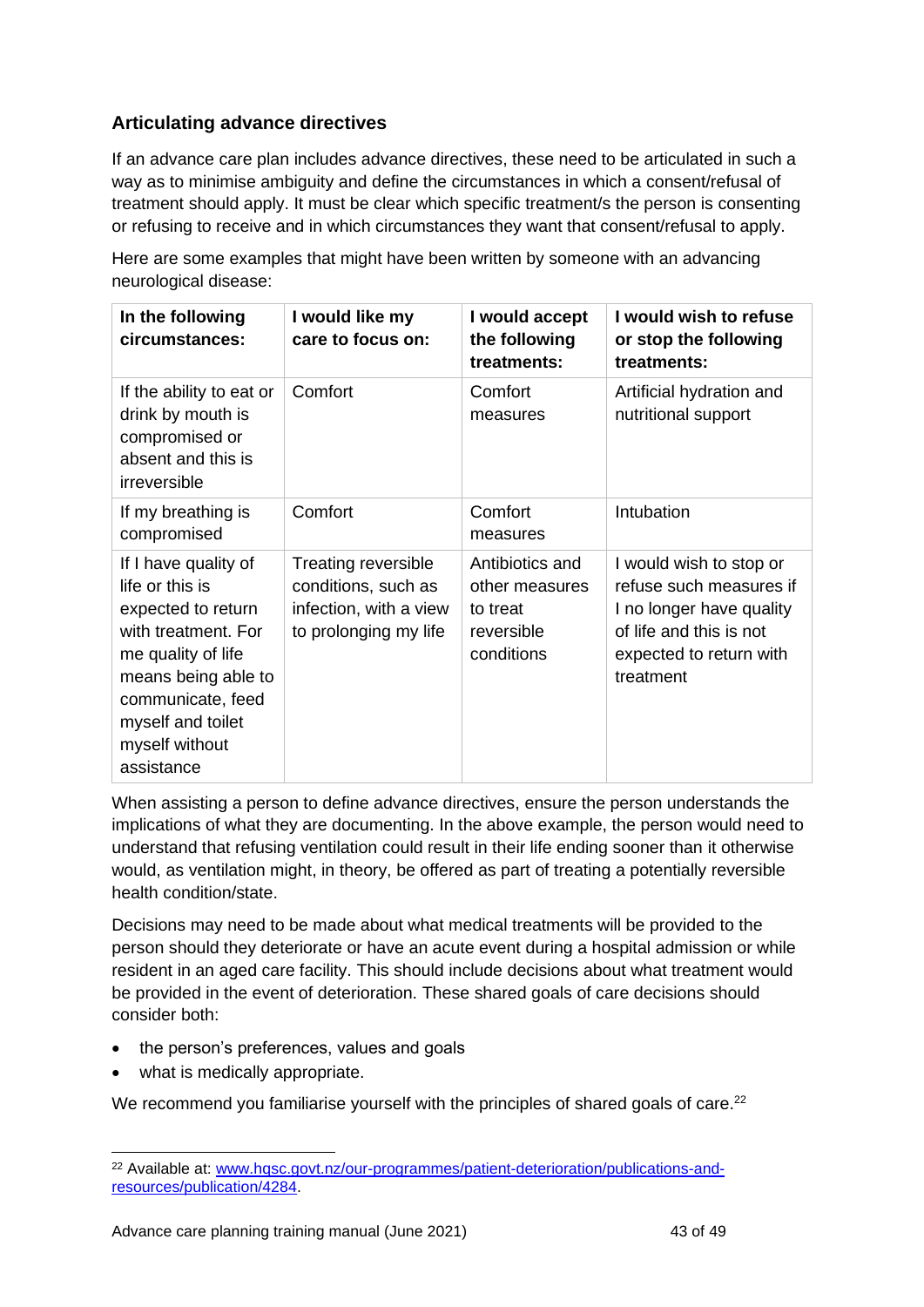#### **Articulating advance directives**

If an advance care plan includes advance directives, these need to be articulated in such a way as to minimise ambiguity and define the circumstances in which a consent/refusal of treatment should apply. It must be clear which specific treatment/s the person is consenting or refusing to receive and in which circumstances they want that consent/refusal to apply.

Here are some examples that might have been written by someone with an advancing neurological disease:

| In the following<br>circumstances:                                                                                                                                                                          | I would like my<br>care to focus on:                                                                 | I would accept<br>the following<br>treatments:                            | I would wish to refuse<br>or stop the following<br>treatments:                                                                                    |
|-------------------------------------------------------------------------------------------------------------------------------------------------------------------------------------------------------------|------------------------------------------------------------------------------------------------------|---------------------------------------------------------------------------|---------------------------------------------------------------------------------------------------------------------------------------------------|
| If the ability to eat or<br>drink by mouth is<br>compromised or<br>absent and this is<br>irreversible                                                                                                       | Comfort                                                                                              | Comfort<br>measures                                                       | Artificial hydration and<br>nutritional support                                                                                                   |
| If my breathing is<br>compromised                                                                                                                                                                           | Comfort                                                                                              | Comfort<br>measures                                                       | Intubation                                                                                                                                        |
| If I have quality of<br>life or this is<br>expected to return<br>with treatment. For<br>me quality of life<br>means being able to<br>communicate, feed<br>myself and toilet<br>myself without<br>assistance | <b>Treating reversible</b><br>conditions, such as<br>infection, with a view<br>to prolonging my life | Antibiotics and<br>other measures<br>to treat<br>reversible<br>conditions | I would wish to stop or<br>refuse such measures if<br>I no longer have quality<br>of life and this is not<br>expected to return with<br>treatment |

When assisting a person to define advance directives, ensure the person understands the implications of what they are documenting. In the above example, the person would need to understand that refusing ventilation could result in their life ending sooner than it otherwise would, as ventilation might, in theory, be offered as part of treating a potentially reversible health condition/state.

Decisions may need to be made about what medical treatments will be provided to the person should they deteriorate or have an acute event during a hospital admission or while resident in an aged care facility. This should include decisions about what treatment would be provided in the event of deterioration. These shared goals of care decisions should consider both:

- the person's preferences, values and goals
- what is medically appropriate.

We recommend you familiarise yourself with the principles of shared goals of care.<sup>22</sup>

<sup>22</sup> Available at: [www.hqsc.govt.nz/our-programmes/patient-deterioration/publications-and](http://www.hqsc.govt.nz/our-programmes/patient-deterioration/publications-and-resources/publication/4284)[resources/publication/4284.](http://www.hqsc.govt.nz/our-programmes/patient-deterioration/publications-and-resources/publication/4284)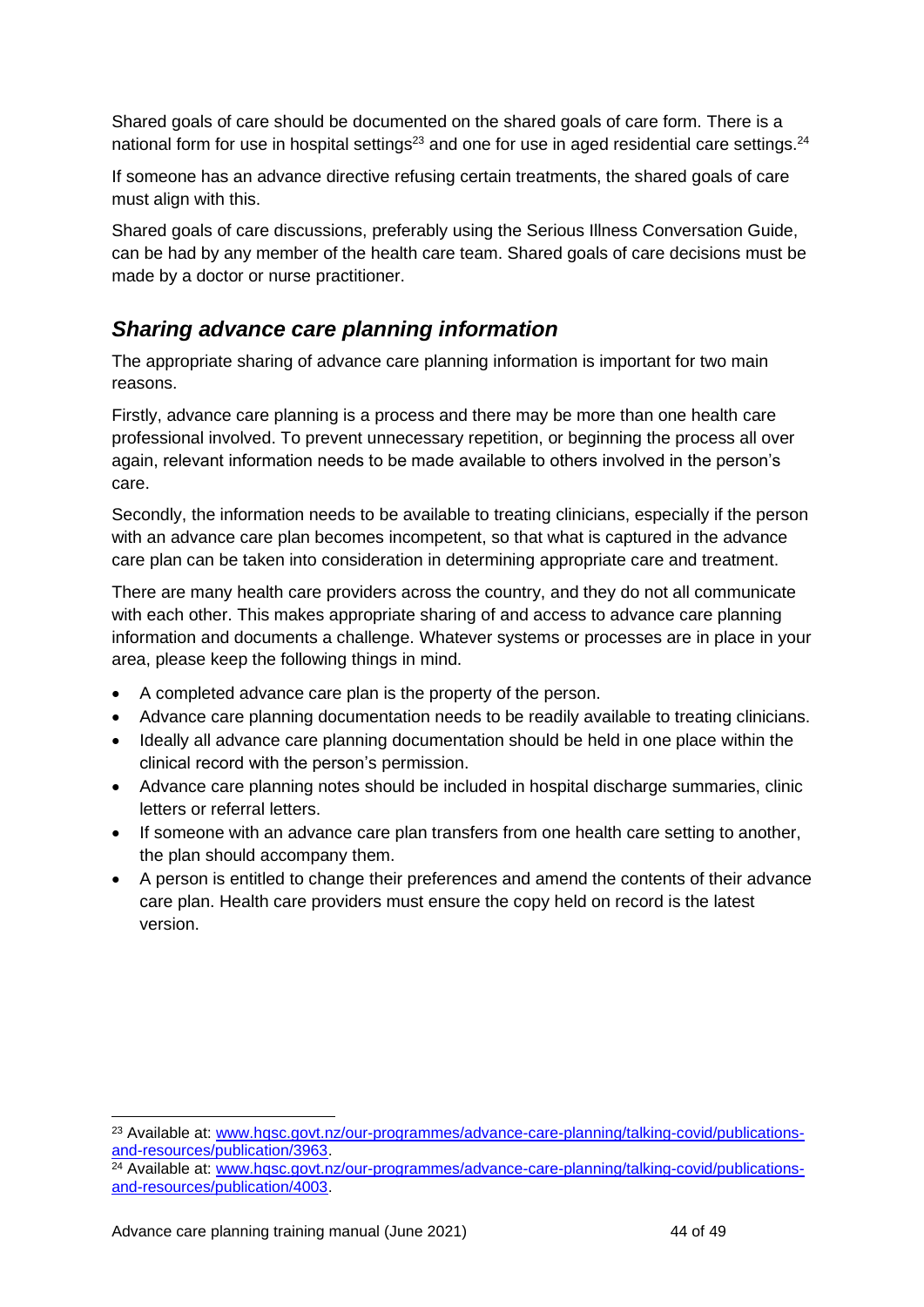Shared goals of care should be documented on the shared goals of care form. There is a national form for use in hospital settings<sup>23</sup> and one for use in aged residential care settings.<sup>24</sup>

If someone has an advance directive refusing certain treatments, the shared goals of care must align with this.

Shared goals of care discussions, preferably using the Serious Illness Conversation Guide, can be had by any member of the health care team. Shared goals of care decisions must be made by a doctor or nurse practitioner.

## <span id="page-43-0"></span>*Sharing advance care planning information*

The appropriate sharing of advance care planning information is important for two main reasons.

Firstly, advance care planning is a process and there may be more than one health care professional involved. To prevent unnecessary repetition, or beginning the process all over again, relevant information needs to be made available to others involved in the person's care.

Secondly, the information needs to be available to treating clinicians, especially if the person with an advance care plan becomes incompetent, so that what is captured in the advance care plan can be taken into consideration in determining appropriate care and treatment.

There are many health care providers across the country, and they do not all communicate with each other. This makes appropriate sharing of and access to advance care planning information and documents a challenge. Whatever systems or processes are in place in your area, please keep the following things in mind.

- A completed advance care plan is the property of the person.
- Advance care planning documentation needs to be readily available to treating clinicians.
- Ideally all advance care planning documentation should be held in one place within the clinical record with the person's permission.
- Advance care planning notes should be included in hospital discharge summaries, clinic letters or referral letters.
- If someone with an advance care plan transfers from one health care setting to another, the plan should accompany them.
- A person is entitled to change their preferences and amend the contents of their advance care plan. Health care providers must ensure the copy held on record is the latest version.

<sup>&</sup>lt;sup>23</sup> Available at: [www.hqsc.govt.nz/our-programmes/advance-care-planning/talking-covid/publications](http://www.hqsc.govt.nz/our-programmes/advance-care-planning/talking-covid/publications-and-resources/publication/3963)[and-resources/publication/3963.](http://www.hqsc.govt.nz/our-programmes/advance-care-planning/talking-covid/publications-and-resources/publication/3963)

 $24$  Available at: [www.hqsc.govt.nz/our-programmes/advance-care-planning/talking-covid/publications](http://www.hqsc.govt.nz/our-programmes/advance-care-planning/talking-covid/publications-and-resources/publication/4003)[and-resources/publication/4003.](http://www.hqsc.govt.nz/our-programmes/advance-care-planning/talking-covid/publications-and-resources/publication/4003)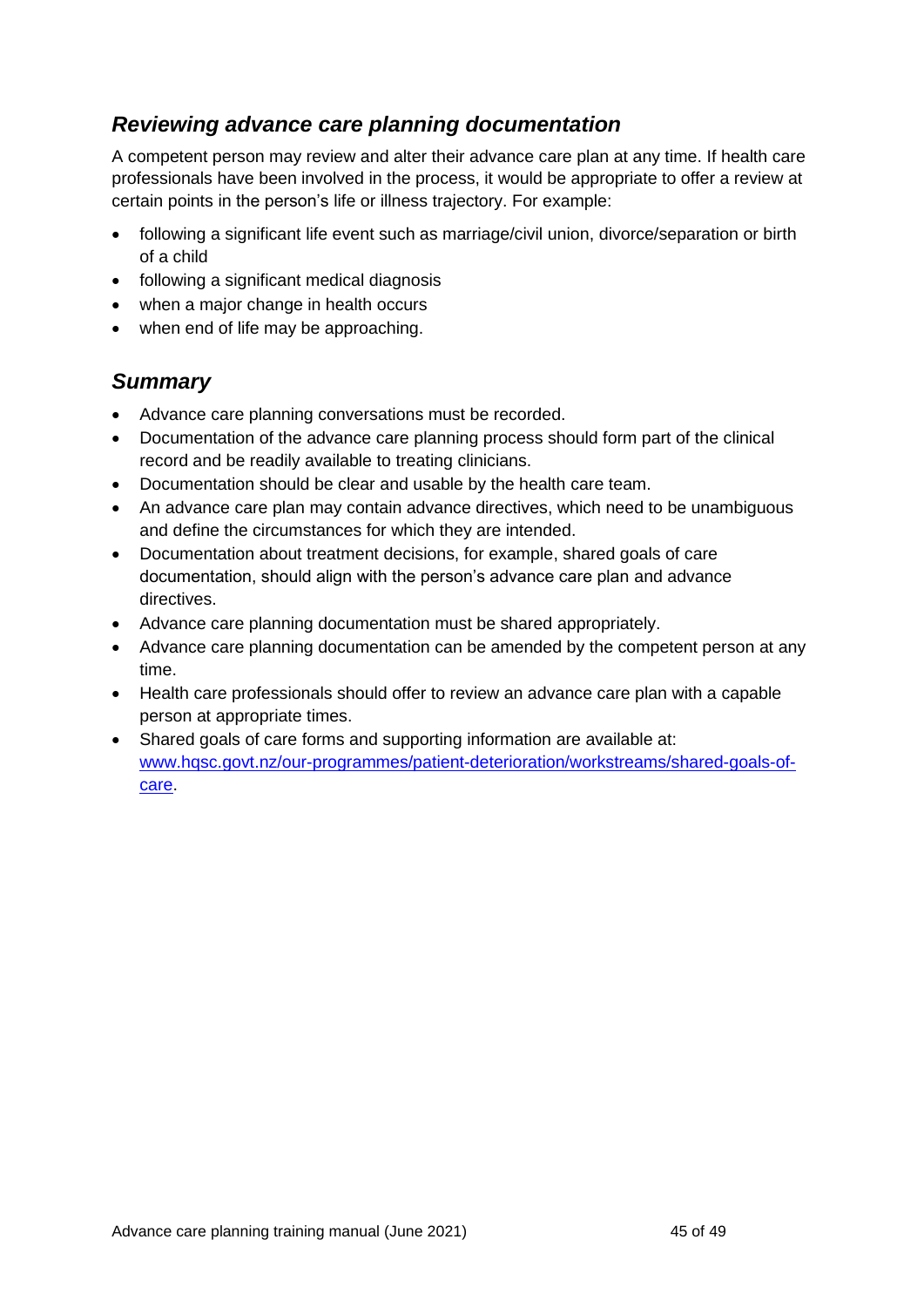## <span id="page-44-0"></span>*Reviewing advance care planning documentation*

A competent person may review and alter their advance care plan at any time. If health care professionals have been involved in the process, it would be appropriate to offer a review at certain points in the person's life or illness trajectory. For example:

- following a significant life event such as marriage/civil union, divorce/separation or birth of a child
- following a significant medical diagnosis
- when a major change in health occurs
- when end of life may be approaching.

## <span id="page-44-1"></span>*Summary*

- Advance care planning conversations must be recorded.
- Documentation of the advance care planning process should form part of the clinical record and be readily available to treating clinicians.
- Documentation should be clear and usable by the health care team.
- An advance care plan may contain advance directives, which need to be unambiguous and define the circumstances for which they are intended.
- Documentation about treatment decisions, for example, shared goals of care documentation, should align with the person's advance care plan and advance directives.
- Advance care planning documentation must be shared appropriately.
- Advance care planning documentation can be amended by the competent person at any time.
- Health care professionals should offer to review an advance care plan with a capable person at appropriate times.
- Shared goals of care forms and supporting information are available at: [www.hqsc.govt.nz/our-programmes/patient-deterioration/workstreams/shared-goals-of](http://www.hqsc.govt.nz/our-programmes/patient-deterioration/workstreams/shared-goals-of-care)[care.](http://www.hqsc.govt.nz/our-programmes/patient-deterioration/workstreams/shared-goals-of-care)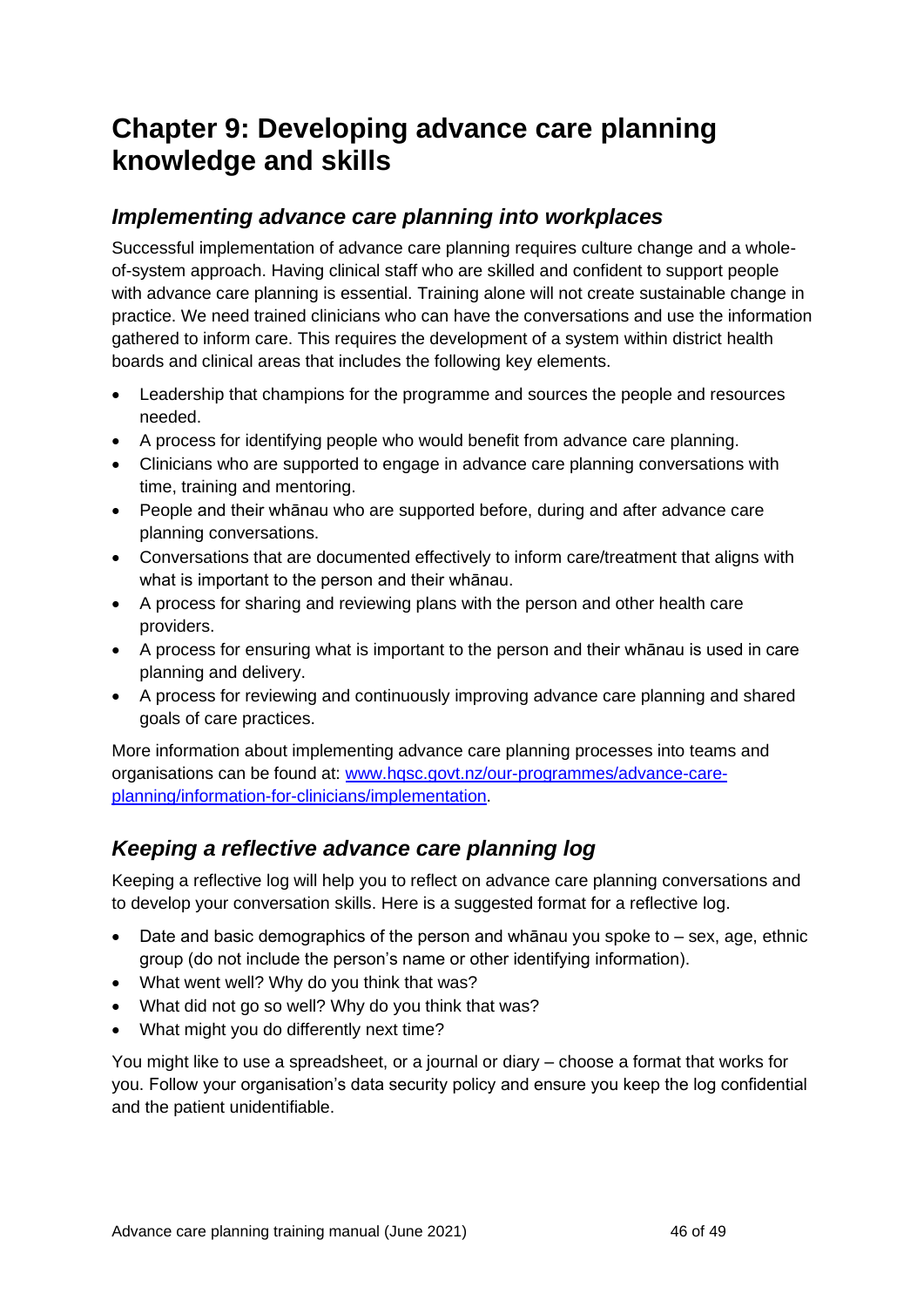## <span id="page-45-0"></span>**Chapter 9: Developing advance care planning knowledge and skills**

## <span id="page-45-1"></span>*Implementing advance care planning into workplaces*

Successful implementation of advance care planning requires culture change and a wholeof-system approach. Having clinical staff who are skilled and confident to support people with advance care planning is essential. Training alone will not create sustainable change in practice. We need trained clinicians who can have the conversations and use the information gathered to inform care. This requires the development of a system within district health boards and clinical areas that includes the following key elements.

- Leadership that champions for the programme and sources the people and resources needed.
- A process for identifying people who would benefit from advance care planning.
- Clinicians who are supported to engage in advance care planning conversations with time, training and mentoring.
- People and their whānau who are supported before, during and after advance care planning conversations.
- Conversations that are documented effectively to inform care/treatment that aligns with what is important to the person and their whānau.
- A process for sharing and reviewing plans with the person and other health care providers.
- A process for ensuring what is important to the person and their whānau is used in care planning and delivery.
- A process for reviewing and continuously improving advance care planning and shared goals of care practices.

More information about implementing advance care planning processes into teams and organisations can be found at: [www.hqsc.govt.nz/our-programmes/advance-care](http://www.hqsc.govt.nz/our-programmes/advance-care-planning/information-for-clinicians/implementation)[planning/information-for-clinicians/implementation.](http://www.hqsc.govt.nz/our-programmes/advance-care-planning/information-for-clinicians/implementation)

## <span id="page-45-2"></span>*Keeping a reflective advance care planning log*

Keeping a reflective log will help you to reflect on advance care planning conversations and to develop your conversation skills. Here is a suggested format for a reflective log.

- Date and basic demographics of the person and whanau you spoke to  $-$  sex, age, ethnic group (do not include the person's name or other identifying information).
- What went well? Why do you think that was?
- What did not go so well? Why do you think that was?
- What might you do differently next time?

You might like to use a spreadsheet, or a journal or diary – choose a format that works for you. Follow your organisation's data security policy and ensure you keep the log confidential and the patient unidentifiable.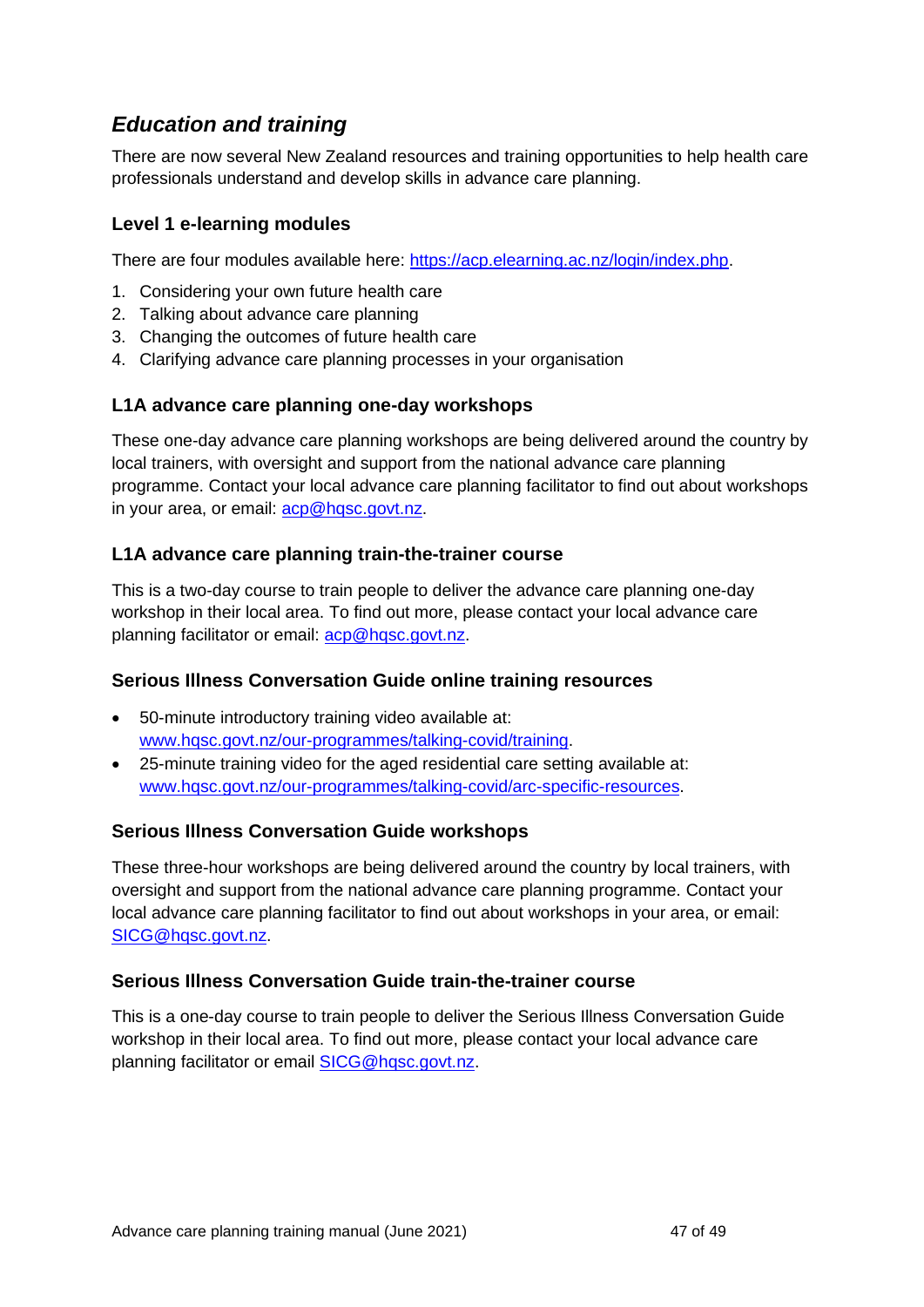## <span id="page-46-0"></span>*Education and training*

There are now several New Zealand resources and training opportunities to help health care professionals understand and develop skills in advance care planning.

#### **Level 1 e-learning modules**

There are four modules available here: [https://acp.elearning.ac.nz/login/index.php.](https://acp.elearning.ac.nz/login/index.php)

- 1. Considering your own future health care
- 2. Talking about advance care planning
- 3. Changing the outcomes of future health care
- 4. Clarifying advance care planning processes in your organisation

#### **L1A advance care planning one-day workshops**

These one-day advance care planning workshops are being delivered around the country by local trainers, with oversight and support from the national advance care planning programme. Contact your local advance care planning facilitator to find out about workshops in your area, or email: [acp@hqsc.govt.nz.](mailto:acp@hqsc.govt.nz)

#### **L1A advance care planning train-the-trainer course**

This is a two-day course to train people to deliver the advance care planning one-day workshop in their local area. To find out more, please contact your local advance care planning facilitator or email: [acp@hqsc.govt.nz.](mailto:acp@hqsc.govt.nz)

#### **Serious Illness Conversation Guide online training resources**

- 50-minute introductory training video available at: [www.hqsc.govt.nz/our-programmes/talking-covid/training.](http://www.hqsc.govt.nz/our-programmes/talking-covid/training)
- 25-minute training video for the aged residential care setting available at: [www.hqsc.govt.nz/our-programmes/talking-covid/arc-specific-resources.](http://www.hqsc.govt.nz/our-programmes/talking-covid/arc-specific-resources)

#### **Serious Illness Conversation Guide workshops**

These three-hour workshops are being delivered around the country by local trainers, with oversight and support from the national advance care planning programme. Contact your local advance care planning facilitator to find out about workshops in your area, or email: [SICG@hqsc.govt.nz.](mailto:SICG@hqsc.govt.nz)

#### **Serious Illness Conversation Guide train-the-trainer course**

This is a one-day course to train people to deliver the Serious Illness Conversation Guide workshop in their local area. To find out more, please contact your local advance care planning facilitator or email [SICG@hqsc.govt.nz.](mailto:SICG@hqsc.govt.nz)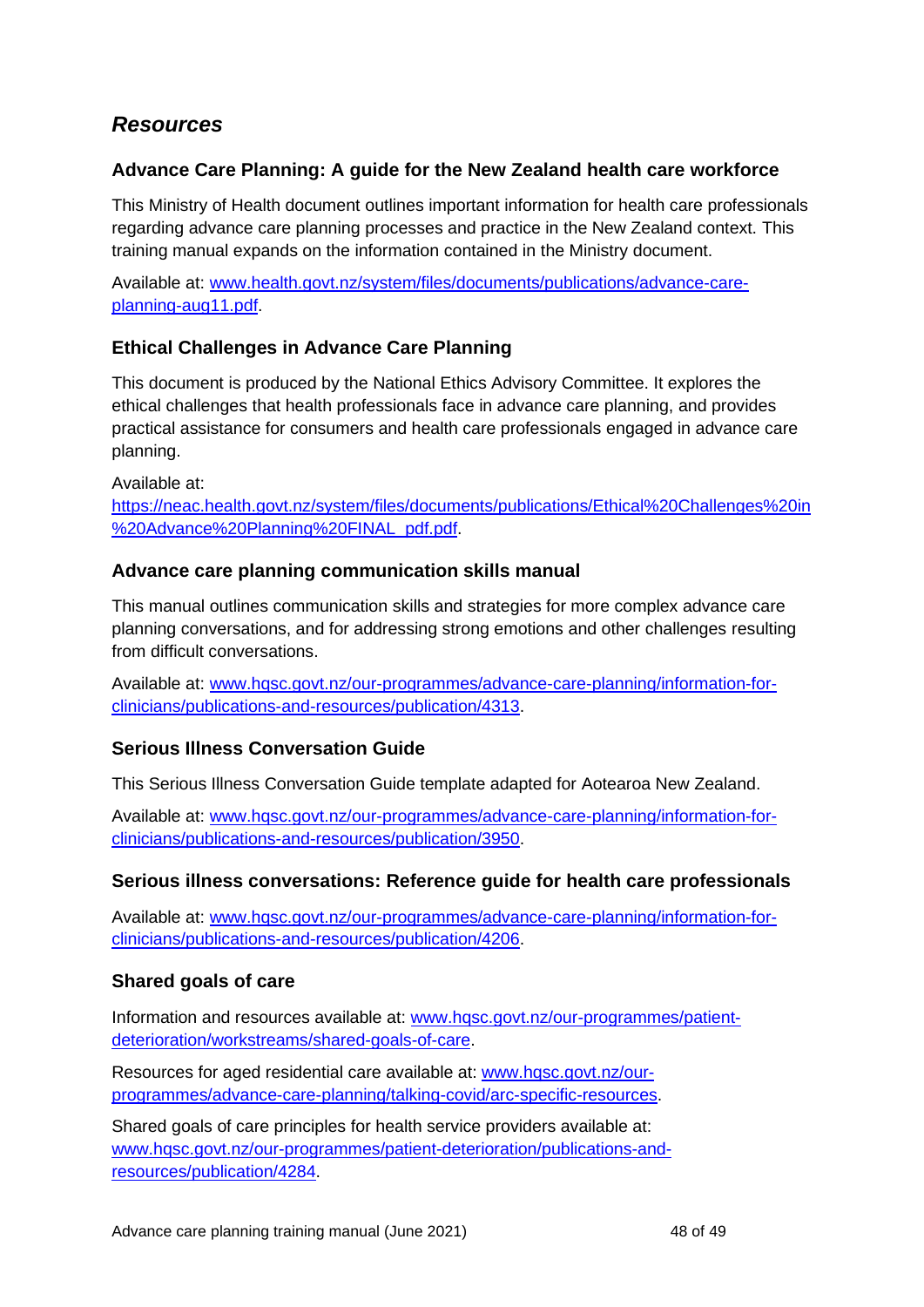## <span id="page-47-0"></span>*Resources*

#### **Advance Care Planning: A guide for the New Zealand health care workforce**

This Ministry of Health document outlines important information for health care professionals regarding advance care planning processes and practice in the New Zealand context. This training manual expands on the information contained in the Ministry document.

Available at: [www.health.govt.nz/system/files/documents/publications/advance-care](http://www.health.govt.nz/system/files/documents/publications/advance-care-planning-aug11.pdf)[planning-aug11.pdf.](http://www.health.govt.nz/system/files/documents/publications/advance-care-planning-aug11.pdf)

#### **Ethical Challenges in Advance Care Planning**

This document is produced by the National Ethics Advisory Committee. It explores the ethical challenges that health professionals face in advance care planning, and provides practical assistance for consumers and health care professionals engaged in advance care planning.

Available at:

[https://neac.health.govt.nz/system/files/documents/publications/Ethical%20Challenges%20in](https://neac.health.govt.nz/system/files/documents/publications/Ethical%20Challenges%20in%20Advance%20Planning%20FINAL_pdf.pdf) [%20Advance%20Planning%20FINAL\\_pdf.pdf.](https://neac.health.govt.nz/system/files/documents/publications/Ethical%20Challenges%20in%20Advance%20Planning%20FINAL_pdf.pdf)

#### **Advance care planning communication skills manual**

This manual outlines communication skills and strategies for more complex advance care planning conversations, and for addressing strong emotions and other challenges resulting from difficult conversations.

Available at: [www.hqsc.govt.nz/our-programmes/advance-care-planning/information-for](http://www.hqsc.govt.nz/our-programmes/advance-care-planning/information-for-clinicians/publications-and-resources/publication/4313)[clinicians/publications-and-resources/publication/4313.](http://www.hqsc.govt.nz/our-programmes/advance-care-planning/information-for-clinicians/publications-and-resources/publication/4313)

#### **Serious Illness Conversation Guide**

This Serious Illness Conversation Guide template adapted for Aotearoa New Zealand.

Available at: [www.hqsc.govt.nz/our-programmes/advance-care-planning/information-for](http://www.hqsc.govt.nz/our-programmes/advance-care-planning/information-for-clinicians/publications-and-resources/publication/3950)[clinicians/publications-and-resources/publication/3950.](http://www.hqsc.govt.nz/our-programmes/advance-care-planning/information-for-clinicians/publications-and-resources/publication/3950)

#### **Serious illness conversations: Reference guide for health care professionals**

Available at: [www.hqsc.govt.nz/our-programmes/advance-care-planning/information-for](http://www.hqsc.govt.nz/our-programmes/advance-care-planning/information-for-clinicians/publications-and-resources/publication/4206)[clinicians/publications-and-resources/publication/4206.](http://www.hqsc.govt.nz/our-programmes/advance-care-planning/information-for-clinicians/publications-and-resources/publication/4206)

#### **Shared goals of care**

Information and resources available at: [www.hqsc.govt.nz/our-programmes/patient](http://www.hqsc.govt.nz/our-programmes/patient-deterioration/workstreams/shared-goals-of-care)[deterioration/workstreams/shared-goals-of-care.](http://www.hqsc.govt.nz/our-programmes/patient-deterioration/workstreams/shared-goals-of-care)

Resources for aged residential care available at: [www.hqsc.govt.nz/our](http://www.hqsc.govt.nz/our-programmes/advance-care-planning/talking-covid/arc-specific-resources)[programmes/advance-care-planning/talking-covid/arc-specific-resources.](http://www.hqsc.govt.nz/our-programmes/advance-care-planning/talking-covid/arc-specific-resources)

Shared goals of care principles for health service providers available at: [www.hqsc.govt.nz/our-programmes/patient-deterioration/publications-and](http://www.hqsc.govt.nz/our-programmes/patient-deterioration/publications-and-resources/publication/4284)[resources/publication/4284.](http://www.hqsc.govt.nz/our-programmes/patient-deterioration/publications-and-resources/publication/4284)